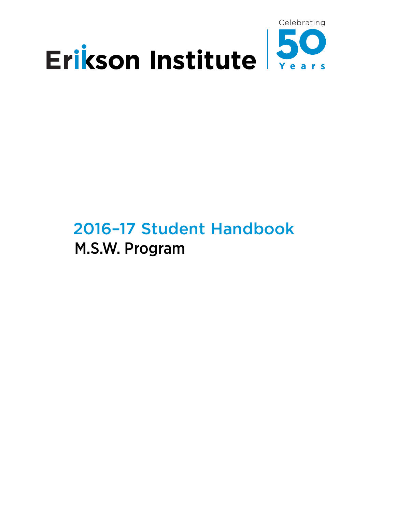

# 2016–17 Student Handbook M.S.W. Program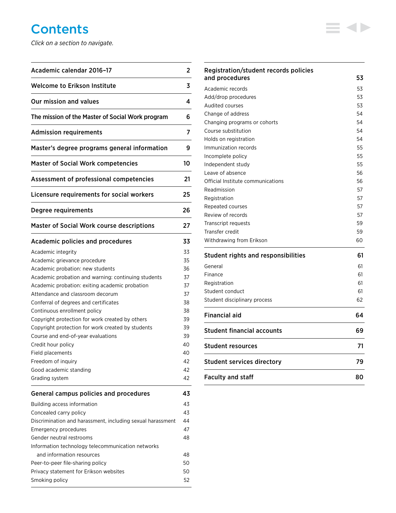# **Contents**

*Click on a section to navigate.*

| Academic calendar 2016-17                                  | 2  |
|------------------------------------------------------------|----|
| <b>Welcome to Erikson Institute</b>                        | 3  |
| Our mission and values                                     | 4  |
| The mission of the Master of Social Work program           | 6  |
| <b>Admission requirements</b>                              | 7  |
| Master's degree programs general information               | 9  |
| <b>Master of Social Work competencies</b>                  | 10 |
| Assessment of professional competencies                    | 21 |
| Licensure requirements for social workers                  | 25 |
| Degree requirements                                        | 26 |
| <b>Master of Social Work course descriptions</b>           | 27 |
| Academic policies and procedures                           | 33 |
| Academic integrity                                         | 33 |
| Academic grievance procedure                               | 35 |
| Academic probation: new students                           | 36 |
| Academic probation and warning: continuing students        | 37 |
| Academic probation: exiting academic probation             | 37 |
| Attendance and classroom decorum                           | 37 |
| Conferral of degrees and certificates                      | 38 |
| Continuous enrollment policy                               | 38 |
| Copyright protection for work created by others            | 39 |
| Copyright protection for work created by students          | 39 |
| Course and end-of-year evaluations                         | 39 |
| Credit hour policy                                         | 40 |
| Field placements                                           | 40 |
| Freedom of inquiry                                         | 42 |
| Good academic standing                                     | 42 |
| Grading system                                             | 42 |
| <b>General campus policies and procedures</b>              | 43 |
| Building access information                                | 43 |
| Concealed carry policy                                     | 43 |
| Discrimination and harassment, including sexual harassment | 44 |
| Emergency procedures                                       | 47 |
| Gender neutral restrooms                                   | 48 |
| Information technology telecommunication networks          |    |
| and information resources                                  | 48 |
| Peer-to-peer file-sharing policy                           | 50 |
| Privacy statement for Erikson websites                     | 50 |
| Smoking policy                                             | 52 |

| Registration/student records policies      |    |
|--------------------------------------------|----|
| and procedures                             | 53 |
| Academic records                           | 53 |
| Add/drop procedures                        | 53 |
| <b>Audited courses</b>                     | 53 |
| Change of address                          | 54 |
| Changing programs or cohorts               | 54 |
| Course substitution                        | 54 |
| Holds on registration                      | 54 |
| Immunization records                       | 55 |
| Incomplete policy                          | 55 |
| Independent study                          | 55 |
| Leave of absence                           | 56 |
| Official Institute communications          | 56 |
| Readmission                                | 57 |
| Registration                               | 57 |
| Repeated courses                           | 57 |
| Review of records                          | 57 |
| Transcript requests                        | 59 |
| Transfer credit                            | 59 |
| Withdrawing from Erikson                   | 60 |
| <b>Student rights and responsibilities</b> | 61 |
| General                                    | 61 |
| Finance                                    | 61 |
| Registration                               | 61 |
| Student conduct                            | 61 |
| Student disciplinary process               | 62 |
| <b>Financial aid</b>                       | 64 |
| <b>Student financial accounts</b>          | 69 |
| <b>Student resources</b>                   | 71 |
| <b>Student services directory</b>          |    |

 $\equiv$  4>

[Faculty and staff](#page-80-0) 80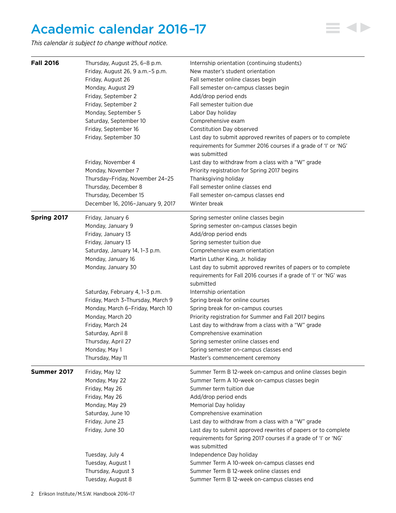# <span id="page-2-0"></span>Academic calendar 2016 –17

*This calendar is subject to change without notice.*

| <b>Fall 2016</b> | Thursday, August 25, 6-8 p.m.      | Internship orientation (continuing students)                                  |
|------------------|------------------------------------|-------------------------------------------------------------------------------|
|                  | Friday, August 26, 9 a.m. - 5 p.m. | New master's student orientation                                              |
|                  | Friday, August 26                  | Fall semester online classes begin                                            |
|                  | Monday, August 29                  | Fall semester on-campus classes begin                                         |
|                  | Friday, September 2                | Add/drop period ends                                                          |
|                  | Friday, September 2                | Fall semester tuition due                                                     |
|                  | Monday, September 5                | Labor Day holiday                                                             |
|                  | Saturday, September 10             | Comprehensive exam                                                            |
|                  | Friday, September 16               | Constitution Day observed                                                     |
|                  | Friday, September 30               | Last day to submit approved rewrites of papers or to complete                 |
|                  |                                    | requirements for Summer 2016 courses if a grade of 'I' or 'NG'                |
|                  |                                    | was submitted                                                                 |
|                  | Friday, November 4                 | Last day to withdraw from a class with a "W" grade                            |
|                  | Monday, November 7                 | Priority registration for Spring 2017 begins                                  |
|                  | Thursday-Friday, November 24-25    | Thanksgiving holiday                                                          |
|                  | Thursday, December 8               | Fall semester online classes end                                              |
|                  | Thursday, December 15              | Fall semester on-campus classes end                                           |
|                  | December 16, 2016-January 9, 2017  | Winter break                                                                  |
| Spring 2017      | Friday, January 6                  | Spring semester online classes begin                                          |
|                  | Monday, January 9                  | Spring semester on-campus classes begin                                       |
|                  | Friday, January 13                 | Add/drop period ends                                                          |
|                  | Friday, January 13                 | Spring semester tuition due                                                   |
|                  | Saturday, January 14, 1-3 p.m.     | Comprehensive exam orientation                                                |
|                  | Monday, January 16                 | Martin Luther King, Jr. holiday                                               |
|                  | Monday, January 30                 | Last day to submit approved rewrites of papers or to complete                 |
|                  |                                    | requirements for Fall 2016 courses if a grade of 'I' or 'NG' was<br>submitted |
|                  | Saturday, February 4, 1-3 p.m.     | Internship orientation                                                        |
|                  | Friday, March 3-Thursday, March 9  | Spring break for online courses                                               |
|                  | Monday, March 6-Friday, March 10   | Spring break for on-campus courses                                            |
|                  | Monday, March 20                   | Priority registration for Summer and Fall 2017 begins                         |
|                  | Friday, March 24                   | Last day to withdraw from a class with a "W" grade                            |
|                  | Saturday, April 8                  | Comprehensive examination                                                     |
|                  | Thursday, April 27                 | Spring semester online classes end                                            |
|                  | Monday, May 1                      | Spring semester on-campus classes end                                         |
|                  | Thursday, May 11                   | Master's commencement ceremony                                                |
| Summer 2017      | Friday, May 12                     | Summer Term B 12-week on-campus and online classes begin                      |
|                  | Monday, May 22                     | Summer Term A 10-week on-campus classes begin                                 |
|                  | Friday, May 26                     | Summer term tuition due                                                       |
|                  | Friday, May 26                     | Add/drop period ends                                                          |
|                  | Monday, May 29                     | Memorial Day holiday                                                          |
|                  | Saturday, June 10                  | Comprehensive examination                                                     |
|                  | Friday, June 23                    | Last day to withdraw from a class with a "W" grade                            |
|                  | Friday, June 30                    | Last day to submit approved rewrites of papers or to complete                 |
|                  |                                    | requirements for Spring 2017 courses if a grade of 'I' or 'NG'                |
|                  |                                    | was submitted                                                                 |
|                  | Tuesday, July 4                    | Independence Day holiday                                                      |
|                  | Tuesday, August 1                  | Summer Term A 10-week on-campus classes end                                   |
|                  | Thursday, August 3                 | Summer Term B 12-week online classes end                                      |
|                  | Tuesday, August 8                  | Summer Term B 12-week on-campus classes end                                   |

41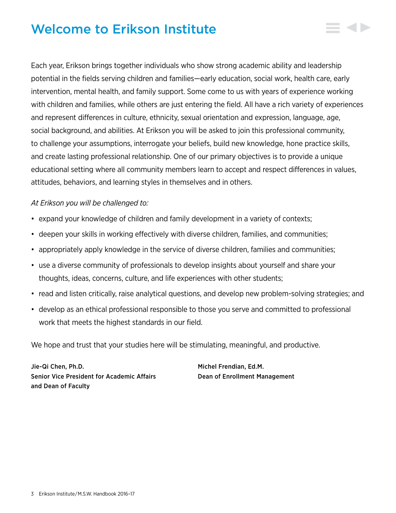# <span id="page-3-0"></span>Welcome to Erikson Institute

Each year, Erikson brings together individuals who show strong academic ability and leadership potential in the fields serving children and families—early education, social work, health care, early intervention, mental health, and family support. Some come to us with years of experience working with children and families, while others are just entering the field. All have a rich variety of experiences and represent differences in culture, ethnicity, sexual orientation and expression, language, age, social background, and abilities. At Erikson you will be asked to join this professional community, to challenge your assumptions, interrogate your beliefs, build new knowledge, hone practice skills, and create lasting professional relationship. One of our primary objectives is to provide a unique educational setting where all community members learn to accept and respect differences in values, attitudes, behaviors, and learning styles in themselves and in others.

# *At Erikson you will be challenged to:*

- expand your knowledge of children and family development in a variety of contexts;
- deepen your skills in working effectively with diverse children, families, and communities;
- appropriately apply knowledge in the service of diverse children, families and communities;
- use a diverse community of professionals to develop insights about yourself and share your thoughts, ideas, concerns, culture, and life experiences with other students;
- read and listen critically, raise analytical questions, and develop new problem-solving strategies; and
- develop as an ethical professional responsible to those you serve and committed to professional work that meets the highest standards in our field.

We hope and trust that your studies here will be stimulating, meaningful, and productive.

Jie-Qi Chen, Ph.D. Michel Frendian, Ed.M. Senior Vice President for Academic Affairs Dean of Enrollment Management and Dean of Faculty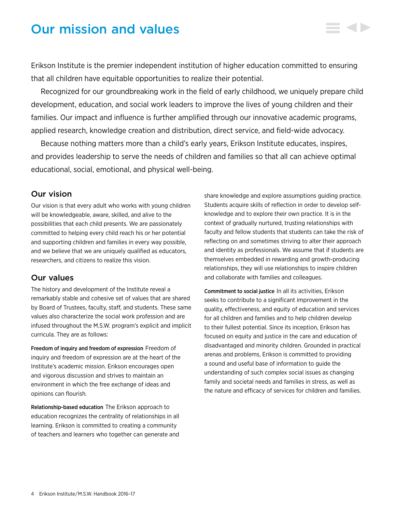# <span id="page-4-0"></span>Our mission and values

Erikson Institute is the premier independent institution of higher education committed to ensuring that all children have equitable opportunities to realize their potential.

Recognized for our groundbreaking work in the field of early childhood, we uniquely prepare child development, education, and social work leaders to improve the lives of young children and their families. Our impact and influence is further amplified through our innovative academic programs, applied research, knowledge creation and distribution, direct service, and field-wide advocacy.

Because nothing matters more than a child's early years, Erikson Institute educates, inspires, and provides leadership to serve the needs of children and families so that all can achieve optimal educational, social, emotional, and physical well-being.

# Our vision

Our vision is that every adult who works with young children will be knowledgeable, aware, skilled, and alive to the possibilities that each child presents. We are passionately committed to helping every child reach his or her potential and supporting children and families in every way possible, and we believe that we are uniquely qualified as educators, researchers, and citizens to realize this vision.

# Our values

The history and development of the Institute reveal a remarkably stable and cohesive set of values that are shared by Board of Trustees, faculty, staff, and students. These same values also characterize the social work profession and are infused throughout the M.S.W. program's explicit and implicit curricula. They are as follows:

Freedom of inquiry and freedom of expression Freedom of inquiry and freedom of expression are at the heart of the Institute's academic mission. Erikson encourages open and vigorous discussion and strives to maintain an environment in which the free exchange of ideas and opinions can flourish.

Relationship-based education The Erikson approach to education recognizes the centrality of relationships in all learning. Erikson is committed to creating a community of teachers and learners who together can generate and

share knowledge and explore assumptions guiding practice. Students acquire skills of reflection in order to develop selfknowledge and to explore their own practice. It is in the context of gradually nurtured, trusting relationships with faculty and fellow students that students can take the risk of reflecting on and sometimes striving to alter their approach and identity as professionals. We assume that if students are themselves embedded in rewarding and growth-producing relationships, they will use relationships to inspire children and collaborate with families and colleagues.

Commitment to social justice In all its activities, Erikson seeks to contribute to a significant improvement in the quality, effectiveness, and equity of education and services for all children and families and to help children develop to their fullest potential. Since its inception, Erikson has focused on equity and justice in the care and education of disadvantaged and minority children. Grounded in practical arenas and problems, Erikson is committed to providing a sound and useful base of information to guide the understanding of such complex social issues as changing family and societal needs and families in stress, as well as the nature and efficacy of services for children and families.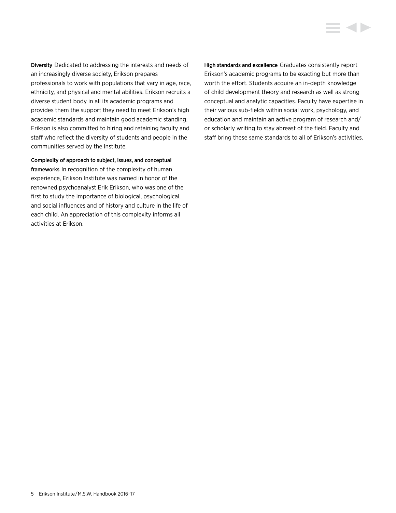Diversity Dedicated to addressing the interests and needs of an increasingly diverse society, Erikson prepares professionals to work with populations that vary in age, race, ethnicity, and physical and mental abilities. Erikson recruits a diverse student body in all its academic programs and provides them the support they need to meet Erikson's high academic standards and maintain good academic standing. Erikson is also committed to hiring and retaining faculty and staff who reflect the diversity of students and people in the communities served by the Institute.

Complexity of approach to subject, issues, and conceptual frameworks In recognition of the complexity of human experience, Erikson Institute was named in honor of the renowned psychoanalyst Erik Erikson, who was one of the first to study the importance of biological, psychological, and social influences and of history and culture in the life of each child. An appreciation of this complexity informs all activities at Erikson.

High standards and excellence Graduates consistently report Erikson's academic programs to be exacting but more than worth the effort. Students acquire an in-depth knowledge of child development theory and research as well as strong conceptual and analytic capacities. Faculty have expertise in their various sub-fields within social work, psychology, and education and maintain an active program of research and/ or scholarly writing to stay abreast of the field. Faculty and staff bring these same standards to all of Erikson's activities.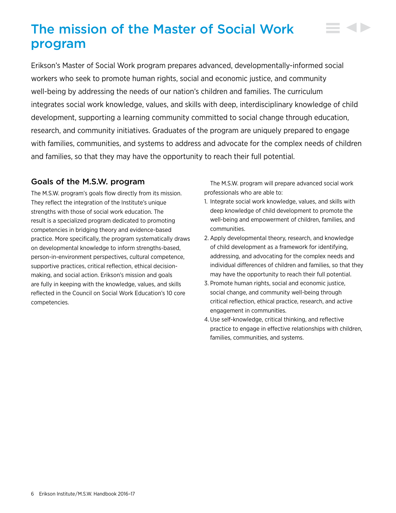# <span id="page-6-0"></span>The mission of the Master of Social Work program

Erikson's Master of Social Work program prepares advanced, developmentally-informed social workers who seek to promote human rights, social and economic justice, and community well-being by addressing the needs of our nation's children and families. The curriculum integrates social work knowledge, values, and skills with deep, interdisciplinary knowledge of child development, supporting a learning community committed to social change through education, research, and community initiatives. Graduates of the program are uniquely prepared to engage with families, communities, and systems to address and advocate for the complex needs of children and families, so that they may have the opportunity to reach their full potential.

# Goals of the M.S.W. program

The M.S.W. program's goals flow directly from its mission. They reflect the integration of the Institute's unique strengths with those of social work education. The result is a specialized program dedicated to promoting competencies in bridging theory and evidence-based practice. More specifically, the program systematically draws on developmental knowledge to inform strengths-based, person-in-environment perspectives, cultural competence, supportive practices, critical reflection, ethical decisionmaking, and social action. Erikson's mission and goals are fully in keeping with the knowledge, values, and skills reflected in the Council on Social Work Education's 10 core competencies.

The M.S.W. program will prepare advanced social work professionals who are able to:

- 1. Integrate social work knowledge, values, and skills with deep knowledge of child development to promote the well-being and empowerment of children, families, and communities.
- 2. Apply developmental theory, research, and knowledge of child development as a framework for identifying, addressing, and advocating for the complex needs and individual differences of children and families, so that they may have the opportunity to reach their full potential.
- 3. Promote human rights, social and economic justice, social change, and community well-being through critical reflection, ethical practice, research, and active engagement in communities.
- 4.Use self-knowledge, critical thinking, and reflective practice to engage in effective relationships with children, families, communities, and systems.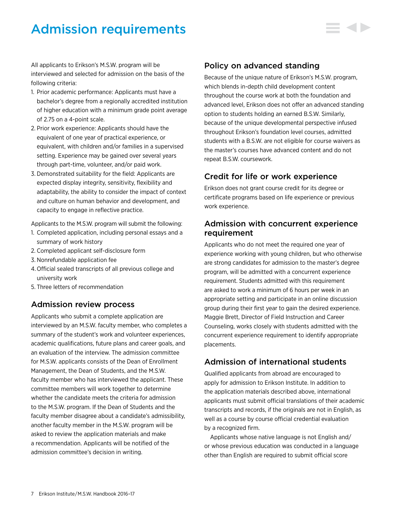# <span id="page-7-0"></span>Admission requirements

All applicants to Erikson's M.S.W. program will be interviewed and selected for admission on the basis of the following criteria:

- 1. Prior academic performance: Applicants must have a bachelor's degree from a regionally accredited institution of higher education with a minimum grade point average of 2.75 on a 4-point scale.
- 2. Prior work experience: Applicants should have the equivalent of one year of practical experience, or equivalent, with children and/or families in a supervised setting. Experience may be gained over several years through part-time, volunteer, and/or paid work.
- 3. Demonstrated suitability for the field: Applicants are expected display integrity, sensitivity, flexibility and adaptability, the ability to consider the impact of context and culture on human behavior and development, and capacity to engage in reflective practice.

Applicants to the M.S.W. program will submit the following:

- 1. Completed application, including personal essays and a summary of work history
- 2. Completed applicant self-disclosure form
- 3. Nonrefundable application fee
- 4. Official sealed transcripts of all previous college and university work
- 5. Three letters of recommendation

# Admission review process

Applicants who submit a complete application are interviewed by an M.S.W. faculty member, who completes a summary of the student's work and volunteer experiences, academic qualifications, future plans and career goals, and an evaluation of the interview. The admission committee for M.S.W. applicants consists of the Dean of Enrollment Management, the Dean of Students, and the M.S.W. faculty member who has interviewed the applicant. These committee members will work together to determine whether the candidate meets the criteria for admission to the M.S.W. program. If the Dean of Students and the faculty member disagree about a candidate's admissibility, another faculty member in the M.S.W. program will be asked to review the application materials and make a recommendation. Applicants will be notified of the admission committee's decision in writing.

# Policy on advanced standing

Because of the unique nature of Erikson's M.S.W. program, which blends in-depth child development content throughout the course work at both the foundation and advanced level, Erikson does not offer an advanced standing option to students holding an earned B.S.W. Similarly, because of the unique developmental perspective infused throughout Erikson's foundation level courses, admitted students with a B.S.W. are not eligible for course waivers as the master's courses have advanced content and do not repeat B.S.W. coursework.

# Credit for life or work experience

Erikson does not grant course credit for its degree or certificate programs based on life experience or previous work experience.

# Admission with concurrent experience requirement

Applicants who do not meet the required one year of experience working with young children, but who otherwise are strong candidates for admission to the master's degree program, will be admitted with a concurrent experience requirement. Students admitted with this requirement are asked to work a minimum of 6 hours per week in an appropriate setting and participate in an online discussion group during their first year to gain the desired experience. Maggie Brett, Director of Field Instruction and Career Counseling, works closely with students admitted with the concurrent experience requirement to identify appropriate placements.

# Admission of international students

Qualified applicants from abroad are encouraged to apply for admission to Erikson Institute. In addition to the application materials described above, international applicants must submit official translations of their academic transcripts and records, if the originals are not in English, as well as a course by course official credential evaluation by a recognized firm.

Applicants whose native language is not English and/ or whose previous education was conducted in a language other than English are required to submit official score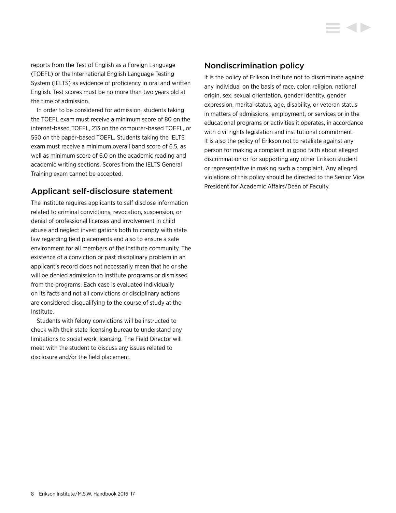reports from the Test of English as a Foreign Language (TOEFL) or the International English Language Testing System (IELTS) as evidence of proficiency in oral and written English. Test scores must be no more than two years old at the time of admission.

In order to be considered for admission, students taking the TOEFL exam must receive a minimum score of 80 on the internet-based TOEFL, 213 on the computer-based TOEFL, or 550 on the paper-based TOEFL. Students taking the IELTS exam must receive a minimum overall band score of 6.5, as well as minimum score of 6.0 on the academic reading and academic writing sections. Scores from the IELTS General Training exam cannot be accepted.

# Applicant self-disclosure statement

The Institute requires applicants to self disclose information related to criminal convictions, revocation, suspension, or denial of professional licenses and involvement in child abuse and neglect investigations both to comply with state law regarding field placements and also to ensure a safe environment for all members of the Institute community. The existence of a conviction or past disciplinary problem in an applicant's record does not necessarily mean that he or she will be denied admission to Institute programs or dismissed from the programs. Each case is evaluated individually on its facts and not all convictions or disciplinary actions are considered disqualifying to the course of study at the Institute.

Students with felony convictions will be instructed to check with their state licensing bureau to understand any limitations to social work licensing. The Field Director will meet with the student to discuss any issues related to disclosure and/or the field placement.

# Nondiscrimination policy

It is the policy of Erikson Institute not to discriminate against any individual on the basis of race, color, religion, national origin, sex, sexual orientation, gender identity, gender expression, marital status, age, disability, or veteran status in matters of admissions, employment, or services or in the educational programs or activities it operates, in accordance with civil rights legislation and institutional commitment. It is also the policy of Erikson not to retaliate against any person for making a complaint in good faith about alleged discrimination or for supporting any other Erikson student or representative in making such a complaint. Any alleged violations of this policy should be directed to the Senior Vice President for Academic Affairs/Dean of Faculty.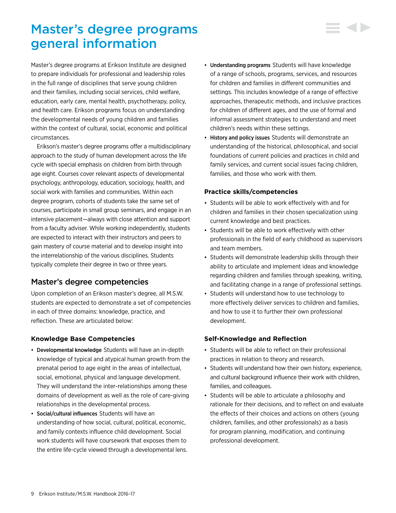# <span id="page-9-0"></span>Master's degree programs general information

Master's degree programs at Erikson Institute are designed to prepare individuals for professional and leadership roles in the full range of disciplines that serve young children and their families, including social services, child welfare, education, early care, mental health, psychotherapy, policy, and health care. Erikson programs focus on understanding the developmental needs of young children and families within the context of cultural, social, economic and political circumstances.

Erikson's master's degree programs offer a multidisciplinary approach to the study of human development across the life cycle with special emphasis on children from birth through age eight. Courses cover relevant aspects of developmental psychology, anthropology, education, sociology, health, and social work with families and communities. Within each degree program, cohorts of students take the same set of courses, participate in small group seminars, and engage in an intensive placement—always with close attention and support from a faculty adviser. While working independently, students are expected to interact with their instructors and peers to gain mastery of course material and to develop insight into the interrelationship of the various disciplines. Students typically complete their degree in two or three years.

# Master's degree competencies

Upon completion of an Erikson master's degree, all M.S.W. students are expected to demonstrate a set of competencies in each of three domains: knowledge, practice, and reflection. These are articulated below:

# **Knowledge Base Competencies**

- Developmental knowledge Students will have an in-depth knowledge of typical and atypical human growth from the prenatal period to age eight in the areas of intellectual, social, emotional, physical and language development. They will understand the inter-relationships among these domains of development as well as the role of care-giving relationships in the developmental process.
- Social/cultural influences Students will have an understanding of how social, cultural, political, economic, and family contexts influence child development. Social work students will have coursework that exposes them to the entire life-cycle viewed through a developmental lens.
- Understanding programs Students will have knowledge of a range of schools, programs, services, and resources for children and families in different communities and settings. This includes knowledge of a range of effective approaches, therapeutic methods, and inclusive practices for children of different ages, and the use of formal and informal assessment strategies to understand and meet children's needs within these settings.
- History and policy issues Students will demonstrate an understanding of the historical, philosophical, and social foundations of current policies and practices in child and family services, and current social issues facing children, families, and those who work with them.

### **Practice skills/competencies**

- Students will be able to work effectively with and for children and families in their chosen specialization using current knowledge and best practices.
- Students will be able to work effectively with other professionals in the field of early childhood as supervisors and team members.
- Students will demonstrate leadership skills through their ability to articulate and implement ideas and knowledge regarding children and families through speaking, writing, and facilitating change in a range of professional settings.
- Students will understand how to use technology to more effectively deliver services to children and families, and how to use it to further their own professional development.

## **Self-Knowledge and Reflection**

- Students will be able to reflect on their professional practices in relation to theory and research.
- Students will understand how their own history, experience, and cultural background influence their work with children, families, and colleagues.
- Students will be able to articulate a philosophy and rationale for their decisions, and to reflect on and evaluate the effects of their choices and actions on others (young children, families, and other professionals) as a basis for program planning, modification, and continuing professional development.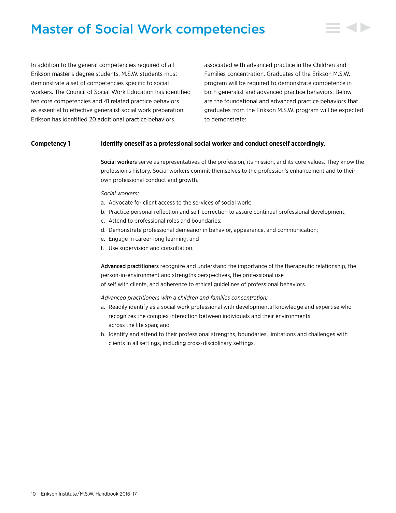# <span id="page-10-0"></span>Master of Social Work competencies



In addition to the general competencies required of all Erikson master's degree students, M.S.W. students must demonstrate a set of competencies specific to social workers. The Council of Social Work Education has identified ten core competencies and 41 related practice behaviors as essential to effective generalist social work preparation. Erikson has identified 20 additional practice behaviors

associated with advanced practice in the Children and Families concentration. Graduates of the Erikson M.S.W. program will be required to demonstrate competence in both generalist and advanced practice behaviors. Below are the foundational and advanced practice behaviors that graduates from the Erikson M.S.W. program will be expected to demonstrate:

### **Competency 1 Identify oneself as a professional social worker and conduct oneself accordingly.**

Social workers serve as representatives of the profession, its mission, and its core values. They know the profession's history. Social workers commit themselves to the profession's enhancement and to their own professional conduct and growth.

### *Social workers:*

- a. Advocate for client access to the services of social work;
- b. Practice personal reflection and self-correction to assure continual professional development;
- c. Attend to professional roles and boundaries;
- d. Demonstrate professional demeanor in behavior, appearance, and communication;
- e. Engage in career-long learning; and
- f. Use supervision and consultation.

Advanced practitioners recognize and understand the importance of the therapeutic relationship, the person-in-environment and strengths perspectives, the professional use of self with clients, and adherence to ethical guidelines of professional behaviors.

- a. Readily identify as a social work professional with developmental knowledge and expertise who recognizes the complex interaction between individuals and their environments across the life span; and
- b. Identify and attend to their professional strengths, boundaries, limitations and challenges with clients in all settings, including cross-disciplinary settings.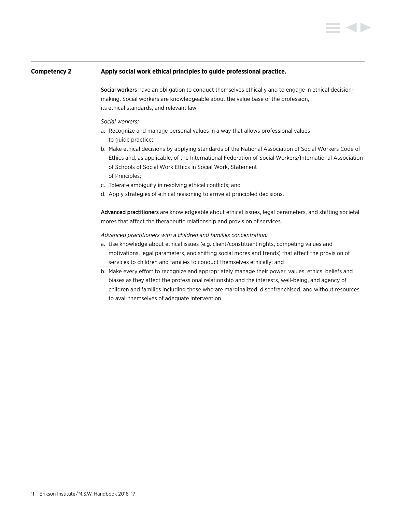### **Competency 2 Apply social work ethical principles to guide professional practice.**

Social workers have an obligation to conduct themselves ethically and to engage in ethical decisionmaking. Social workers are knowledgeable about the value base of the profession, its ethical standards, and relevant law.

### *Social workers:*

- a. Recognize and manage personal values in a way that allows professional values to guide practice;
- b. Make ethical decisions by applying standards of the National Association of Social Workers Code of Ethics and, as applicable, of the International Federation of Social Workers/International Association of Schools of Social Work Ethics in Social Work, Statement of Principles;
- c. Tolerate ambiguity in resolving ethical conflicts; and
- d. Apply strategies of ethical reasoning to arrive at principled decisions.

Advanced practitioners are knowledgeable about ethical issues, legal parameters, and shifting societal mores that affect the therapeutic relationship and provision of services.

- a. Use knowledge about ethical issues (e.g. client/constituent rights, competing values and motivations, legal parameters, and shifting social mores and trends) that affect the provision of services to children and families to conduct themselves ethically; and
- b. Make every effort to recognize and appropriately manage their power, values, ethics, beliefs and biases as they affect the professional relationship and the interests, well-being, and agency of children and families including those who are marginalized, disenfranchised, and without resources to avail themselves of adequate intervention.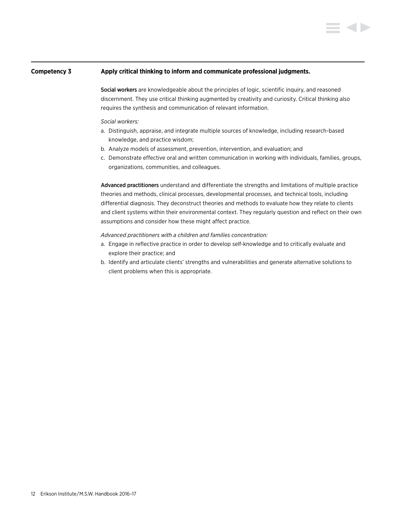### **Competency 3 Apply critical thinking to inform and communicate professional judgments.**

Social workers are knowledgeable about the principles of logic, scientific inquiry, and reasoned discernment. They use critical thinking augmented by creativity and curiosity. Critical thinking also requires the synthesis and communication of relevant information.

### *Social workers:*

- a. Distinguish, appraise, and integrate multiple sources of knowledge, including research-based knowledge, and practice wisdom;
- b. Analyze models of assessment, prevention, intervention, and evaluation; and
- c. Demonstrate effective oral and written communication in working with individuals, families, groups, organizations, communities, and colleagues.

Advanced practitioners understand and differentiate the strengths and limitations of multiple practice theories and methods, clinical processes, developmental processes, and technical tools, including differential diagnosis. They deconstruct theories and methods to evaluate how they relate to clients and client systems within their environmental context. They regularly question and reflect on their own assumptions and consider how these might affect practice.

- a. Engage in reflective practice in order to develop self-knowledge and to critically evaluate and explore their practice; and
- b. Identify and articulate clients' strengths and vulnerabilities and generate alternative solutions to client problems when this is appropriate.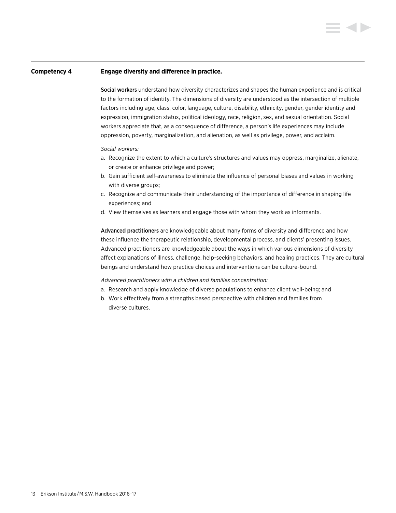### **Competency 4 Engage diversity and difference in practice.**

Social workers understand how diversity characterizes and shapes the human experience and is critical to the formation of identity. The dimensions of diversity are understood as the intersection of multiple factors including age, class, color, language, culture, disability, ethnicity, gender, gender identity and expression, immigration status, political ideology, race, religion, sex, and sexual orientation. Social workers appreciate that, as a consequence of difference, a person's life experiences may include oppression, poverty, marginalization, and alienation, as well as privilege, power, and acclaim.

### *Social workers:*

- a. Recognize the extent to which a culture's structures and values may oppress, marginalize, alienate, or create or enhance privilege and power;
- b. Gain sufficient self-awareness to eliminate the influence of personal biases and values in working with diverse groups;
- c. Recognize and communicate their understanding of the importance of difference in shaping life experiences; and
- d. View themselves as learners and engage those with whom they work as informants.

Advanced practitioners are knowledgeable about many forms of diversity and difference and how these influence the therapeutic relationship, developmental process, and clients' presenting issues. Advanced practitioners are knowledgeable about the ways in which various dimensions of diversity affect explanations of illness, challenge, help-seeking behaviors, and healing practices. They are cultural beings and understand how practice choices and interventions can be culture-bound.

- a. Research and apply knowledge of diverse populations to enhance client well-being; and
- b. Work effectively from a strengths based perspective with children and families from diverse cultures.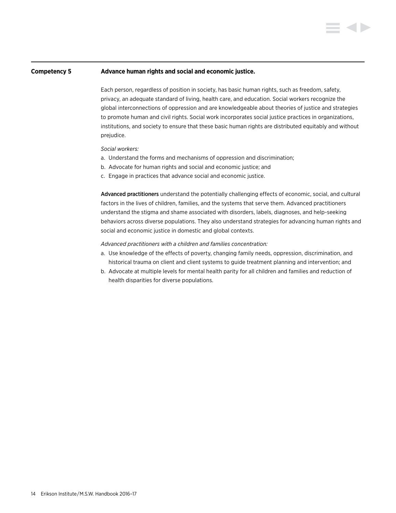### **Competency 5 Advance human rights and social and economic justice.**

Each person, regardless of position in society, has basic human rights, such as freedom, safety, privacy, an adequate standard of living, health care, and education. Social workers recognize the global interconnections of oppression and are knowledgeable about theories of justice and strategies to promote human and civil rights. Social work incorporates social justice practices in organizations, institutions, and society to ensure that these basic human rights are distributed equitably and without prejudice.

### *Social workers:*

- a. Understand the forms and mechanisms of oppression and discrimination;
- b. Advocate for human rights and social and economic justice; and
- c. Engage in practices that advance social and economic justice.

Advanced practitioners understand the potentially challenging effects of economic, social, and cultural factors in the lives of children, families, and the systems that serve them. Advanced practitioners understand the stigma and shame associated with disorders, labels, diagnoses, and help-seeking behaviors across diverse populations. They also understand strategies for advancing human rights and social and economic justice in domestic and global contexts.

- a. Use knowledge of the effects of poverty, changing family needs, oppression, discrimination, and historical trauma on client and client systems to guide treatment planning and intervention; and
- b. Advocate at multiple levels for mental health parity for all children and families and reduction of health disparities for diverse populations.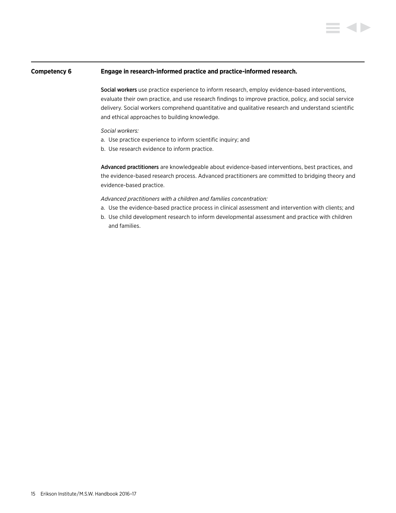### **Competency 6 Engage in research-informed practice and practice-informed research.**

Social workers use practice experience to inform research, employ evidence-based interventions, evaluate their own practice, and use research findings to improve practice, policy, and social service delivery. Social workers comprehend quantitative and qualitative research and understand scientific and ethical approaches to building knowledge.

### *Social workers:*

- a. Use practice experience to inform scientific inquiry; and
- b. Use research evidence to inform practice.

Advanced practitioners are knowledgeable about evidence-based interventions, best practices, and the evidence-based research process. Advanced practitioners are committed to bridging theory and evidence-based practice.

- a. Use the evidence-based practice process in clinical assessment and intervention with clients; and
- b. Use child development research to inform developmental assessment and practice with children and families.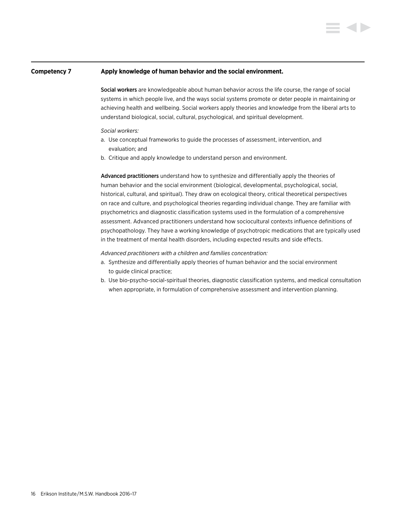### **Competency 7 Apply knowledge of human behavior and the social environment.**

Social workers are knowledgeable about human behavior across the life course, the range of social systems in which people live, and the ways social systems promote or deter people in maintaining or achieving health and wellbeing. Social workers apply theories and knowledge from the liberal arts to understand biological, social, cultural, psychological, and spiritual development.

### *Social workers:*

- a. Use conceptual frameworks to guide the processes of assessment, intervention, and evaluation; and
- b. Critique and apply knowledge to understand person and environment.

Advanced practitioners understand how to synthesize and differentially apply the theories of human behavior and the social environment (biological, developmental, psychological, social, historical, cultural, and spiritual). They draw on ecological theory, critical theoretical perspectives on race and culture, and psychological theories regarding individual change. They are familiar with psychometrics and diagnostic classification systems used in the formulation of a comprehensive assessment. Advanced practitioners understand how sociocultural contexts influence definitions of psychopathology. They have a working knowledge of psychotropic medications that are typically used in the treatment of mental health disorders, including expected results and side effects.

- a. Synthesize and differentially apply theories of human behavior and the social environment to guide clinical practice;
- b. Use bio-psycho-social-spiritual theories, diagnostic classification systems, and medical consultation when appropriate, in formulation of comprehensive assessment and intervention planning.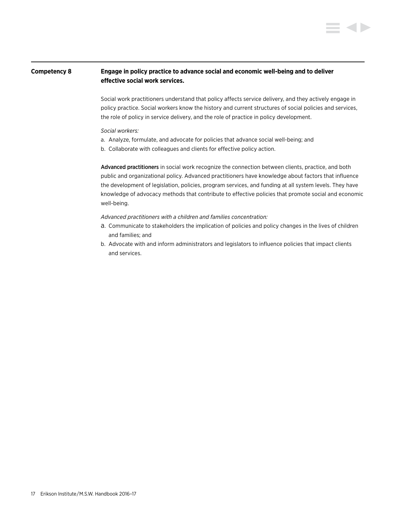# **Competency 8 Engage in policy practice to advance social and economic well-being and to deliver effective social work services.**

Social work practitioners understand that policy affects service delivery, and they actively engage in policy practice. Social workers know the history and current structures of social policies and services, the role of policy in service delivery, and the role of practice in policy development.

### *Social workers:*

- a. Analyze, formulate, and advocate for policies that advance social well-being; and
- b. Collaborate with colleagues and clients for effective policy action.

Advanced practitioners in social work recognize the connection between clients, practice, and both public and organizational policy. Advanced practitioners have knowledge about factors that influence the development of legislation, policies, program services, and funding at all system levels. They have knowledge of advocacy methods that contribute to effective policies that promote social and economic well-being.

- a. Communicate to stakeholders the implication of policies and policy changes in the lives of children and families; and
- b. Advocate with and inform administrators and legislators to influence policies that impact clients and services.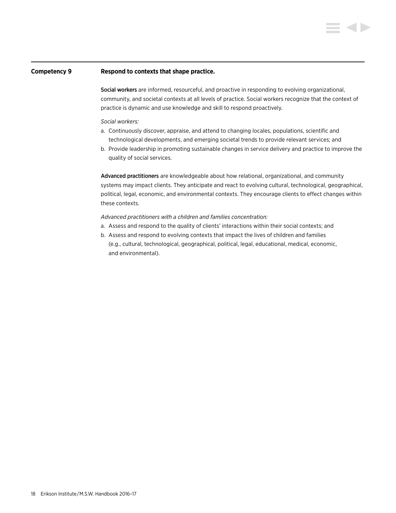### **Competency 9 Respond to contexts that shape practice.**

Social workers are informed, resourceful, and proactive in responding to evolving organizational, community, and societal contexts at all levels of practice. Social workers recognize that the context of practice is dynamic and use knowledge and skill to respond proactively.

### *Social workers:*

- a. Continuously discover, appraise, and attend to changing locales, populations, scientific and technological developments, and emerging societal trends to provide relevant services; and
- b. Provide leadership in promoting sustainable changes in service delivery and practice to improve the quality of social services.

Advanced practitioners are knowledgeable about how relational, organizational, and community systems may impact clients. They anticipate and react to evolving cultural, technological, geographical, political, legal, economic, and environmental contexts. They encourage clients to effect changes within these contexts.

- a. Assess and respond to the quality of clients' interactions within their social contexts; and
- b. Assess and respond to evolving contexts that impact the lives of children and families (e.g., cultural, technological, geographical, political, legal, educational, medical, economic, and environmental).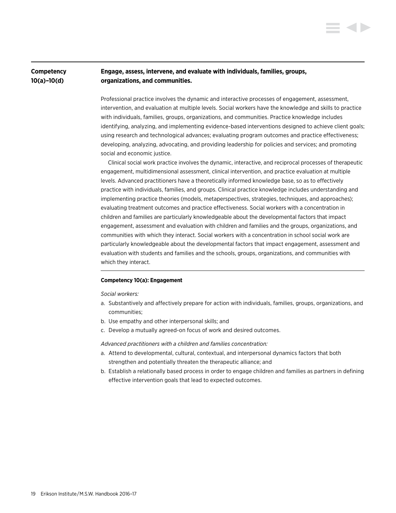# **Competency Engage, assess, intervene, and evaluate with individuals, families, groups, 10(a)–10(d) organizations, and communities.**

Professional practice involves the dynamic and interactive processes of engagement, assessment, intervention, and evaluation at multiple levels. Social workers have the knowledge and skills to practice with individuals, families, groups, organizations, and communities. Practice knowledge includes identifying, analyzing, and implementing evidence-based interventions designed to achieve client goals; using research and technological advances; evaluating program outcomes and practice effectiveness; developing, analyzing, advocating, and providing leadership for policies and services; and promoting social and economic justice.

Clinical social work practice involves the dynamic, interactive, and reciprocal processes of therapeutic engagement, multidimensional assessment, clinical intervention, and practice evaluation at multiple levels. Advanced practitioners have a theoretically informed knowledge base, so as to effectively practice with individuals, families, and groups. Clinical practice knowledge includes understanding and implementing practice theories (models, metaperspectives, strategies, techniques, and approaches); evaluating treatment outcomes and practice effectiveness. Social workers with a concentration in children and families are particularly knowledgeable about the developmental factors that impact engagement, assessment and evaluation with children and families and the groups, organizations, and communities with which they interact. Social workers with a concentration in school social work are particularly knowledgeable about the developmental factors that impact engagement, assessment and evaluation with students and families and the schools, groups, organizations, and communities with which they interact.

### **Competency 10(a): Engagement**

### *Social workers:*

- a. Substantively and affectively prepare for action with individuals, families, groups, organizations, and communities;
- b. Use empathy and other interpersonal skills; and
- c. Develop a mutually agreed-on focus of work and desired outcomes.

- a. Attend to developmental, cultural, contextual, and interpersonal dynamics factors that both strengthen and potentially threaten the therapeutic alliance; and
- b. Establish a relationally based process in order to engage children and families as partners in defining effective intervention goals that lead to expected outcomes.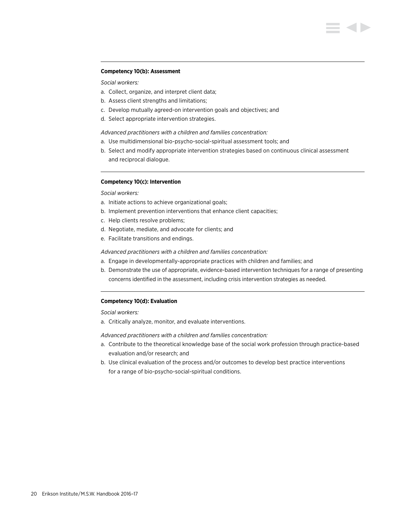#### **Competency 10(b): Assessment**

### *Social workers:*

- a. Collect, organize, and interpret client data;
- b. Assess client strengths and limitations;
- c. Develop mutually agreed-on intervention goals and objectives; and
- d. Select appropriate intervention strategies.

### *Advanced practitioners with a children and families concentration:*

- a. Use multidimensional bio-psycho-social-spiritual assessment tools; and
- b. Select and modify appropriate intervention strategies based on continuous clinical assessment and reciprocal dialogue.

### **Competency 10(c): Intervention**

### *Social workers:*

- a. Initiate actions to achieve organizational goals;
- b. Implement prevention interventions that enhance client capacities;
- c. Help clients resolve problems;
- d. Negotiate, mediate, and advocate for clients; and
- e. Facilitate transitions and endings.

### *Advanced practitioners with a children and families concentration:*

- a. Engage in developmentally-appropriate practices with children and families; and
- b. Demonstrate the use of appropriate, evidence-based intervention techniques for a range of presenting concerns identified in the assessment, including crisis intervention strategies as needed.

### **Competency 10(d): Evaluation**

### *Social workers:*

a. Critically analyze, monitor, and evaluate interventions.

- a. Contribute to the theoretical knowledge base of the social work profession through practice-based evaluation and/or research; and
- b. Use clinical evaluation of the process and/or outcomes to develop best practice interventions for a range of bio-psycho-social-spiritual conditions.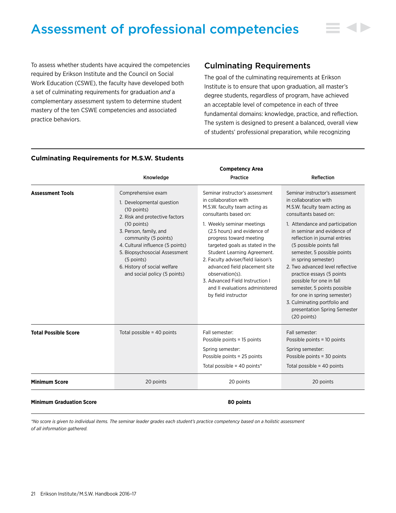# <span id="page-21-0"></span>Assessment of professional competencies

To assess whether students have acquired the competencies required by Erikson Institute and the Council on Social Work Education (CSWE), the faculty have developed both a set of culminating requirements for graduation *and* a complementary assessment system to determine student mastery of the ten CSWE competencies and associated practice behaviors.

# Culminating Requirements

The goal of the culminating requirements at Erikson Institute is to ensure that upon graduation, all master's degree students, regardless of program, have achieved an acceptable level of competence in each of three fundamental domains: knowledge, practice, and reflection. The system is designed to present a balanced, overall view of students' professional preparation, while recognizing

|                             |                                                                                                                                                                                                                                                                                                                          | <b>Competency Area</b>                                                                                                                                                                                                                                                                                                                                                                                                                                              |                                                                                                                                                                                                                                                                                                                                                                                                                                                                                                                                                 |
|-----------------------------|--------------------------------------------------------------------------------------------------------------------------------------------------------------------------------------------------------------------------------------------------------------------------------------------------------------------------|---------------------------------------------------------------------------------------------------------------------------------------------------------------------------------------------------------------------------------------------------------------------------------------------------------------------------------------------------------------------------------------------------------------------------------------------------------------------|-------------------------------------------------------------------------------------------------------------------------------------------------------------------------------------------------------------------------------------------------------------------------------------------------------------------------------------------------------------------------------------------------------------------------------------------------------------------------------------------------------------------------------------------------|
|                             | Knowledge                                                                                                                                                                                                                                                                                                                | Practice                                                                                                                                                                                                                                                                                                                                                                                                                                                            | Reflection                                                                                                                                                                                                                                                                                                                                                                                                                                                                                                                                      |
| <b>Assessment Tools</b>     | Comprehensive exam<br>1. Developmental question<br>$(10$ points)<br>2. Risk and protective factors<br>$(10$ points)<br>3. Person, family, and<br>community (5 points)<br>4. Cultural influence (5 points)<br>5. Biopsychosocial Assessment<br>(5 points)<br>6. History of social welfare<br>and social policy (5 points) | Seminar instructor's assessment<br>in collaboration with<br>M.S.W. faculty team acting as<br>consultants based on:<br>1. Weekly seminar meetings<br>(2.5 hours) and evidence of<br>progress toward meeting<br>targeted goals as stated in the<br>Student Learning Agreement.<br>2. Faculty adviser/field liaison's<br>advanced field placement site<br>observation(s).<br>3. Advanced Field Instruction I<br>and II evaluations administered<br>by field instructor | Seminar instructor's assessment<br>in collaboration with<br>M.S.W. faculty team acting as<br>consultants based on:<br>1. Attendance and participation<br>in seminar and evidence of<br>reflection in journal entries<br>(5 possible points fall<br>semester, 5 possible points<br>in spring semester)<br>2. Two advanced level reflective<br>practice essays (5 points<br>possible for one in fall<br>semester, 5 points possible<br>for one in spring semester)<br>3. Culminating portfolio and<br>presentation Spring Semester<br>(20 points) |
| <b>Total Possible Score</b> | Total possible = 40 points                                                                                                                                                                                                                                                                                               | Fall semester:<br>Possible points = 15 points<br>Spring semester:<br>Possible points = 25 points<br>Total possible = 40 points*                                                                                                                                                                                                                                                                                                                                     | Fall semester:<br>Possible points = 10 points<br>Spring semester:<br>Possible points = 30 points<br>Total possible = $40$ points                                                                                                                                                                                                                                                                                                                                                                                                                |
| <b>Minimum Score</b>        | 20 points                                                                                                                                                                                                                                                                                                                | 20 points                                                                                                                                                                                                                                                                                                                                                                                                                                                           | 20 points                                                                                                                                                                                                                                                                                                                                                                                                                                                                                                                                       |
|                             |                                                                                                                                                                                                                                                                                                                          |                                                                                                                                                                                                                                                                                                                                                                                                                                                                     |                                                                                                                                                                                                                                                                                                                                                                                                                                                                                                                                                 |

### **Culminating Requirements for M.S.W. Students**

**Minimum Graduation Score 80 points**

*\*No score is given to individual items. The seminar leader grades each student's practice competency based on a holistic assessment of all information gathered.*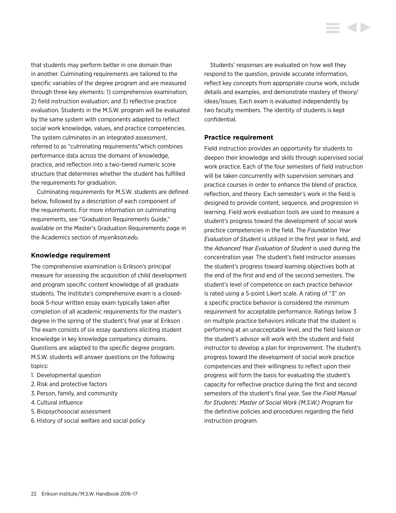that students may perform better in one domain than in another. Culminating requirements are tailored to the specific variables of the degree program and are measured through three key elements: 1) comprehensive examination; 2) field instruction evaluation; and 3) reflective practice evaluation. Students in the M.S.W. program will be evaluated by the same system with components adapted to reflect social work knowledge, values, and practice competencies. The system culminates in an integrated assessment, referred to as "culminating requirements"which combines performance data across the domains of knowledge, practice, and reflection into a two-tiered numeric score

structure that determines whether the student has fulfilled the requirements for graduation.

Culminating requirements for M.S.W. students are defined below, followed by a description of each component of the requirements. For more information on culminating requirements, see "Graduation Requirements Guide," available on the Master's Graduation Requirements page in the Academics section of *my.erikson.edu*.

### **Knowledge requirement**

The comprehensive examination is Erikson's principal measure for assessing the acquisition of child development and program specific content knowledge of all graduate students. The Institute's comprehensive exam is a closedbook 5-hour written essay exam typically taken after completion of all academic requirements for the master's degree in the spring of the student's final year at Erikson . The exam consists of six essay questions eliciting student knowledge in key knowledge competency domains. Questions are adapted to the specific degree program. M.S.W. students will answer questions on the following topics:

- 1. Developmental question
- 2. Risk and protective factors
- 3. Person, family, and community
- 4.Cultural influence
- 5. Biopsychosocial assessment
- 6.History of social welfare and social policy

Students' responses are evaluated on how well they respond to the question, provide accurate information, reflect key concepts from appropriate course work, include details and examples, and demonstrate mastery of theory/ ideas/issues. Each exam is evaluated independently by two faculty members. The identity of students is kept confidential.

### **Practice requirement**

Field instruction provides an opportunity for students to deepen their knowledge and skills through supervised social work practice. Each of the four semesters of field instruction will be taken concurrently with supervision seminars and practice courses in order to enhance the blend of practice, reflection, and theory. Each semester's work in the field is designed to provide content, sequence, and progression in learning. Field work evaluation tools are used to measure a student's progress toward the development of social work practice competencies in the field. The *Foundation Year Evaluation of Student* is utilized in the first year in field, and the *Advanced Year Evaluation of Student* is used during the concentration year. The student's field instructor assesses the student's progress toward learning objectives both at the end of the first and end of the second semesters. The student's level of competence on each practice behavior is rated using a 5-point Likert scale. A rating of "3" on a specific practice behavior is considered the minimum requirement for acceptable performance. Ratings below 3 on multiple practice behaviors indicate that the student is performing at an unacceptable level, and the field liaison or the student's advisor will work with the student and field instructor to develop a plan for improvement. The student's progress toward the development of social work practice competencies and their willingness to reflect upon their progress will form the basis for evaluating the student's capacity for reflective practice during the first and second semesters of the student's final year. See the *Field Manual for Students: Master of Social Work (M.S.W.) Program* for the definitive policies and procedures regarding the field instruction program.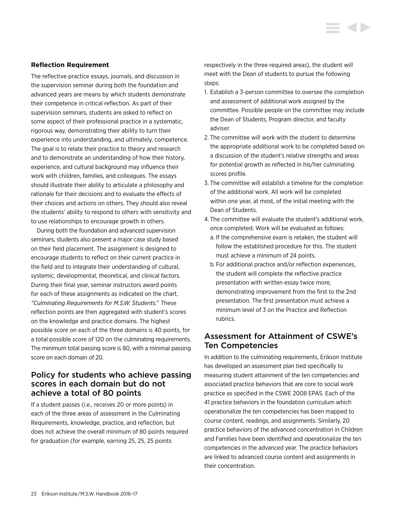### **Reflection Requirement**

The reflective practice essays, journals, and discussion in the supervision seminar during both the foundation and advanced years are means by which students demonstrate their competence in critical reflection. As part of their supervision seminars, students are asked to reflect on some aspect of their professional practice in a systematic, rigorous way, demonstrating their ability to turn their experience into understanding, and ultimately, competence. The goal is to relate their practice to theory and research and to demonstrate an understanding of how their history, experience, and cultural background may influence their work with children, families, and colleagues. The essays should illustrate their ability to articulate a philosophy and rationale for their decisions and to evaluate the effects of their choices and actions on others. They should also reveal the students' ability to respond to others with sensitivity and to use relationships to encourage growth in others.

During both the foundation and advanced supervision seminars, students also present a major case study based on their field placement. The assignment is designed to encourage students to reflect on their current practice in the field and to integrate their understanding of cultural, systemic, developmental, theoretical, and clinical factors. During their final year, seminar instructors award points for each of these assignments as indicated on the chart, *"Culminating Requirements for M.S.W. Students."* These reflection points are then aggregated with student's scores on the knowledge and practice domains. The highest possible score on each of the three domains is 40 points, for a total possible score of 120 on the culminating requirements. The minimum total passing score is 80, with a minimal passing score on each domain of 20.

# Policy for students who achieve passing scores in each domain but do not achieve a total of 80 points

If a student passes (i.e., receives 20 or more points) in each of the three areas of assessment in the Culminating Requirements, knowledge, practice, and reflection, but does not achieve the overall minimum of 80 points required for graduation (for example, earning 25, 25, 25 points

respectively in the three required areas), the student will meet with the Dean of students to pursue the following steps:

- 1. Establish a 3-person committee to oversee the completion and assessment of additional work assigned by the committee. Possible people on the committee may include the Dean of Students, Program director, and faculty adviser.
- 2. The committee will work with the student to determine the appropriate additional work to be completed based on a discussion of the student's relative strengths and areas for potential growth as reflected in his/her culminating scores profile.
- 3. The committee will establish a timeline for the completion of the additional work. All work will be completed within one year, at most, of the initial meeting with the Dean of Students.
- 4. The committee will evaluate the student's additional work, once completed. Work will be evaluated as follows:
	- a. If the comprehensive exam is retaken, the student will follow the established procedure for this. The student must achieve a minimum of 24 points.
	- b. For additional practice and/or reflection experiences, the student will complete the reflective practice presentation with written essay twice more, demonstrating improvement from the first to the 2nd presentation. The first presentation must achieve a minimum level of 3 on the Practice and Reflection rubrics.

# Assessment for Attainment of CSWE's Ten Competencies

In addition to the culminating requirements, Erikson Institute has developed an assessment plan tied specifically to measuring student attainment of the ten competencies and associated practice behaviors that are core to social work practice as specified in the CSWE 2008 EPAS. Each of the 41 practice behaviors in the foundation curriculum which operationalize the ten competencies has been mapped to course content, readings, and assignments. Similarly, 20 practice behaviors of the advanced concentration in Children and Families have been identified and operationalize the ten competencies in the advanced year. The practice behaviors are linked to advanced course content and assignments in their concentration.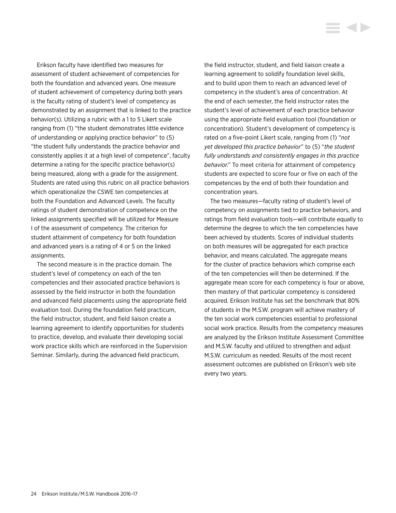Erikson faculty have identified two measures for assessment of student achievement of competencies for both the foundation and advanced years. One measure of student achievement of competency during both years is the faculty rating of student's level of competency as demonstrated by an assignment that is linked to the practice behavior(s). Utilizing a rubric with a 1 to 5 Likert scale ranging from (1) "the student demonstrates little evidence of understanding or applying practice behavior" to (5) "the student fully understands the practice behavior and consistently applies it at a high level of competence", faculty determine a rating for the specific practice behavior(s) being measured, along with a grade for the assignment. Students are rated using this rubric on all practice behaviors which operationalize the CSWE ten competencies at both the Foundation and Advanced Levels. The faculty ratings of student demonstration of competence on the linked assignments specified will be utilized for Measure I of the assessment of competency. The criterion for student attainment of competency for both foundation and advanced years is a rating of 4 or 5 on the linked assignments.

The second measure is in the practice domain. The student's level of competency on each of the ten competencies and their associated practice behaviors is assessed by the field instructor in both the foundation and advanced field placements using the appropriate field evaluation tool. During the foundation field practicum, the field instructor, student, and field liaison create a learning agreement to identify opportunities for students to practice, develop, and evaluate their developing social work practice skills which are reinforced in the Supervision Seminar. Similarly, during the advanced field practicum,

the field instructor, student, and field liaison create a learning agreement to solidify foundation level skills, and to build upon them to reach an advanced level of competency in the student's area of concentration. At the end of each semester, the field instructor rates the student's level of achievement of each practice behavior using the appropriate field evaluation tool (foundation or concentration). Student's development of competency is rated on a five-point Likert scale, ranging from (1) "*not yet developed this practice behavior*" to (5) "*the student fully understands and consistently engages in this practice behavior*." To meet criteria for attainment of competency students are expected to score four or five on each of the competencies by the end of both their foundation and concentration years.

The two measures—faculty rating of student's level of competency on assignments tied to practice behaviors, and ratings from field evaluation tools—will contribute equally to determine the degree to which the ten competencies have been achieved by students. Scores of individual students on both measures will be aggregated for each practice behavior, and means calculated. The aggregate means for the cluster of practice behaviors which comprise each of the ten competencies will then be determined. If the aggregate mean score for each competency is four or above, then mastery of that particular competency is considered acquired. Erikson Institute has set the benchmark that 80% of students in the M.S.W. program will achieve mastery of the ten social work competencies essential to professional social work practice. Results from the competency measures are analyzed by the Erikson Institute Assessment Committee and M.S.W. faculty and utilized to strengthen and adjust M.S.W. curriculum as needed. Results of the most recent assessment outcomes are published on Erikson's web site every two years.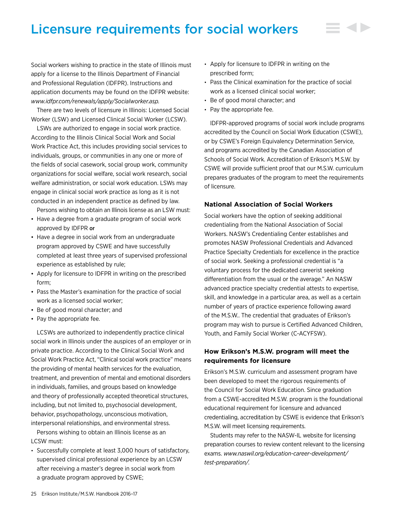# <span id="page-25-0"></span>Licensure requirements for social workers

Social workers wishing to practice in the state of Illinois must apply for a license to the Illinois Department of Financial and Professional Regulation (IDFPR). Instructions and application documents may be found on the IDFPR website: *[www.idfpr.com/renewals/apply/Socialworker.asp.](http://www.idfpr.com/renewals/apply/Socialworker.asp)*

There are two levels of licensure in Illinois: Licensed Social Worker (LSW) and Licensed Clinical Social Worker (LCSW).

LSWs are authorized to engage in social work practice. According to the Illinois Clinical Social Work and Social Work Practice Act, this includes providing social services to individuals, groups, or communities in any one or more of the fields of social casework, social group work, community organizations for social welfare, social work research, social welfare administration, or social work education. LSWs may engage in clinical social work practice as long as it is not conducted in an independent practice as defined by law.

Persons wishing to obtain an Illinois license as an LSW must:

- Have a degree from a graduate program of social work approved by IDFPR or
- Have a degree in social work from an undergraduate program approved by CSWE and have successfully completed at least three years of supervised professional experience as established by rule;
- Apply for licensure to IDFPR in writing on the prescribed form;
- Pass the Master's examination for the practice of social work as a licensed social worker;
- Be of good moral character; and
- Pay the appropriate fee.

LCSWs are authorized to independently practice clinical social work in Illinois under the auspices of an employer or in private practice. According to the Clinical Social Work and Social Work Practice Act, "Clinical social work practice" means the providing of mental health services for the evaluation, treatment, and prevention of mental and emotional disorders in individuals, families, and groups based on knowledge and theory of professionally accepted theoretical structures, including, but not limited to, psychosocial development, behavior, psychopathology, unconscious motivation, interpersonal relationships, and environmental stress.

Persons wishing to obtain an Illinois license as an LCSW must:

• Successfully complete at least 3,000 hours of satisfactory, supervised clinical professional experience by an LCSW after receiving a master's degree in social work from a graduate program approved by CSWE;

- Apply for licensure to IDFPR in writing on the prescribed form;
- Pass the Clinical examination for the practice of social work as a licensed clinical social worker;
- Be of good moral character; and
- Pay the appropriate fee.

IDFPR-approved programs of social work include programs accredited by the Council on Social Work Education (CSWE), or by CSWE's Foreign Equivalency Determination Service, and programs accredited by the Canadian Association of Schools of Social Work. Accreditation of Erikson's M.S.W. by CSWE will provide sufficient proof that our M.S.W. curriculum prepares graduates of the program to meet the requirements of licensure.

### **National Association of Social Workers**

Social workers have the option of seeking additional credentialing from the National Association of Social Workers. NASW's Credentialing Center establishes and promotes NASW Professional Credentials and Advanced Practice Specialty Credentials for excellence in the practice of social work. Seeking a professional credential is "a voluntary process for the dedicated careerist seeking differentiation from the usual or the average." An NASW advanced practice specialty credential attests to expertise, skill, and knowledge in a particular area, as well as a certain number of years of practice experience following award of the M.S.W.. The credential that graduates of Erikson's program may wish to pursue is Certified Advanced Children, Youth, and Family Social Worker (C-ACYFSW).

## **How Erikson's M.S.W. program will meet the requirements for licensure**

Erikson's M.S.W. curriculum and assessment program have been developed to meet the rigorous requirements of the Council for Social Work Education. Since graduation from a CSWE-accredited M.S.W. program is the foundational educational requirement for licensure and advanced credentialing, accreditation by CSWE is evidence that Erikson's M.S.W. will meet licensing requirements.

Students may refer to the NASW-IL website for licensing preparation courses to review content relevant to the licensing exams. *[www.naswil.org/education-career-development/](www.naswil.org/education-career-development/test-preparation/) [test-](www.naswil.org/education-career-development/test-preparation/)preparation/.*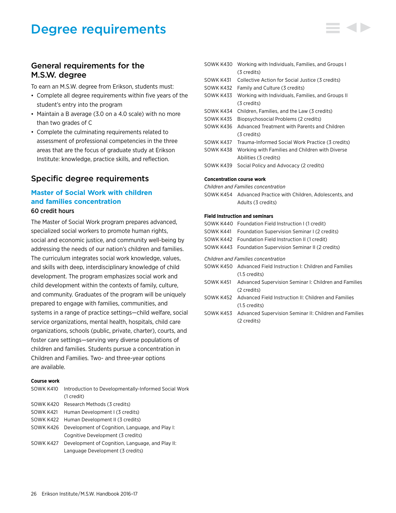# <span id="page-26-0"></span>Degree requirements

# General requirements for the M.S.W. degree

To earn an M.S.W. degree from Erikson, students must:

- Complete all degree requirements within five years of the student's entry into the program
- Maintain a B average (3.0 on a 4.0 scale) with no more than two grades of C
- Complete the culminating requirements related to assessment of professional competencies in the three areas that are the focus of graduate study at Erikson Institute: knowledge, practice skills, and reflection.

# Specific degree requirements

# **Master of Social Work with children and families concentration** 60 credit hours

The Master of Social Work program prepares advanced, specialized social workers to promote human rights, social and economic justice, and community well-being by addressing the needs of our nation's children and families. The curriculum integrates social work knowledge, values, and skills with deep, interdisciplinary knowledge of child development. The program emphasizes social work and child development within the contexts of family, culture, and community. Graduates of the program will be uniquely prepared to engage with families, communities, and systems in a range of practice settings—child welfare, social service organizations, mental health, hospitals, child care organizations, schools (public, private, charter), courts, and foster care settings—serving very diverse populations of children and families. Students pursue a concentration in Children and Families. Two- and three-year options are available.

### **Course work**

|           | SOWK K410 Introduction to Developmentally-Informed Social Work |
|-----------|----------------------------------------------------------------|
|           | $(1 \ncredit)$                                                 |
|           | SOWK K420 Research Methods (3 credits)                         |
| SOWK K421 | Human Development I (3 credits)                                |
|           | SOWK K422 Human Development II (3 credits)                     |
|           | SOWK K426 Development of Cognition, Language, and Play I:      |
|           | Cognitive Development (3 credits)                              |
|           | SOWK K427 Development of Cognition, Language, and Play II:     |
|           | Language Development (3 credits)                               |

| SOWK K430 | Working with Individuals, Families, and Groups I  |
|-----------|---------------------------------------------------|
|           | (3 credits)                                       |
| SOWK K431 | Collective Action for Social Justice (3 credits)  |
| SOWK K432 | Family and Culture (3 credits)                    |
| SOWK K433 | Working with Individuals, Families, and Groups II |
|           | (3 credits)                                       |
| SOWK K434 | Children, Families, and the Law (3 credits)       |
| SOWK K435 | Biopsychosocial Problems (2 credits)              |
| SOWK K436 | Advanced Treatment with Parents and Children      |
|           | (3 credits)                                       |
| SOWK K437 | Trauma-Informed Social Work Practice (3 credits)  |
| SOWK K438 | Working with Families and Children with Diverse   |
|           | Abilities (3 credits)                             |
| SOWK K439 | Social Policy and Advocacy (2 credits)            |
|           |                                                   |
|           | Cancantuation course work                         |

#### **Concentration course work**

*Children and Families concentration*

SOWK K454 Advanced Practice with Children, Adolescents, and Adults (3 credits)

### **Field Instruction and seminars**

|           | SOWK K440 Foundation Field Instruction I (1 credit)              |
|-----------|------------------------------------------------------------------|
|           | SOWK K441 Foundation Supervision Seminar I (2 credits)           |
|           | SOWK K442 Foundation Field Instruction II (1 credit)             |
|           | SOWK K443 Foundation Supervision Seminar II (2 credits)          |
|           | <b>Children and Families concentration</b>                       |
|           | SOWK K450 Advanced Field Instruction I: Children and Families    |
|           | $(1.5 \text{ credits})$                                          |
| SOWK K451 | Advanced Supervision Seminar I: Children and Families            |
|           | (2 credits)                                                      |
|           | SOWK K452 Advanced Field Instruction II: Children and Families   |
|           | $(1.5 \text{ credits})$                                          |
|           | SOWK K453 Advanced Supervision Seminar II: Children and Families |
|           | (2 credits)                                                      |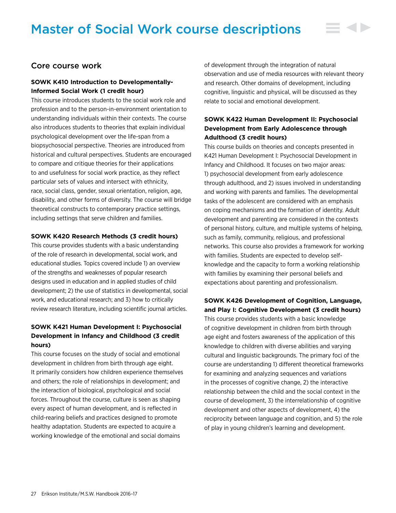# <span id="page-27-0"></span>Master of Social Work course descriptions

# Core course work

### **SOWK K410 Introduction to Developmentally-Informed Social Work (1 credit hour)**

This course introduces students to the social work role and profession and to the person-in-environment orientation to understanding individuals within their contexts. The course also introduces students to theories that explain individual psychological development over the life-span from a biopsychosocial perspective. Theories are introduced from historical and cultural perspectives. Students are encouraged to compare and critique theories for their applications to and usefulness for social work practice, as they reflect particular sets of values and intersect with ethnicity, race, social class, gender, sexual orientation, religion, age, disability, and other forms of diversity. The course will bridge theoretical constructs to contemporary practice settings, including settings that serve children and families.

### **SOWK K420 Research Methods (3 credit hours)**

This course provides students with a basic understanding of the role of research in developmental, social work, and educational studies. Topics covered include 1) an overview of the strengths and weaknesses of popular research designs used in education and in applied studies of child development; 2) the use of statistics in developmental, social work, and educational research; and 3) how to critically review research literature, including scientific journal articles.

# **SOWK K421 Human Development I: Psychosocial Development in Infancy and Childhood (3 credit hours)**

This course focuses on the study of social and emotional development in children from birth through age eight. It primarily considers how children experience themselves and others; the role of relationships in development; and the interaction of biological, psychological and social forces. Throughout the course, culture is seen as shaping every aspect of human development, and is reflected in child-rearing beliefs and practices designed to promote healthy adaptation. Students are expected to acquire a working knowledge of the emotional and social domains

of development through the integration of natural observation and use of media resources with relevant theory and research. Other domains of development, including cognitive, linguistic and physical, will be discussed as they relate to social and emotional development.

# **SOWK K422 Human Development II: Psychosocial Development from Early Adolescence through Adulthood (3 credit hours)**

This course builds on theories and concepts presented in K421 Human Development I: Psychosocial Development in Infancy and Childhood. It focuses on two major areas: 1) psychosocial development from early adolescence through adulthood, and 2) issues involved in understanding and working with parents and families. The developmental tasks of the adolescent are considered with an emphasis on coping mechanisms and the formation of identity. Adult development and parenting are considered in the contexts of personal history, culture, and multiple systems of helping, such as family, community, religious, and professional networks. This course also provides a framework for working with families. Students are expected to develop selfknowledge and the capacity to form a working relationship with families by examining their personal beliefs and expectations about parenting and professionalism.

## **SOWK K426 Development of Cognition, Language, and Play I: Cognitive Development (3 credit hours)**

This course provides students with a basic knowledge of cognitive development in children from birth through age eight and fosters awareness of the application of this knowledge to children with diverse abilities and varying cultural and linguistic backgrounds. The primary foci of the course are understanding 1) different theoretical frameworks for examining and analyzing sequences and variations in the processes of cognitive change, 2) the interactive relationship between the child and the social context in the course of development, 3) the interrelationship of cognitive development and other aspects of development, 4) the reciprocity between language and cognition, and 5) the role of play in young children's learning and development.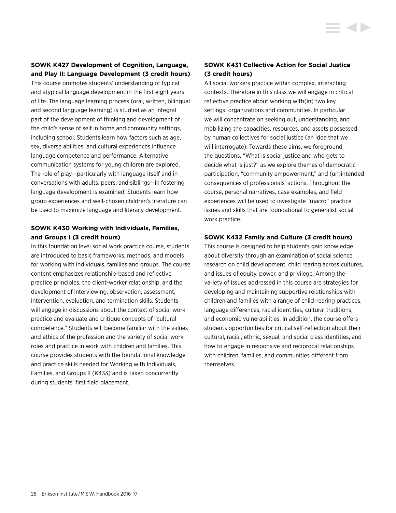### **SOWK K427 Development of Cognition, Language, and Play II: Language Development (3 credit hours)**

This course promotes students' understanding of typical and atypical language development in the first eight years of life. The language learning process (oral, written, bilingual and second language learning) is studied as an integral part of the development of thinking and development of the child's sense of self in home and community settings, including school. Students learn how factors such as age, sex, diverse abilities, and cultural experiences influence language competence and performance. Alternative communication systems for young children are explored. The role of play—particularly with language itself and in conversations with adults, peers, and siblings—in fostering language development is examined. Students learn how group experiences and well-chosen children's literature can be used to maximize language and literacy development.

# **SOWK K430 Working with Individuals, Families, and Groups I (3 credit hours)**

In this foundation level social work practice course, students are introduced to basic frameworks, methods, and models for working with individuals, families and groups. The course content emphasizes relationship-based and reflective practice principles, the client-worker relationship, and the development of interviewing, observation, assessment, intervention, evaluation, and termination skills. Students will engage in discussions about the context of social work practice and evaluate and critique concepts of "cultural competence." Students will become familiar with the values and ethics of the profession and the variety of social work roles and practice in work with children and families. This course provides students with the foundational knowledge and practice skills needed for Working with Individuals, Families, and Groups II (K433) and is taken concurrently during students' first field placement.

# **SOWK K431 Collective Action for Social Justice (3 credit hours)**

All social workers practice within complex, interacting contexts. Therefore in this class we will engage in critical reflective practice about working with(in) two key settings: organizations and communities. In particular we will concentrate on seeking out, understanding, and mobilizing the capacities, resources, and assets possessed by human collectives for social justice (an idea that we will interrogate). Towards these aims, we foreground the questions, "What is social justice and who gets to decide what is just?" as we explore themes of democratic participation, "community empowerment," and (un)intended consequences of professionals' actions. Throughout the course, personal narratives, case examples, and field experiences will be used to investigate "macro" practice issues and skills that are foundational to generalist social work practice.

### **SOWK K432 Family and Culture (3 credit hours)**

This course is designed to help students gain knowledge about diversity through an examination of social science research on child development, child rearing across cultures, and issues of equity, power, and privilege. Among the variety of issues addressed in this course are strategies for developing and maintaining supportive relationships with children and families with a range of child-rearing practices, language differences, racial identities, cultural traditions, and economic vulnerabilities. In addition, the course offers students opportunities for critical self-reflection about their cultural, racial, ethnic, sexual, and social class identities, and how to engage in responsive and reciprocal relationships with children, families, and communities different from themselves.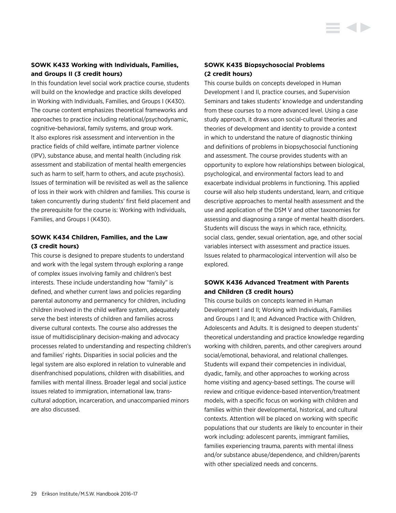# **SOWK K433 Working with Individuals, Families, and Groups II (3 credit hours)**

In this foundation level social work practice course, students will build on the knowledge and practice skills developed in Working with Individuals, Families, and Groups I (K430). The course content emphasizes theoretical frameworks and approaches to practice including relational/psychodynamic, cognitive-behavioral, family systems, and group work. It also explores risk assessment and intervention in the practice fields of child welfare, intimate partner violence (IPV), substance abuse, and mental health (including risk assessment and stabilization of mental health emergencies such as harm to self, harm to others, and acute psychosis). Issues of termination will be revisited as well as the salience of loss in their work with children and families. This course is taken concurrently during students' first field placement and the prerequisite for the course is: Working with Individuals, Families, and Groups I (K430).

## **SOWK K434 Children, Families, and the Law (3 credit hours)**

This course is designed to prepare students to understand and work with the legal system through exploring a range of complex issues involving family and children's best interests. These include understanding how "family" is defined, and whether current laws and policies regarding parental autonomy and permanency for children, including children involved in the child welfare system, adequately serve the best interests of children and families across diverse cultural contexts. The course also addresses the issue of multidisciplinary decision-making and advocacy processes related to understanding and respecting children's and families' rights. Disparities in social policies and the legal system are also explored in relation to vulnerable and disenfranchised populations, children with disabilities, and families with mental illness. Broader legal and social justice issues related to immigration, international law, transcultural adoption, incarceration, and unaccompanied minors are also discussed.

# **SOWK K435 Biopsychosocial Problems (2 credit hours)**

This course builds on concepts developed in Human Development I and II, practice courses, and Supervision Seminars and takes students' knowledge and understanding from these courses to a more advanced level. Using a case study approach, it draws upon social-cultural theories and theories of development and identity to provide a context in which to understand the nature of diagnostic thinking and definitions of problems in biopsychosocial functioning and assessment. The course provides students with an opportunity to explore how relationships between biological, psychological, and environmental factors lead to and exacerbate individual problems in functioning. This applied course will also help students understand, learn, and critique descriptive approaches to mental health assessment and the use and application of the DSM V and other taxonomies for assessing and diagnosing a range of mental health disorders. Students will discuss the ways in which race, ethnicity, social class, gender, sexual orientation, age, and other social variables intersect with assessment and practice issues. Issues related to pharmacological intervention will also be explored.

# **SOWK K436 Advanced Treatment with Parents and Children (3 credit hours)**

This course builds on concepts learned in Human Development I and II; Working with Individuals, Families and Groups I and II; and Advanced Practice with Children, Adolescents and Adults. It is designed to deepen students' theoretical understanding and practice knowledge regarding working with children, parents, and other caregivers around social/emotional, behavioral, and relational challenges. Students will expand their competencies in individual, dyadic, family, and other approaches to working across home visiting and agency-based settings. The course will review and critique evidence-based intervention/treatment models, with a specific focus on working with children and families within their developmental, historical, and cultural contexts. Attention will be placed on working with specific populations that our students are likely to encounter in their work including: adolescent parents, immigrant families, families experiencing trauma, parents with mental illness and/or substance abuse/dependence, and children/parents with other specialized needs and concerns.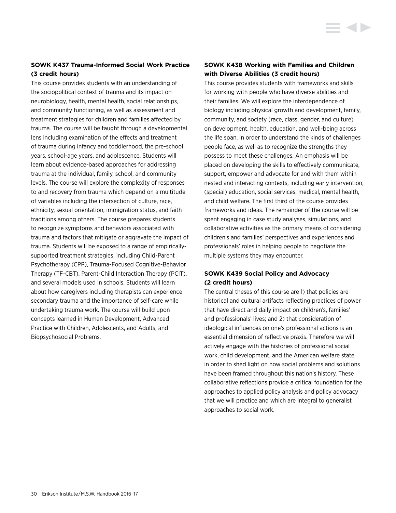# **SOWK K437 Trauma-Informed Social Work Practice (3 credit hours)**

This course provides students with an understanding of the sociopolitical context of trauma and its impact on neurobiology, health, mental health, social relationships, and community functioning, as well as assessment and treatment strategies for children and families affected by trauma. The course will be taught through a developmental lens including examination of the effects and treatment of trauma during infancy and toddlerhood, the pre-school years, school-age years, and adolescence. Students will learn about evidence-based approaches for addressing trauma at the individual, family, school, and community levels. The course will explore the complexity of responses to and recovery from trauma which depend on a multitude of variables including the intersection of culture, race, ethnicity, sexual orientation, immigration status, and faith traditions among others. The course prepares students to recognize symptoms and behaviors associated with trauma and factors that mitigate or aggravate the impact of trauma. Students will be exposed to a range of empiricallysupported treatment strategies, including Child-Parent Psychotherapy (CPP), Trauma-Focused Cognitive-Behavior Therapy (TF-CBT), Parent-Child Interaction Therapy (PCIT), and several models used in schools. Students will learn about how caregivers including therapists can experience secondary trauma and the importance of self-care while undertaking trauma work. The course will build upon concepts learned in Human Development, Advanced Practice with Children, Adolescents, and Adults; and Biopsychosocial Problems.

# **SOWK K438 Working with Families and Children with Diverse Abilities (3 credit hours)**

This course provides students with frameworks and skills for working with people who have diverse abilities and their families. We will explore the interdependence of biology including physical growth and development, family, community, and society (race, class, gender, and culture) on development, health, education, and well-being across the life span, in order to understand the kinds of challenges people face, as well as to recognize the strengths they possess to meet these challenges. An emphasis will be placed on developing the skills to effectively communicate, support, empower and advocate for and with them within nested and interacting contexts, including early intervention, (special) education, social services, medical, mental health, and child welfare. The first third of the course provides frameworks and ideas. The remainder of the course will be spent engaging in case study analyses, simulations, and collaborative activities as the primary means of considering children's and families' perspectives and experiences and professionals' roles in helping people to negotiate the multiple systems they may encounter.

# **SOWK K439 Social Policy and Advocacy (2 credit hours)**

The central theses of this course are 1) that policies are historical and cultural artifacts reflecting practices of power that have direct and daily impact on children's, families' and professionals' lives; and 2) that consideration of ideological influences on one's professional actions is an essential dimension of reflective praxis. Therefore we will actively engage with the histories of professional social work, child development, and the American welfare state in order to shed light on how social problems and solutions have been framed throughout this nation's history. These collaborative reflections provide a critical foundation for the approaches to applied policy analysis and policy advocacy that we will practice and which are integral to generalist approaches to social work.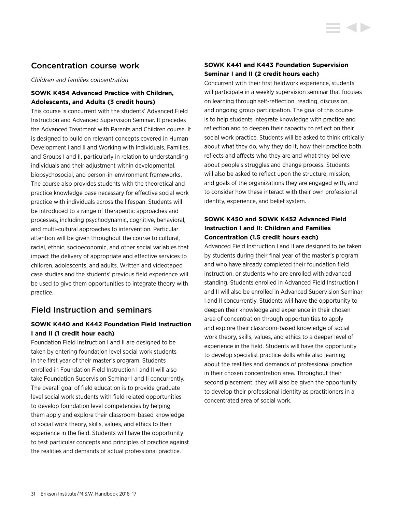# Concentration course work

*Children and families concentration*

# **SOWK K454 Advanced Practice with Children, Adolescents, and Adults (3 credit hours)**

This course is concurrent with the students' Advanced Field Instruction and Advanced Supervision Seminar. It precedes the Advanced Treatment with Parents and Children course. It is designed to build on relevant concepts covered in Human Development I and II and Working with Individuals, Families, and Groups I and II, particularly in relation to understanding individuals and their adjustment within developmental, biopsychosocial, and person-in-environment frameworks. The course also provides students with the theoretical and practice knowledge base necessary for effective social work practice with individuals across the lifespan. Students will be introduced to a range of therapeutic approaches and processes, including psychodynamic, cognitive, behavioral, and multi-cultural approaches to intervention. Particular attention will be given throughout the course to cultural, racial, ethnic, socioeconomic, and other social variables that impact the delivery of appropriate and effective services to children, adolescents, and adults. Written and videotaped case studies and the students' previous field experience will be used to give them opportunities to integrate theory with practice.

# Field Instruction and seminars

# **SOWK K440 and K442 Foundation Field Instruction I and II (1 credit hour each)**

Foundation Field Instruction I and II are designed to be taken by entering foundation level social work students in the first year of their master's program. Students enrolled in Foundation Field Instruction I and II will also take Foundation Supervision Seminar I and II concurrently. The overall goal of field education is to provide graduate level social work students with field related opportunities to develop foundation level competencies by helping them apply and explore their classroom-based knowledge of social work theory, skills, values, and ethics to their experience in the field. Students will have the opportunity to test particular concepts and principles of practice against the realities and demands of actual professional practice.

# **SOWK K441 and K443 Foundation Supervision Seminar I and II (2 credit hours each)**

Concurrent with their first fieldwork experience, students will participate in a weekly supervision seminar that focuses on learning through self-reflection, reading, discussion, and ongoing group participation. The goal of this course is to help students integrate knowledge with practice and reflection and to deepen their capacity to reflect on their social work practice. Students will be asked to think critically about what they do, why they do it, how their practice both reflects and affects who they are and what they believe about people's struggles and change process. Students will also be asked to reflect upon the structure, mission, and goals of the organizations they are engaged with, and to consider how these interact with their own professional identity, experience, and belief system.

# **SOWK K450 and SOWK K452 Advanced Field Instruction I and II: Children and Families Concentration (1.5 credit hours each)**

Advanced Field Instruction I and II are designed to be taken by students during their final year of the master's program and who have already completed their foundation field instruction, or students who are enrolled with advanced standing. Students enrolled in Advanced Field Instruction I and II will also be enrolled in Advanced Supervision Seminar I and II concurrently. Students will have the opportunity to deepen their knowledge and experience in their chosen area of concentration through opportunities to apply and explore their classroom-based knowledge of social work theory, skills, values, and ethics to a deeper level of experience in the field. Students will have the opportunity to develop specialist practice skills while also learning about the realities and demands of professional practice in their chosen concentration area. Throughout their second placement, they will also be given the opportunity to develop their professional identity as practitioners in a concentrated area of social work.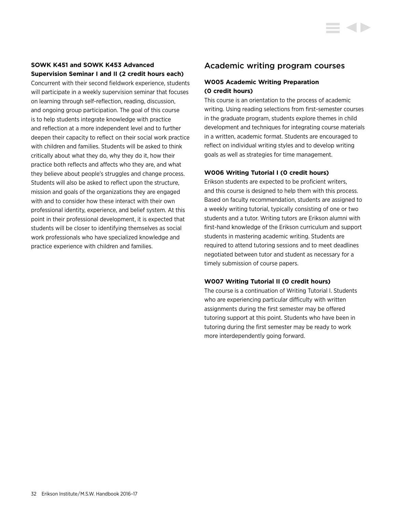# **SOWK K451 and SOWK K453 Advanced Supervision Seminar I and II (2 credit hours each)**

Concurrent with their second fieldwork experience, students will participate in a weekly supervision seminar that focuses on learning through self-reflection, reading, discussion, and ongoing group participation. The goal of this course is to help students integrate knowledge with practice and reflection at a more independent level and to further deepen their capacity to reflect on their social work practice with children and families. Students will be asked to think critically about what they do, why they do it, how their practice both reflects and affects who they are, and what they believe about people's struggles and change process. Students will also be asked to reflect upon the structure, mission and goals of the organizations they are engaged with and to consider how these interact with their own professional identity, experience, and belief system. At this point in their professional development, it is expected that students will be closer to identifying themselves as social work professionals who have specialized knowledge and practice experience with children and families.

# Academic writing program courses

# **W005 Academic Writing Preparation (0 credit hours)**

This course is an orientation to the process of academic writing. Using reading selections from first-semester courses in the graduate program, students explore themes in child development and techniques for integrating course materials in a written, academic format. Students are encouraged to reflect on individual writing styles and to develop writing goals as well as strategies for time management.

# **W006 Writing Tutorial I (0 credit hours)**

Erikson students are expected to be proficient writers, and this course is designed to help them with this process. Based on faculty recommendation, students are assigned to a weekly writing tutorial, typically consisting of one or two students and a tutor. Writing tutors are Erikson alumni with first-hand knowledge of the Erikson curriculum and support students in mastering academic writing. Students are required to attend tutoring sessions and to meet deadlines negotiated between tutor and student as necessary for a timely submission of course papers.

# **W007 Writing Tutorial II (0 credit hours)**

The course is a continuation of Writing Tutorial I. Students who are experiencing particular difficulty with written assignments during the first semester may be offered tutoring support at this point. Students who have been in tutoring during the first semester may be ready to work more interdependently going forward.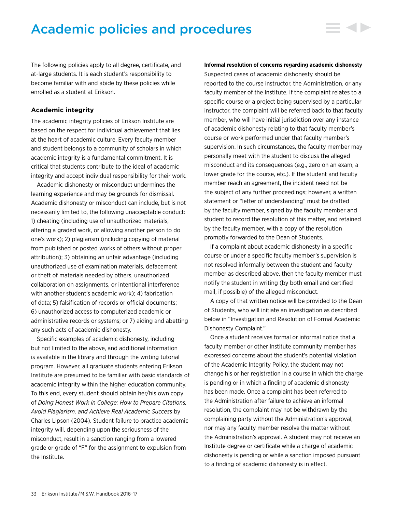# <span id="page-33-0"></span>Academic policies and procedures

The following policies apply to all degree, certificate, and at-large students. It is each student's responsibility to become familiar with and abide by these policies while enrolled as a student at Erikson.

### **Academic integrity**

The academic integrity policies of Erikson Institute are based on the respect for individual achievement that lies at the heart of academic culture. Every faculty member and student belongs to a community of scholars in which academic integrity is a fundamental commitment. It is critical that students contribute to the ideal of academic integrity and accept individual responsibility for their work.

Academic dishonesty or misconduct undermines the learning experience and may be grounds for dismissal. Academic dishonesty or misconduct can include, but is not necessarily limited to, the following unacceptable conduct: 1) cheating (including use of unauthorized materials, altering a graded work, or allowing another person to do one's work); 2) plagiarism (including copying of material from published or posted works of others without proper attribution); 3) obtaining an unfair advantage (including unauthorized use of examination materials, defacement or theft of materials needed by others, unauthorized collaboration on assignments, or intentional interference with another student's academic work); 4) fabrication of data; 5) falsification of records or official documents; 6) unauthorized access to computerized academic or administrative records or systems; or 7) aiding and abetting any such acts of academic dishonesty.

Specific examples of academic dishonesty, including but not limited to the above, and additional information is available in the library and through the writing tutorial program. However, all graduate students entering Erikson Institute are presumed to be familiar with basic standards of academic integrity within the higher education community. To this end, every student should obtain her/his own copy of *Doing Honest Work in College: How to Prepare Citations, Avoid Plagiarism, and Achieve Real Academic Success* by Charles Lipson (2004). Student failure to practice academic integrity will, depending upon the seriousness of the misconduct, result in a sanction ranging from a lowered grade or grade of "F" for the assignment to expulsion from the Institute.

#### **Informal resolution of concerns regarding academic dishonesty**

Suspected cases of academic dishonesty should be reported to the course instructor, the Administration, or any faculty member of the Institute. If the complaint relates to a specific course or a project being supervised by a particular instructor, the complaint will be referred back to that faculty member, who will have initial jurisdiction over any instance of academic dishonesty relating to that faculty member's course or work performed under that faculty member's supervision. In such circumstances, the faculty member may personally meet with the student to discuss the alleged misconduct and its consequences (e.g., zero on an exam, a lower grade for the course, etc.). If the student and faculty member reach an agreement, the incident need not be the subject of any further proceedings; however, a written statement or "letter of understanding" must be drafted by the faculty member, signed by the faculty member and student to record the resolution of this matter, and retained by the faculty member, with a copy of the resolution promptly forwarded to the Dean of Students.

If a complaint about academic dishonesty in a specific course or under a specific faculty member's supervision is not resolved informally between the student and faculty member as described above, then the faculty member must notify the student in writing (by both email and certified mail, if possible) of the alleged misconduct.

A copy of that written notice will be provided to the Dean of Students, who will initiate an investigation as described below in "Investigation and Resolution of Formal Academic Dishonesty Complaint."

Once a student receives formal or informal notice that a faculty member or other Institute community member has expressed concerns about the student's potential violation of the Academic Integrity Policy, the student may not change his or her registration in a course in which the charge is pending or in which a finding of academic dishonesty has been made. Once a complaint has been referred to the Administration after failure to achieve an informal resolution, the complaint may not be withdrawn by the complaining party without the Administration's approval, nor may any faculty member resolve the matter without the Administration's approval. A student may not receive an Institute degree or certificate while a charge of academic dishonesty is pending or while a sanction imposed pursuant to a finding of academic dishonesty is in effect.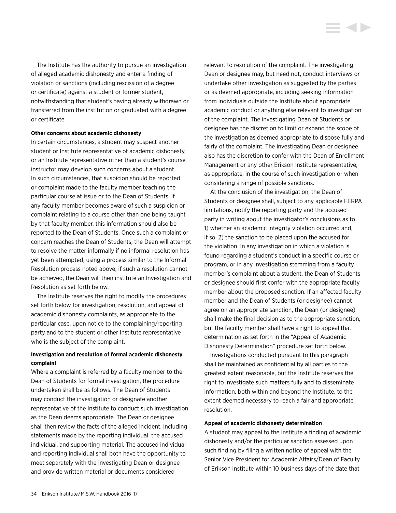The Institute has the authority to pursue an investigation of alleged academic dishonesty and enter a finding of violation or sanctions (including rescission of a degree or certificate) against a student or former student, notwithstanding that student's having already withdrawn or transferred from the institution or graduated with a degree or certificate.

### **Other concerns about academic dishonesty**

In certain circumstances, a student may suspect another student or Institute representative of academic dishonesty, or an Institute representative other than a student's course instructor may develop such concerns about a student. In such circumstances, that suspicion should be reported or complaint made to the faculty member teaching the particular course at issue or to the Dean of Students. If any faculty member becomes aware of such a suspicion or complaint relating to a course other than one being taught by that faculty member, this information should also be reported to the Dean of Students. Once such a complaint or concern reaches the Dean of Students, the Dean will attempt to resolve the matter informally if no informal resolution has yet been attempted, using a process similar to the Informal Resolution process noted above; if such a resolution cannot be achieved, the Dean will then institute an Investigation and Resolution as set forth below.

The Institute reserves the right to modify the procedures set forth below for investigation, resolution, and appeal of academic dishonesty complaints, as appropriate to the particular case, upon notice to the complaining/reporting party and to the student or other Institute representative who is the subject of the complaint.

### **Investigation and resolution of formal academic dishonesty complaint**

Where a complaint is referred by a faculty member to the Dean of Students for formal investigation, the procedure undertaken shall be as follows. The Dean of Students may conduct the investigation or designate another representative of the Institute to conduct such investigation, as the Dean deems appropriate. The Dean or designee shall then review the facts of the alleged incident, including statements made by the reporting individual, the accused individual, and supporting material. The accused individual and reporting individual shall both have the opportunity to meet separately with the investigating Dean or designee and provide written material or documents considered

relevant to resolution of the complaint. The investigating Dean or designee may, but need not, conduct interviews or undertake other investigation as suggested by the parties or as deemed appropriate, including seeking information from individuals outside the Institute about appropriate academic conduct or anything else relevant to investigation of the complaint. The investigating Dean of Students or designee has the discretion to limit or expand the scope of the investigation as deemed appropriate to dispose fully and fairly of the complaint. The investigating Dean or designee also has the discretion to confer with the Dean of Enrollment Management or any other Erikson Institute representative, as appropriate, in the course of such investigation or when considering a range of possible sanctions.

At the conclusion of the investigation, the Dean of Students or designee shall, subject to any applicable FERPA limitations, notify the reporting party and the accused party in writing about the investigator's conclusions as to 1) whether an academic integrity violation occurred and, if so, 2) the sanction to be placed upon the accused for the violation. In any investigation in which a violation is found regarding a student's conduct in a specific course or program, or in any investigation stemming from a faculty member's complaint about a student, the Dean of Students or designee should first confer with the appropriate faculty member about the proposed sanction. If an affected faculty member and the Dean of Students (or designee) cannot agree on an appropriate sanction, the Dean (or designee) shall make the final decision as to the appropriate sanction, but the faculty member shall have a right to appeal that determination as set forth in the "Appeal of Academic Dishonesty Determination" procedure set forth below.

Investigations conducted pursuant to this paragraph shall be maintained as confidential by all parties to the greatest extent reasonable, but the Institute reserves the right to investigate such matters fully and to disseminate information, both within and beyond the Institute, to the extent deemed necessary to reach a fair and appropriate resolution.

### **Appeal of academic dishonesty determination**

A student may appeal to the Institute a finding of academic dishonesty and/or the particular sanction assessed upon such finding by filing a written notice of appeal with the Senior Vice President for Academic Affairs/Dean of Faculty of Erikson Institute within 10 business days of the date that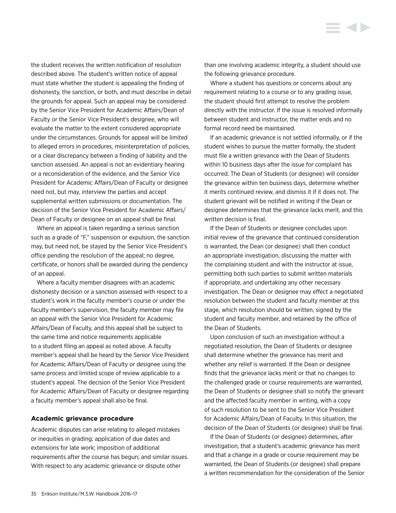<span id="page-35-0"></span>the student receives the written notification of resolution described above. The student's written notice of appeal must state whether the student is appealing the finding of dishonesty, the sanction, or both, and must describe in detail the grounds for appeal. Such an appeal may be considered by the Senior Vice President for Academic Affairs/Dean of Faculty or the Senior Vice President's designee, who will evaluate the matter to the extent considered appropriate under the circumstances. Grounds for appeal will be limited to alleged errors in procedures, misinterpretation of policies, or a clear discrepancy between a finding of liability and the sanction assessed. An appeal is not an evidentiary hearing or a reconsideration of the evidence, and the Senior Vice President for Academic Affairs/Dean of Faculty or designee need not, but may, interview the parties and accept supplemental written submissions or documentation. The decision of the Senior Vice President for Academic Affairs/ Dean of Faculty or designee on an appeal shall be final.

Where an appeal is taken regarding a serious sanction such as a grade of "F," suspension or expulsion, the sanction may, but need not, be stayed by the Senior Vice President's office pending the resolution of the appeal; no degree, certificate, or honors shall be awarded during the pendency of an appeal.

Where a faculty member disagrees with an academic dishonesty decision or a sanction assessed with respect to a student's work in the faculty member's course or under the faculty member's supervision, the faculty member may file an appeal with the Senior Vice President for Academic Affairs/Dean of Faculty, and this appeal shall be subject to the same time and notice requirements applicable to a student filing an appeal as noted above. A faculty member's appeal shall be heard by the Senior Vice President for Academic Affairs/Dean of Faculty or designee using the same process and limited scope of review applicable to a student's appeal. The decision of the Senior Vice President for Academic Affairs/Dean of Faculty or designee regarding a faculty member's appeal shall also be final.

### **Academic grievance procedure**

Academic disputes can arise relating to alleged mistakes or inequities in grading; application of due dates and extensions for late work; imposition of additional requirements after the course has begun; and similar issues. With respect to any academic grievance or dispute other

than one involving academic integrity, a student should use the following grievance procedure.

Where a student has questions or concerns about any requirement relating to a course or to any grading issue, the student should first attempt to resolve the problem directly with the instructor. If the issue is resolved informally between student and instructor, the matter ends and no formal record need be maintained.

If an academic grievance is not settled informally, or if the student wishes to pursue the matter formally, the student must file a written grievance with the Dean of Students within 10 business days after the issue for complaint has occurred. The Dean of Students (or designee) will consider the grievance within ten business days, determine whether it merits continued review, and dismiss it if it does not. The student grievant will be notified in writing if the Dean or designee determines that the grievance lacks merit, and this written decision is final.

If the Dean of Students or designee concludes upon initial review of the grievance that continued consideration is warranted, the Dean (or designee) shall then conduct an appropriate investigation, discussing the matter with the complaining student and with the instructor at issue, permitting both such parties to submit written materials if appropriate, and undertaking any other necessary investigation. The Dean or designee may effect a negotiated resolution between the student and faculty member at this stage, which resolution should be written, signed by the student and faculty member, and retained by the office of the Dean of Students.

Upon conclusion of such an investigation without a negotiated resolution, the Dean of Students or designee shall determine whether the grievance has merit and whether any relief is warranted. If the Dean or designee finds that the grievance lacks merit or that no changes to the challenged grade or course requirements are warranted, the Dean of Students or designee shall so notify the grievant and the affected faculty member in writing, with a copy of such resolution to be sent to the Senior Vice President for Academic Affairs/Dean of Faculty. In this situation, the decision of the Dean of Students (or designee) shall be final.

If the Dean of Students (or designee) determines, after investigation, that a student's academic grievance has merit and that a change in a grade or course requirement may be warranted, the Dean of Students (or designee) shall prepare a written recommendation for the consideration of the Senior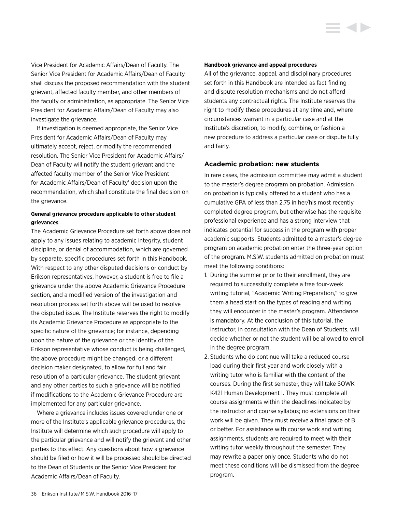Vice President for Academic Affairs/Dean of Faculty. The Senior Vice President for Academic Affairs/Dean of Faculty shall discuss the proposed recommendation with the student grievant, affected faculty member, and other members of the faculty or administration, as appropriate. The Senior Vice President for Academic Affairs/Dean of Faculty may also investigate the grievance.

If investigation is deemed appropriate, the Senior Vice President for Academic Affairs/Dean of Faculty may ultimately accept, reject, or modify the recommended resolution. The Senior Vice President for Academic Affairs/ Dean of Faculty will notify the student grievant and the affected faculty member of the Senior Vice President for Academic Affairs/Dean of Faculty' decision upon the recommendation, which shall constitute the final decision on the grievance.

## **General grievance procedure applicable to other student grievances**

The Academic Grievance Procedure set forth above does not apply to any issues relating to academic integrity, student discipline, or denial of accommodation, which are governed by separate, specific procedures set forth in this Handbook. With respect to any other disputed decisions or conduct by Erikson representatives, however, a student is free to file a grievance under the above Academic Grievance Procedure section, and a modified version of the investigation and resolution process set forth above will be used to resolve the disputed issue. The Institute reserves the right to modify its Academic Grievance Procedure as appropriate to the specific nature of the grievance; for instance, depending upon the nature of the grievance or the identity of the Erikson representative whose conduct is being challenged, the above procedure might be changed, or a different decision maker designated, to allow for full and fair resolution of a particular grievance. The student grievant and any other parties to such a grievance will be notified if modifications to the Academic Grievance Procedure are implemented for any particular grievance.

Where a grievance includes issues covered under one or more of the Institute's applicable grievance procedures, the Institute will determine which such procedure will apply to the particular grievance and will notify the grievant and other parties to this effect. Any questions about how a grievance should be filed or how it will be processed should be directed to the Dean of Students or the Senior Vice President for Academic Affairs/Dean of Faculty.

#### **Handbook grievance and appeal procedures**

All of the grievance, appeal, and disciplinary procedures set forth in this Handbook are intended as fact finding and dispute resolution mechanisms and do not afford students any contractual rights. The Institute reserves the right to modify these procedures at any time and, where circumstances warrant in a particular case and at the Institute's discretion, to modify, combine, or fashion a new procedure to address a particular case or dispute fully and fairly.

#### **Academic probation: new students**

In rare cases, the admission committee may admit a student to the master's degree program on probation. Admission on probation is typically offered to a student who has a cumulative GPA of less than 2.75 in her/his most recently completed degree program, but otherwise has the requisite professional experience and has a strong interview that indicates potential for success in the program with proper academic supports. Students admitted to a master's degree program on academic probation enter the three-year option of the program. M.S.W. students admitted on probation must meet the following conditions:

- 1. During the summer prior to their enrollment, they are required to successfully complete a free four-week writing tutorial, "Academic Writing Preparation," to give them a head start on the types of reading and writing they will encounter in the master's program. Attendance is mandatory. At the conclusion of this tutorial, the instructor, in consultation with the Dean of Students, will decide whether or not the student will be allowed to enroll in the degree program.
- 2. Students who do continue will take a reduced course load during their first year and work closely with a writing tutor who is familiar with the content of the courses. During the first semester, they will take SOWK K421 Human Development I. They must complete all course assignments within the deadlines indicated by the instructor and course syllabus; no extensions on their work will be given. They must receive a final grade of B or better. For assistance with course work and writing assignments, students are required to meet with their writing tutor weekly throughout the semester. They may rewrite a paper only once. Students who do not meet these conditions will be dismissed from the degree program.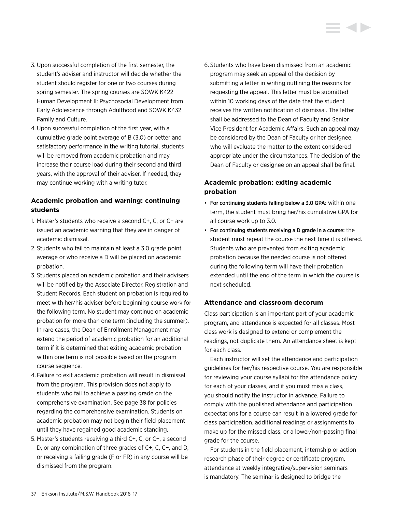- 3. Upon successful completion of the first semester, the student's adviser and instructor will decide whether the student should register for one or two courses during spring semester. The spring courses are SOWK K422 Human Development II: Psychosocial Development from Early Adolescence through Adulthood and SOWK K432 Family and Culture.
- 4.Upon successful completion of the first year, with a cumulative grade point average of B (3.0) or better and satisfactory performance in the writing tutorial, students will be removed from academic probation and may increase their course load during their second and third years, with the approval of their adviser. If needed, they may continue working with a writing tutor.

## **Academic probation and warning: continuing students**

- 1. Master's students who receive a second C+, C, or C− are issued an academic warning that they are in danger of academic dismissal.
- 2. Students who fail to maintain at least a 3.0 grade point average or who receive a D will be placed on academic probation.
- 3. Students placed on academic probation and their advisers will be notified by the Associate Director, Registration and Student Records. Each student on probation is required to meet with her/his adviser before beginning course work for the following term. No student may continue on academic probation for more than one term (including the summer). In rare cases, the Dean of Enrollment Management may extend the period of academic probation for an additional term if it is determined that exiting academic probation within one term is not possible based on the program course sequence.
- 4. Failure to exit academic probation will result in dismissal from the program. This provision does not apply to students who fail to achieve a passing grade on the comprehensive examination. See page 38 for policies regarding the comprehensive examination. Students on academic probation may not begin their field placement until they have regained good academic standing.
- 5. Master's students receiving a third C+, C, or C−, a second D, or any combination of three grades of C+, C, C−, and D, or receiving a failing grade (F or FR) in any course will be dismissed from the program.

6. Students who have been dismissed from an academic program may seek an appeal of the decision by submitting a letter in writing outlining the reasons for requesting the appeal. This letter must be submitted within 10 working days of the date that the student receives the written notification of dismissal. The letter shall be addressed to the Dean of Faculty and Senior Vice President for Academic Affairs. Such an appeal may be considered by the Dean of Faculty or her designee, who will evaluate the matter to the extent considered appropriate under the circumstances. The decision of the Dean of Faculty or designee on an appeal shall be final.

## **Academic probation: exiting academic probation**

- For continuing students falling below a 3.0 GPA: within one term, the student must bring her/his cumulative GPA for all course work up to 3.0.
- For continuing students receiving a D grade in a course: the student must repeat the course the next time it is offered. Students who are prevented from exiting academic probation because the needed course is not offered during the following term will have their probation extended until the end of the term in which the course is next scheduled.

## **Attendance and classroom decorum**

Class participation is an important part of your academic program, and attendance is expected for all classes. Most class work is designed to extend or complement the readings, not duplicate them. An attendance sheet is kept for each class.

Each instructor will set the attendance and participation guidelines for her/his respective course. You are responsible for reviewing your course syllabi for the attendance policy for each of your classes, and if you must miss a class, you should notify the instructor in advance. Failure to comply with the published attendance and participation expectations for a course can result in a lowered grade for class participation, additional readings or assignments to make up for the missed class, or a lower/non-passing final grade for the course.

For students in the field placement, internship or action research phase of their degree or certificate program, attendance at weekly integrative/supervision seminars is mandatory. The seminar is designed to bridge the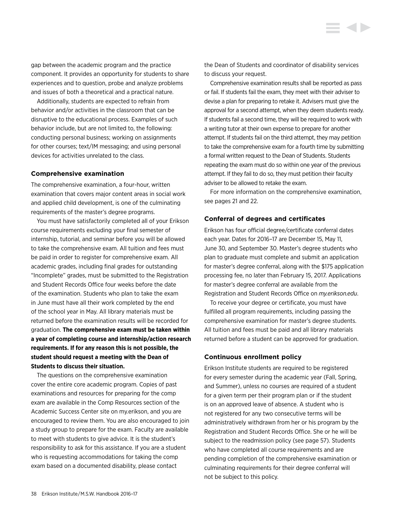Additionally, students are expected to refrain from behavior and/or activities in the classroom that can be disruptive to the educational process. Examples of such behavior include, but are not limited to, the following: conducting personal business; working on assignments for other courses; text/IM messaging; and using personal devices for activities unrelated to the class.

#### **Comprehensive examination**

The comprehensive examination, a four-hour, written examination that covers major content areas in social work and applied child development, is one of the culminating requirements of the master's degree programs.

You must have satisfactorily completed all of your Erikson course requirements excluding your final semester of internship, tutorial, and seminar before you will be allowed to take the comprehensive exam. All tuition and fees must be paid in order to register for comprehensive exam. All academic grades, including final grades for outstanding "Incomplete" grades, must be submitted to the Registration and Student Records Office four weeks before the date of the examination. Students who plan to take the exam in June must have all their work completed by the end of the school year in May. All library materials must be returned before the examination results will be recorded for graduation. **The comprehensive exam must be taken within a year of completing course and internship/action research requirements. If for any reason this is not possible, the student should request a meeting with the Dean of Students to discuss their situation.**

The questions on the comprehensive examination cover the entire core academic program. Copies of past examinations and resources for preparing for the comp exam are available in the Comp Resources section of the Academic Success Center site on my.erikson, and you are encouraged to review them. You are also encouraged to join a study group to prepare for the exam. Faculty are available to meet with students to give advice. It is the student's responsibility to ask for this assistance. If you are a student who is requesting accommodations for taking the comp exam based on a documented disability, please contact

the Dean of Students and coordinator of disability services to discuss your request.

Comprehensive examination results shall be reported as pass or fail. If students fail the exam, they meet with their adviser to devise a plan for preparing to retake it. Advisers must give the approval for a second attempt, when they deem students ready. If students fail a second time, they will be required to work with a writing tutor at their own expense to prepare for another attempt. If students fail on the third attempt, they may petition to take the comprehensive exam for a fourth time by submitting a formal written request to the Dean of Students. Students repeating the exam must do so within one year of the previous attempt. If they fail to do so, they must petition their faculty adviser to be allowed to retake the exam.

For more information on the comprehensive examination, see pages 21 and 22.

## **Conferral of degrees and certificates**

Erikson has four official degree/certificate conferral dates each year. Dates for 2016–17 are December 15, May 11, June 30, and September 30. Master's degree students who plan to graduate must complete and submit an application for master's degree conferral, along with the \$175 application processing fee, no later than February 15, 2017. Applications for master's degree conferral are available from the Registration and Student Records Office on *my.erikson.edu*.

To receive your degree or certificate, you must have fulfilled all program requirements, including passing the comprehensive examination for master's degree students. All tuition and fees must be paid and all library materials returned before a student can be approved for graduation.

## **Continuous enrollment policy**

Erikson Institute students are required to be registered for every semester during the academic year (Fall, Spring, and Summer), unless no courses are required of a student for a given term per their program plan or if the student is on an approved leave of absence. A student who is not registered for any two consecutive terms will be administratively withdrawn from her or his program by the Registration and Student Records Office. She or he will be subject to the readmission policy (see page 57). Students who have completed all course requirements and are pending completion of the comprehensive examination or culminating requirements for their degree conferral will not be subject to this policy.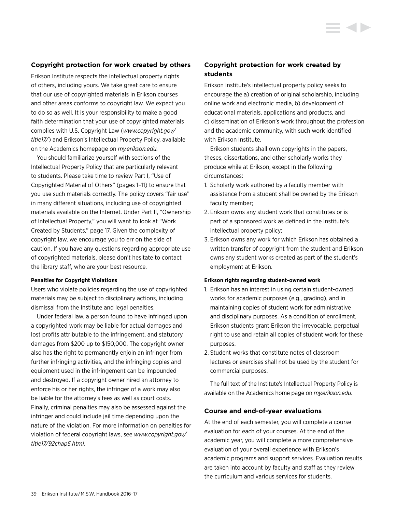## **Copyright protection for work created by others**

Erikson Institute respects the intellectual property rights of others, including yours. We take great care to ensure that our use of copyrighted materials in Erikson courses and other areas conforms to copyright law. We expect you to do so as well. It is your responsibility to make a good faith determination that your use of copyrighted materials complies with U.S. Copyright Law (*[www.copyright.gov/](www.copyright.gov/title17/) [title1](www.copyright.gov/title17/)7/*) and Erikson's Intellectual Property Policy, available on the Academics homepage on *my.erikson.edu.*

You should familiarize yourself with sections of the Intellectual Property Policy that are particularly relevant to students. Please take time to review Part I, "Use of Copyrighted Material of Others" (pages 1–11) to ensure that you use such materials correctly. The policy covers "fair use" in many different situations, including use of copyrighted materials available on the Internet. Under Part II, "Ownership of Intellectual Property," you will want to look at "Work Created by Students," page 17. Given the complexity of copyright law, we encourage you to err on the side of caution. If you have any questions regarding appropriate use of copyrighted materials, please don't hesitate to contact the library staff, who are your best resource.

#### **Penalties for Copyright Violations**

Users who violate policies regarding the use of copyrighted materials may be subject to disciplinary actions, including dismissal from the Institute and legal penalties.

Under federal law, a person found to have infringed upon a copyrighted work may be liable for actual damages and lost profits attributable to the infringement, and statutory damages from \$200 up to \$150,000. The copyright owner also has the right to permanently enjoin an infringer from further infringing activities, and the infringing copies and equipment used in the infringement can be impounded and destroyed. If a copyright owner hired an attorney to enforce his or her rights, the infringer of a work may also be liable for the attorney's fees as well as court costs. Finally, criminal penalties may also be assessed against the infringer and could include jail time depending upon the nature of the violation. For more information on penalties for violation of federal copyright laws, see *[www.copyright.gov/](www.copyright.gov/title17/92chap5.html) [title17/92chap5.html](www.copyright.gov/title17/92chap5.html)*.

## **Copyright protection for work created by students**

Erikson Institute's intellectual property policy seeks to encourage the a) creation of original scholarship, including online work and electronic media, b) development of educational materials, applications and products, and c) dissemination of Erikson's work throughout the profession and the academic community, with such work identified with Erikson Institute.

Erikson students shall own copyrights in the papers, theses, dissertations, and other scholarly works they produce while at Erikson, except in the following circumstances:

- 1. Scholarly work authored by a faculty member with assistance from a student shall be owned by the Erikson faculty member;
- 2. Erikson owns any student work that constitutes or is part of a sponsored work as defined in the Institute's intellectual property policy;
- 3. Erikson owns any work for which Erikson has obtained a written transfer of copyright from the student and Erikson owns any student works created as part of the student's employment at Erikson.

#### **Erikson rights regarding student-owned work**

- 1. Erikson has an interest in using certain student-owned works for academic purposes (e.g., grading), and in maintaining copies of student work for administrative and disciplinary purposes. As a condition of enrollment, Erikson students grant Erikson the irrevocable, perpetual right to use and retain all copies of student work for these purposes.
- 2. Student works that constitute notes of classroom lectures or exercises shall not be used by the student for commercial purposes.

The full text of the Institute's Intellectual Property Policy is available on the Academics home page on *my.erikson.edu*.

#### **Course and end-of-year evaluations**

At the end of each semester, you will complete a course evaluation for each of your courses. At the end of the academic year, you will complete a more comprehensive evaluation of your overall experience with Erikson's academic programs and support services. Evaluation results are taken into account by faculty and staff as they review the curriculum and various services for students.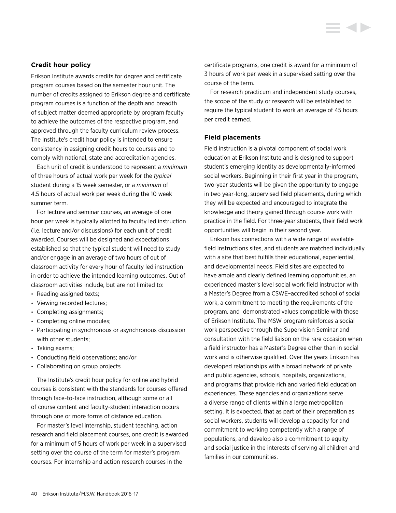Erikson Institute awards credits for degree and certificate program courses based on the semester hour unit. The number of credits assigned to Erikson degree and certificate program courses is a function of the depth and breadth of subject matter deemed appropriate by program faculty to achieve the outcomes of the respective program, and approved through the faculty curriculum review process. The Institute's credit hour policy is intended to ensure consistency in assigning credit hours to courses and to comply with national, state and accreditation agencies.

Each unit of credit is understood to represent a *minimum* of three hours of actual work per week for the *typical* student during a 15 week semester, or a *minimum* of 4.5 hours of actual work per week during the 10 week summer term.

For lecture and seminar courses, an average of one hour per week is typically allotted to faculty led instruction (i.e. lecture and/or discussions) for each unit of credit awarded. Courses will be designed and expectations established so that the typical student will need to study and/or engage in an average of two hours of out of classroom activity for every hour of faculty led instruction in order to achieve the intended learning outcomes. Out of classroom activities include, but are not limited to:

- Reading assigned texts;
- Viewing recorded lectures;
- Completing assignments;
- Completing online modules;
- Participating in synchronous or asynchronous discussion with other students;
- Taking exams;
- Conducting field observations; and/or
- Collaborating on group projects

The Institute's credit hour policy for online and hybrid courses is consistent with the standards for courses offered through face-to-face instruction, although some or all of course content and faculty-student interaction occurs through one or more forms of distance education.

For master's level internship, student teaching, action research and field placement courses, one credit is awarded for a minimum of 5 hours of work per week in a supervised setting over the course of the term for master's program courses. For internship and action research courses in the

certificate programs, one credit is award for a minimum of 3 hours of work per week in a supervised setting over the course of the term.

For research practicum and independent study courses, the scope of the study or research will be established to require the typical student to work an average of 45 hours per credit earned.

#### **Field placements**

Field instruction is a pivotal component of social work education at Erikson Institute and is designed to support student's emerging identity as developmentally-informed social workers. Beginning in their first year in the program, two-year students will be given the opportunity to engage in two year-long, supervised field placements, during which they will be expected and encouraged to integrate the knowledge and theory gained through course work with practice in the field. For three-year students, their field work opportunities will begin in their second year.

Erikson has connections with a wide range of available field instructions sites, and students are matched individually with a site that best fulfills their educational, experiential, and developmental needs. Field sites are expected to have ample and clearly defined learning opportunities, an experienced master's level social work field instructor with a Master's Degree from a CSWE–accredited school of social work, a commitment to meeting the requirements of the program, and demonstrated values compatible with those of Erikson Institute. The MSW program reinforces a social work perspective through the Supervision Seminar and consultation with the field liaison on the rare occasion when a field instructor has a Master's Degree other than in social work and is otherwise qualified. Over the years Erikson has developed relationships with a broad network of private and public agencies, schools, hospitals, organizations, and programs that provide rich and varied field education experiences. These agencies and organizations serve a diverse range of clients within a large metropolitan setting. It is expected, that as part of their preparation as social workers, students will develop a capacity for and commitment to working competently with a range of populations, and develop also a commitment to equity and social justice in the interests of serving all children and families in our communities.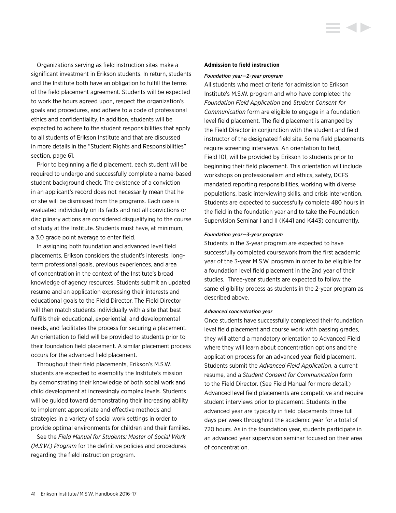Organizations serving as field instruction sites make a significant investment in Erikson students. In return, students and the Institute both have an obligation to fulfill the terms of the field placement agreement. Students will be expected to work the hours agreed upon, respect the organization's goals and procedures, and adhere to a code of professional ethics and confidentiality. In addition, students will be expected to adhere to the student responsibilities that apply to all students of Erikson Institute and that are discussed in more details in the "Student Rights and Responsibilities" section, page 61.

Prior to beginning a field placement, each student will be required to undergo and successfully complete a name-based student background check. The existence of a conviction in an applicant's record does not necessarily mean that he or she will be dismissed from the programs. Each case is evaluated individually on its facts and not all convictions or disciplinary actions are considered disqualifying to the course of study at the Institute. Students must have, at minimum, a 3.0 grade point average to enter field.

In assigning both foundation and advanced level field placements, Erikson considers the student's interests, longterm professional goals, previous experiences, and area of concentration in the context of the Institute's broad knowledge of agency resources. Students submit an updated resume and an application expressing their interests and educational goals to the Field Director. The Field Director will then match students individually with a site that best fulfills their educational, experiential, and developmental needs, and facilitates the process for securing a placement. An orientation to field will be provided to students prior to their foundation field placement. A similar placement process occurs for the advanced field placement.

Throughout their field placements, Erikson's M.S.W. students are expected to exemplify the Institute's mission by demonstrating their knowledge of both social work and child development at increasingly complex levels. Students will be guided toward demonstrating their increasing ability to implement appropriate and effective methods and strategies in a variety of social work settings in order to provide optimal environments for children and their families.

See the *Field Manual for Students: Master of Social Work (M.S.W.) Program* for the definitive policies and procedures regarding the field instruction program.

#### **Admission to field instruction**

#### *Foundation year—2-year program*

All students who meet criteria for admission to Erikson Institute's M.S.W. program and who have completed the *Foundation Field Application* and *Student Consent for Communication* form are eligible to engage in a foundation level field placement. The field placement is arranged by the Field Director in conjunction with the student and field instructor of the designated field site. Some field placements require screening interviews. An orientation to field, Field 101, will be provided by Erikson to students prior to beginning their field placement. This orientation will include workshops on professionalism and ethics, safety, DCFS mandated reporting responsibilities, working with diverse populations, basic interviewing skills, and crisis intervention. Students are expected to successfully complete 480 hours in the field in the foundation year and to take the Foundation Supervision Seminar I and II (K441 and K443) concurrently.

#### *Foundation year—3-year program*

Students in the 3-year program are expected to have successfully completed coursework from the first academic year of the 3-year M.S.W. program in order to be eligible for a foundation level field placement in the 2nd year of their studies. Three-year students are expected to follow the same eligibility process as students in the 2-year program as described above.

#### *Advanced concentration year*

Once students have successfully completed their foundation level field placement and course work with passing grades, they will attend a mandatory orientation to Advanced Field where they will learn about concentration options and the application process for an advanced year field placement. Students submit the *Advanced Field Application*, a current resume, and a *Student Consent for Communication* form to the Field Director. (See Field Manual for more detail.) Advanced level field placements are competitive and require student interviews prior to placement. Students in the advanced year are typically in field placements three full days per week throughout the academic year for a total of 720 hours. As in the foundation year, students participate in an advanced year supervision seminar focused on their area of concentration.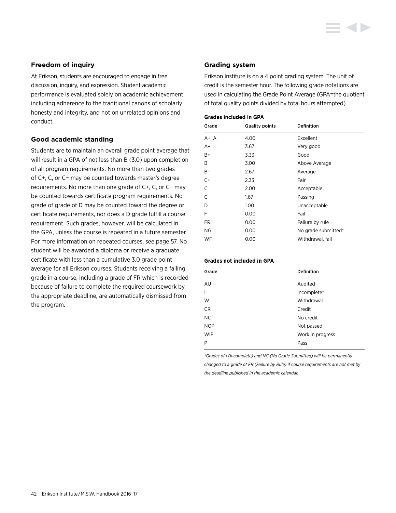## **Freedom of inquiry**

At Erikson, students are encouraged to engage in free discussion, inquiry, and expression. Student academic performance is evaluated solely on academic achievement, including adherence to the traditional canons of scholarly honesty and integrity, and not on unrelated opinions and conduct.

## **Good academic standing**

Students are to maintain an overall grade point average that will result in a GPA of not less than B (3.0) upon completion of all program requirements. No more than two grades of C+, C, or C− may be counted towards master's degree requirements. No more than one grade of C+, C, or C− may be counted towards certificate program requirements. No grade of grade of D may be counted toward the degree or certificate requirements, nor does a D grade fulfill a course requirement. Such grades, however, will be calculated in the GPA, unless the course is repeated in a future semester. For more information on repeated courses, see page 57. No student will be awarded a diploma or receive a graduate certificate with less than a cumulative 3.0 grade point average for all Erikson courses. Students receiving a failing grade in a course, including a grade of FR which is recorded because of failure to complete the required coursework by the appropriate deadline, are automatically dismissed from the program.

## **Grading system**

Erikson Institute is on a 4 point grading system. The unit of credit is the semester hour. The following grade notations are used in calculating the Grade Point Average (GPA=the quotient of total quality points divided by total hours attempted).

## **Grades included in GPA**

| Grade     | <b>Quality points</b> | <b>Definition</b>   |
|-----------|-----------------------|---------------------|
| A+, A     | 4.00                  | Excellent           |
| $A-$      | 3.67                  | Very good           |
| B+        | 3.33                  | Good                |
| B         | 3.00                  | Above Average       |
| B-        | 2.67                  | Average             |
| $C+$      | 2.33                  | Fair                |
| C         | 2.00                  | Acceptable          |
| $C-$      | 1.67                  | Passing             |
| D         | 1.00                  | Unacceptable        |
| F         | 0.00                  | Fail                |
| <b>FR</b> | 0.00                  | Failure by rule     |
| NG        | 0.00                  | No grade submitted* |
| WF        | 0.00                  | Withdrawal, fail    |

## **Grades not included in GPA**

| Grade                    | <b>Definition</b> |
|--------------------------|-------------------|
| AU                       | Audited           |
| $\overline{\phantom{a}}$ | Incomplete*       |
| W                        | Withdrawal        |
| CR                       | Credit            |
| <b>NC</b>                | No credit         |
| <b>NOP</b>               | Not passed        |
| <b>WIP</b>               | Work in progress  |
| P                        | Pass              |

*\*Grades of I (Incomplete) and NG (No Grade Submitted) will be permanently changed to a grade of FR (Failure by Rule) if course requirements are not met by the deadline published in the academic calendar.*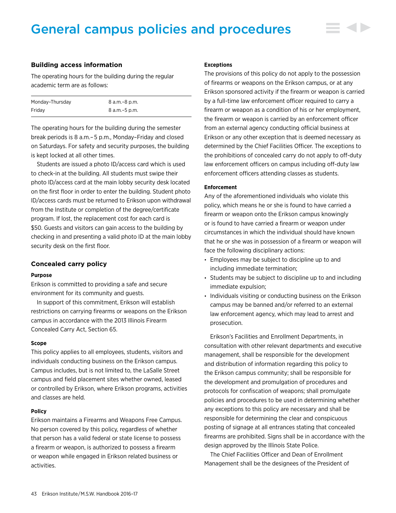# General campus policies and procedures

#### **Building access information**

The operating hours for the building during the regular academic term are as follows:

| Monday-Thursday | 8 a.m.–8 p.m.   |
|-----------------|-----------------|
| Fridav          | 8 a.m. - 5 p.m. |

The operating hours for the building during the semester break periods is 8 a.m.– 5 p.m., Monday–Friday and closed on Saturdays. For safety and security purposes, the building is kept locked at all other times.

Students are issued a photo ID/access card which is used to check-in at the building. All students must swipe their photo ID/access card at the main lobby security desk located on the first floor in order to enter the building. Student photo ID/access cards must be returned to Erikson upon withdrawal from the Institute or completion of the degree/certificate program. If lost, the replacement cost for each card is \$50. Guests and visitors can gain access to the building by checking in and presenting a valid photo ID at the main lobby security desk on the first floor.

#### **Concealed carry policy**

#### **Purpose**

Erikson is committed to providing a safe and secure environment for its community and guests.

In support of this commitment, Erikson will establish restrictions on carrying firearms or weapons on the Erikson campus in accordance with the 2013 Illinois Firearm Concealed Carry Act, Section 65.

#### **Scope**

This policy applies to all employees, students, visitors and individuals conducting business on the Erikson campus. Campus includes, but is not limited to, the LaSalle Street campus and field placement sites whether owned, leased or controlled by Erikson, where Erikson programs, activities and classes are held.

#### **Policy**

Erikson maintains a Firearms and Weapons Free Campus. No person covered by this policy, regardless of whether that person has a valid federal or state license to possess a firearm or weapon, is authorized to possess a firearm or weapon while engaged in Erikson related business or activities.

#### **Exceptions**

The provisions of this policy do not apply to the possession of firearms or weapons on the Erikson campus, or at any Erikson sponsored activity if the firearm or weapon is carried by a full-time law enforcement officer required to carry a firearm or weapon as a condition of his or her employment, the firearm or weapon is carried by an enforcement officer from an external agency conducting official business at Erikson or any other exception that is deemed necessary as determined by the Chief Facilities Officer. The exceptions to the prohibitions of concealed carry do not apply to off-duty law enforcement officers on campus including off-duty law enforcement officers attending classes as students.

#### **Enforcement**

Any of the aforementioned individuals who violate this policy, which means he or she is found to have carried a firearm or weapon onto the Erikson campus knowingly or is found to have carried a firearm or weapon under circumstances in which the individual should have known that he or she was in possession of a firearm or weapon will face the following disciplinary actions:

- Employees may be subject to discipline up to and including immediate termination;
- Students may be subject to discipline up to and including immediate expulsion;
- Individuals visiting or conducting business on the Erikson campus may be banned and/or referred to an external law enforcement agency, which may lead to arrest and prosecution.

Erikson's Facilities and Enrollment Departments, in consultation with other relevant departments and executive management, shall be responsible for the development and distribution of information regarding this policy to the Erikson campus community; shall be responsible for the development and promulgation of procedures and protocols for confiscation of weapons; shall promulgate policies and procedures to be used in determining whether any exceptions to this policy are necessary and shall be responsible for determining the clear and conspicuous posting of signage at all entrances stating that concealed firearms are prohibited. Signs shall be in accordance with the design approved by the Illinois State Police.

The Chief Facilities Officer and Dean of Enrollment Management shall be the designees of the President of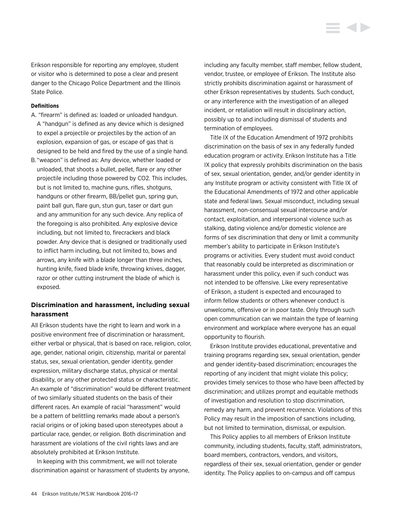#### **Definitions**

- A. "firearm" is defined as: loaded or unloaded handgun. A "handgun" is defined as any device which is designed to expel a projectile or projectiles by the action of an explosion, expansion of gas, or escape of gas that is designed to be held and fired by the use of a single hand.
- B. "weapon" is defined as: Any device, whether loaded or unloaded, that shoots a bullet, pellet, flare or any other projectile including those powered by CO2. This includes, but is not limited to, machine guns, rifles, shotguns, handguns or other firearm, BB/pellet gun, spring gun, paint ball gun, flare gun, stun gun, taser or dart gun and any ammunition for any such device. Any replica of the foregoing is also prohibited. Any explosive device including, but not limited to, firecrackers and black powder. Any device that is designed or traditionally used to inflict harm including, but not limited to, bows and arrows, any knife with a blade longer than three inches, hunting knife, fixed blade knife, throwing knives, dagger, razor or other cutting instrument the blade of which is exposed.

## **Discrimination and harassment, including sexual harassment**

All Erikson students have the right to learn and work in a positive environment free of discrimination or harassment, either verbal or physical, that is based on race, religion, color, age, gender, national origin, citizenship, marital or parental status, sex, sexual orientation, gender identity, gender expression, military discharge status, physical or mental disability, or any other protected status or characteristic. An example of "discrimination" would be different treatment of two similarly situated students on the basis of their different races. An example of racial "harassment" would be a pattern of belittling remarks made about a person's racial origins or of joking based upon stereotypes about a particular race, gender, or religion. Both discrimination and harassment are violations of the civil rights laws and are absolutely prohibited at Erikson Institute.

In keeping with this commitment, we will not tolerate discrimination against or harassment of students by anyone, including any faculty member, staff member, fellow student, vendor, trustee, or employee of Erikson. The Institute also strictly prohibits discrimination against or harassment of other Erikson representatives by students. Such conduct, or any interference with the investigation of an alleged incident, or retaliation will result in disciplinary action, possibly up to and including dismissal of students and termination of employees.

Title IX of the Education Amendment of 1972 prohibits discrimination on the basis of sex in any federally funded education program or activity. Erikson Institute has a Title IX policy that expressly prohibits discrimination on the basis of sex, sexual orientation, gender, and/or gender identity in any Institute program or activity consistent with Title IX of the Educational Amendments of 1972 and other applicable state and federal laws. Sexual misconduct, including sexual harassment, non-consensual sexual intercourse and/or contact, exploitation, and interpersonal violence such as stalking, dating violence and/or domestic violence are forms of sex discrimination that deny or limit a community member's ability to participate in Erikson Institute's programs or activities. Every student must avoid conduct that reasonably could be interpreted as discrimination or harassment under this policy, even if such conduct was not intended to be offensive. Like every representative of Erikson, a student is expected and encouraged to inform fellow students or others whenever conduct is unwelcome, offensive or in poor taste. Only through such open communication can we maintain the type of learning environment and workplace where everyone has an equal opportunity to flourish.

Erikson Institute provides educational, preventative and training programs regarding sex, sexual orientation, gender and gender identity-based discrimination; encourages the reporting of any incident that might violate this policy; provides timely services to those who have been affected by discrimination; and utilizes prompt and equitable methods of investigation and resolution to stop discrimination, remedy any harm, and prevent recurrence. Violations of this Policy may result in the imposition of sanctions including, but not limited to termination, dismissal, or expulsion.

This Policy applies to all members of Erikson Institute community, including students, faculty, staff, administrators, board members, contractors, vendors, and visitors, regardless of their sex, sexual orientation, gender or gender identity. The Policy applies to on-campus and off campus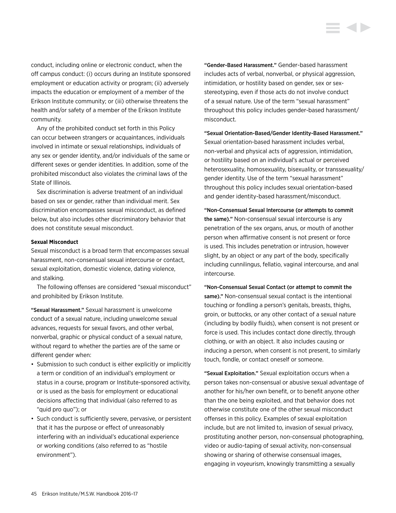conduct, including online or electronic conduct, when the off campus conduct: (i) occurs during an Institute sponsored employment or education activity or program; (ii) adversely impacts the education or employment of a member of the Erikson Institute community; or (iii) otherwise threatens the health and/or safety of a member of the Erikson Institute community.

Any of the prohibited conduct set forth in this Policy can occur between strangers or acquaintances, individuals involved in intimate or sexual relationships, individuals of any sex or gender identity, and/or individuals of the same or different sexes or gender identities. In addition, some of the prohibited misconduct also violates the criminal laws of the State of Illinois.

Sex discrimination is adverse treatment of an individual based on sex or gender, rather than individual merit. Sex discrimination encompasses sexual misconduct, as defined below, but also includes other discriminatory behavior that does not constitute sexual misconduct.

#### **Sexual Misconduct**

Sexual misconduct is a broad term that encompasses sexual harassment, non-consensual sexual intercourse or contact, sexual exploitation, domestic violence, dating violence, and stalking.

The following offenses are considered "sexual misconduct" and prohibited by Erikson Institute.

"Sexual Harassment." Sexual harassment is unwelcome conduct of a sexual nature, including unwelcome sexual advances, requests for sexual favors, and other verbal, nonverbal, graphic or physical conduct of a sexual nature, without regard to whether the parties are of the same or different gender when:

- Submission to such conduct is either explicitly or implicitly a term or condition of an individual's employment or status in a course, program or Institute-sponsored activity, or is used as the basis for employment or educational decisions affecting that individual (also referred to as "quid pro quo"); or
- Such conduct is sufficiently severe, pervasive, or persistent that it has the purpose or effect of unreasonably interfering with an individual's educational experience or working conditions (also referred to as "hostile environment").

"Gender-Based Harassment." Gender-based harassment includes acts of verbal, nonverbal, or physical aggression, intimidation, or hostility based on gender, sex or sexstereotyping, even if those acts do not involve conduct of a sexual nature. Use of the term "sexual harassment" throughout this policy includes gender-based harassment/ misconduct.

"Sexual Orientation-Based/Gender Identity-Based Harassment." Sexual orientation-based harassment includes verbal, non-verbal and physical acts of aggression, intimidation, or hostility based on an individual's actual or perceived heterosexuality, homosexuality, bisexuality, or transsexuality/ gender identity. Use of the term "sexual harassment" throughout this policy includes sexual orientation-based and gender identity-based harassment/misconduct.

"Non-Consensual Sexual Intercourse (or attempts to commit the same)." Non-consensual sexual intercourse is any penetration of the sex organs, anus, or mouth of another person when affirmative consent is not present or force is used. This includes penetration or intrusion, however slight, by an object or any part of the body, specifically including cunnilingus, fellatio, vaginal intercourse, and anal intercourse.

"Non-Consensual Sexual Contact (or attempt to commit the same)." Non-consensual sexual contact is the intentional touching or fondling a person's genitals, breasts, thighs, groin, or buttocks, or any other contact of a sexual nature (including by bodily fluids), when consent is not present or force is used. This includes contact done directly, through clothing, or with an object. It also includes causing or inducing a person, when consent is not present, to similarly touch, fondle, or contact oneself or someone.

"Sexual Exploitation." Sexual exploitation occurs when a person takes non-consensual or abusive sexual advantage of another for his/her own benefit, or to benefit anyone other than the one being exploited, and that behavior does not otherwise constitute one of the other sexual misconduct offenses in this policy. Examples of sexual exploitation include, but are not limited to, invasion of sexual privacy, prostituting another person, non-consensual photographing, video or audio-taping of sexual activity, non-consensual showing or sharing of otherwise consensual images, engaging in voyeurism, knowingly transmitting a sexually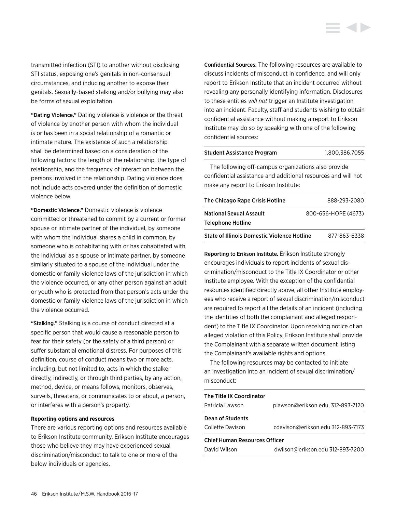transmitted infection (STI) to another without disclosing STI status, exposing one's genitals in non-consensual circumstances, and inducing another to expose their genitals. Sexually-based stalking and/or bullying may also be forms of sexual exploitation.

"Dating Violence." Dating violence is violence or the threat of violence by another person with whom the individual is or has been in a social relationship of a romantic or intimate nature. The existence of such a relationship shall be determined based on a consideration of the following factors: the length of the relationship, the type of relationship, and the frequency of interaction between the persons involved in the relationship. Dating violence does not include acts covered under the definition of domestic violence below.

"Domestic Violence." Domestic violence is violence committed or threatened to commit by a current or former spouse or intimate partner of the individual, by someone with whom the individual shares a child in common, by someone who is cohabitating with or has cohabitated with the individual as a spouse or intimate partner, by someone similarly situated to a spouse of the individual under the domestic or family violence laws of the jurisdiction in which the violence occurred, or any other person against an adult or youth who is protected from that person's acts under the domestic or family violence laws of the jurisdiction in which the violence occurred.

"Stalking." Stalking is a course of conduct directed at a specific person that would cause a reasonable person to fear for their safety (or the safety of a third person) or suffer substantial emotional distress. For purposes of this definition, course of conduct means two or more acts, including, but not limited to, acts in which the stalker directly, indirectly, or through third parties, by any action, method, device, or means follows, monitors, observes, surveils, threatens, or communicates to or about, a person, or interferes with a person's property.

#### **Reporting options and resources**

There are various reporting options and resources available to Erikson Institute community. Erikson Institute encourages those who believe they may have experienced sexual discrimination/misconduct to talk to one or more of the below individuals or agencies.

Confidential Sources. The following resources are available to discuss incidents of misconduct in confidence, and will only report to Erikson Institute that an incident occurred without revealing any personally identifying information. Disclosures to these entities *will not* trigger an Institute investigation into an incident. Faculty, staff and students wishing to obtain confidential assistance without making a report to Erikson Institute may do so by speaking with one of the following confidential sources:

## Student Assistance Program 1.800.386.7055

The following off-campus organizations also provide confidential assistance and additional resources and will not make any report to Erikson Institute:

| The Chicago Rape Crisis Hotline                       | 888-293-2080 |
|-------------------------------------------------------|--------------|
| <b>National Sexual Assault</b><br>800-656-HOPE (4673) |              |
| <b>Telephone Hotline</b>                              |              |
| <b>State of Illinois Domestic Violence Hotline</b>    | 877-863-6338 |

Reporting to Erikson Institute. Erikson Institute strongly encourages individuals to report incidents of sexual discrimination/misconduct to the Title IX Coordinator or other Institute employee. With the exception of the confidential resources identified directly above, all other Institute employees who receive a report of sexual discrimination/misconduct are required to report all the details of an incident (including the identities of both the complainant and alleged respondent) to the Title IX Coordinator. Upon receiving notice of an alleged violation of this Policy, Erikson Institute shall provide the Complainant with a separate written document listing the Complainant's available rights and options.

The following resources may be contacted to initiate an investigation into an incident of sexual discrimination/ misconduct:

| The Title IX Coordinator<br>Patricia Lawson          | plawson@erikson.edu, 312-893-7120 |
|------------------------------------------------------|-----------------------------------|
| Dean of Students<br>Collette Davison                 | cdavison@erikson.edu 312-893-7173 |
| <b>Chief Human Resources Officer</b><br>David Wilson | dwilson@erikson.edu 312-893-7200  |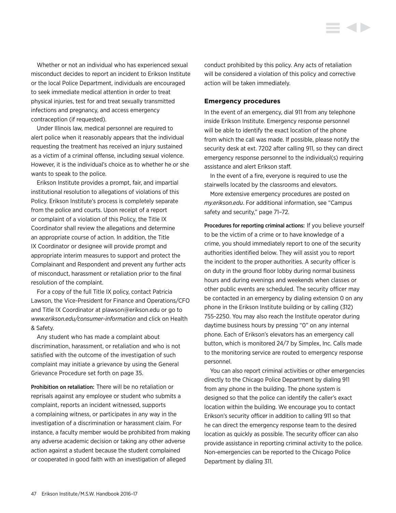Whether or not an individual who has experienced sexual misconduct decides to report an incident to Erikson Institute or the local Police Department, individuals are encouraged to seek immediate medical attention in order to treat physical injuries, test for and treat sexually transmitted infections and pregnancy, and access emergency contraception (if requested).

Under Illinois law, medical personnel are required to alert police when it reasonably appears that the individual requesting the treatment has received an injury sustained as a victim of a criminal offense, including sexual violence. However, it is the individual's choice as to whether he or she wants to speak to the police.

Erikson Institute provides a prompt, fair, and impartial institutional resolution to allegations of violations of this Policy. Erikson Institute's process is completely separate from the police and courts. Upon receipt of a report or complaint of a violation of this Policy, the Title IX Coordinator shall review the allegations and determine an appropriate course of action. In addition, the Title IX Coordinator or designee will provide prompt and appropriate interim measures to support and protect the Complainant and Respondent and prevent any further acts of misconduct, harassment or retaliation prior to the final resolution of the complaint.

For a copy of the full Title IX policy, contact Patricia Lawson, the Vice-President for Finance and Operations/CFO and Title IX Coordinator at plawson@erikson.edu or go to *[www.erikson.edu/consumer-information](http://www.erikson.edu/consumer-information)* and click on Health & Safety.

Any student who has made a complaint about discrimination, harassment, or retaliation and who is not satisfied with the outcome of the investigation of such complaint may initiate a grievance by using the General Grievance Procedure set forth on page 35.

Prohibition on retaliation: There will be no retaliation or reprisals against any employee or student who submits a complaint, reports an incident witnessed, supports a complaining witness, or participates in any way in the investigation of a discrimination or harassment claim. For instance, a faculty member would be prohibited from making any adverse academic decision or taking any other adverse action against a student because the student complained or cooperated in good faith with an investigation of alleged

conduct prohibited by this policy. Any acts of retaliation will be considered a violation of this policy and corrective action will be taken immediately.

#### **Emergency procedures**

In the event of an emergency, dial 911 from any telephone inside Erikson Institute. Emergency response personnel will be able to identify the exact location of the phone from which the call was made. If possible, please notify the security desk at ext. 7202 after calling 911, so they can direct emergency response personnel to the individual(s) requiring assistance and alert Erikson staff.

In the event of a fire, everyone is required to use the stairwells located by the classrooms and elevators.

More extensive emergency procedures are posted on *my.erikson.edu*. For additional information, see "Campus safety and security," page 71–72.

Procedures for reporting criminal actions: If you believe yourself to be the victim of a crime or to have knowledge of a crime, you should immediately report to one of the security authorities identified below. They will assist you to report the incident to the proper authorities. A security officer is on duty in the ground floor lobby during normal business hours and during evenings and weekends when classes or other public events are scheduled. The security officer may be contacted in an emergency by dialing extension 0 on any phone in the Erikson Institute building or by calling (312) 755-2250. You may also reach the Institute operator during daytime business hours by pressing "0" on any internal phone. Each of Erikson's elevators has an emergency call button, which is monitored 24/7 by Simplex, Inc. Calls made to the monitoring service are routed to emergency response personnel.

You can also report criminal activities or other emergencies directly to the Chicago Police Department by dialing 911 from any phone in the building. The phone system is designed so that the police can identify the caller's exact location within the building. We encourage you to contact Erikson's security officer in addition to calling 911 so that he can direct the emergency response team to the desired location as quickly as possible. The security officer can also provide assistance in reporting criminal activity to the police. Non-emergencies can be reported to the Chicago Police Department by dialing 311.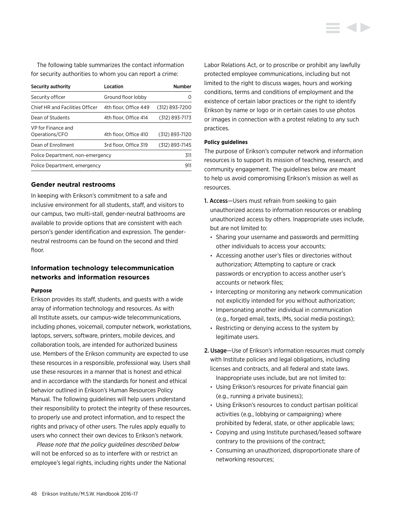The following table summarizes the contact information for security authorities to whom you can report a crime:

| Security authority                   | Location              | <b>Number</b>  |
|--------------------------------------|-----------------------|----------------|
| Security officer                     | Ground floor lobby    | O              |
| Chief HR and Facilities Officer      | 4th floor, Office 449 | (312) 893-7200 |
| Dean of Students                     | 4th floor. Office 414 | (312) 893-7173 |
| VP for Finance and<br>Operations/CFO | 4th floor, Office 410 | (312) 893-7120 |
| Dean of Enrollment                   | 3rd floor, Office 319 | (312) 893-7145 |
| Police Department, non-emergency     |                       | 311            |
| Police Department, emergency         |                       | 911            |

## **Gender neutral restrooms**

In keeping with Erikson's commitment to a safe and inclusive environment for all students, staff, and visitors to our campus, two multi-stall, gender-neutral bathrooms are available to provide options that are consistent with each person's gender identification and expression. The genderneutral restrooms can be found on the second and third floor.

## **Information technology telecommunication networks and information resources**

#### **Purpose**

Erikson provides its staff, students, and guests with a wide array of information technology and resources. As with all Institute assets, our campus-wide telecommunications, including phones, voicemail, computer network, workstations, laptops, servers, software, printers, mobile devices, and collaboration tools, are intended for authorized business use. Members of the Erikson community are expected to use these resources in a responsible, professional way. Users shall use these resources in a manner that is honest and ethical and in accordance with the standards for honest and ethical behavior outlined in Erikson's Human Resources Policy Manual. The following guidelines will help users understand their responsibility to protect the integrity of these resources, to properly use and protect information, and to respect the rights and privacy of other users. The rules apply equally to users who connect their own devices to Erikson's network.

*Please note that the policy guidelines described below*  will not be enforced so as to interfere with or restrict an employee's legal rights, including rights under the National Labor Relations Act, or to proscribe or prohibit any lawfully protected employee communications, including but not limited to the right to discuss wages, hours and working conditions, terms and conditions of employment and the existence of certain labor practices or the right to identify Erikson by name or logo or in certain cases to use photos or images in connection with a protest relating to any such practices.

#### **Policy guidelines**

The purpose of Erikson's computer network and information resources is to support its mission of teaching, research, and community engagement. The guidelines below are meant to help us avoid compromising Erikson's mission as well as resources.

- 1. Access—Users must refrain from seeking to gain unauthorized access to information resources or enabling unauthorized access by others. Inappropriate uses include, but are not limited to:
	- Sharing your username and passwords and permitting other individuals to access your accounts;
	- Accessing another user's files or directories without authorization; Attempting to capture or crack passwords or encryption to access another user's accounts or network files;
	- Intercepting or monitoring any network communication not explicitly intended for you without authorization;
	- Impersonating another individual in communication (e.g., forged email, texts, IMs, social media postings);
	- Restricting or denying access to the system by legitimate users.
- 2. Usage—Use of Erikson's information resources must comply with Institute policies and legal obligations, including licenses and contracts, and all federal and state laws. Inappropriate uses include, but are not limited to:
	- Using Erikson's resources for private financial gain (e.g., running a private business);
	- Using Erikson's resources to conduct partisan political activities (e.g., lobbying or campaigning) where prohibited by federal, state, or other applicable laws;
	- Copying and using Institute purchased/leased software contrary to the provisions of the contract;
	- Consuming an unauthorized, disproportionate share of networking resources;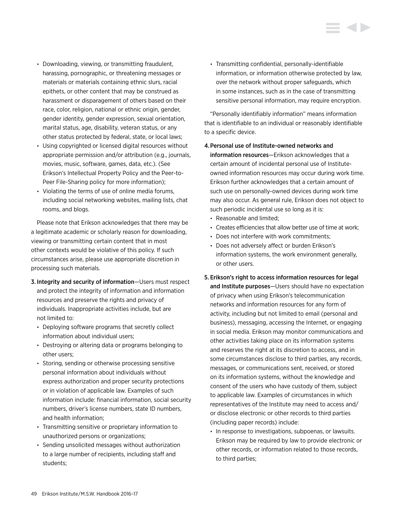- Downloading, viewing, or transmitting fraudulent, harassing, pornographic, or threatening messages or materials or materials containing ethnic slurs, racial epithets, or other content that may be construed as harassment or disparagement of others based on their race, color, religion, national or ethnic origin, gender, gender identity, gender expression, sexual orientation, marital status, age, disability, veteran status, or any other status protected by federal, state, or local laws;
- Using copyrighted or licensed digital resources without appropriate permission and/or attribution (e.g., journals, movies, music, software, games, data, etc.). (See Erikson's Intellectual Property Policy and the Peer-to-Peer File-Sharing policy for more information);
- Violating the terms of use of online media forums, including social networking websites, mailing lists, chat rooms, and blogs.

Please note that Erikson acknowledges that there may be a legitimate academic or scholarly reason for downloading, viewing or transmitting certain content that in most other contexts would be violative of this policy. If such circumstances arise, please use appropriate discretion in processing such materials.

- 3. Integrity and security of information—Users must respect and protect the integrity of information and information resources and preserve the rights and privacy of individuals. Inappropriate activities include, but are not limited to:
	- Deploying software programs that secretly collect information about individual users;
	- Destroying or altering data or programs belonging to other users;
	- Storing, sending or otherwise processing sensitive personal information about individuals without express authorization and proper security protections or in violation of applicable law. Examples of such information include: financial information, social security numbers, driver's license numbers, state ID numbers, and health information;
	- Transmitting sensitive or proprietary information to unauthorized persons or organizations;
	- Sending unsolicited messages without authorization to a large number of recipients, including staff and students;

• Transmitting confidential, personally-identifiable information, or information otherwise protected by law, over the network without proper safeguards, which in some instances, such as in the case of transmitting sensitive personal information, may require encryption.

"Personally identifiably information" means information that is identifiable to an individual or reasonably identifiable to a specific device.

4.Personal use of Institute-owned networks and

information resources—Erikson acknowledges that a certain amount of incidental personal use of Instituteowned information resources may occur during work time. Erikson further acknowledges that a certain amount of such use on personally-owned devices during work time may also occur. As general rule, Erikson does not object to such periodic incidental use so long as it is:

- Reasonable and limited;
- Creates efficiencies that allow better use of time at work;
- Does not interfere with work commitments;
- Does not adversely affect or burden Erikson's information systems, the work environment generally, or other users.
- 5. Erikson's right to access information resources for legal and Institute purposes—Users should have no expectation of privacy when using Erikson's telecommunication networks and information resources for any form of activity, including but not limited to email (personal and business), messaging, accessing the Internet, or engaging in social media. Erikson may monitor communications and other activities taking place on its information systems and reserves the right at its discretion to access, and in some circumstances disclose to third parties, any records, messages, or communications sent, received, or stored on its information systems, without the knowledge and consent of the users who have custody of them, subject to applicable law. Examples of circumstances in which representatives of the Institute may need to access and/ or disclose electronic or other records to third parties (including paper records) include:
	- In response to investigations, subpoenas, or lawsuits. Erikson may be required by law to provide electronic or other records, or information related to those records, to third parties;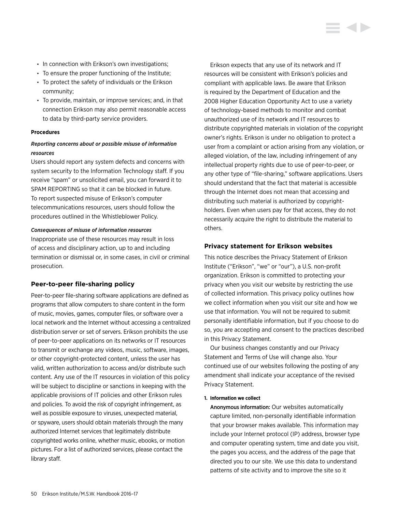- In connection with Erikson's own investigations;
- To ensure the proper functioning of the Institute;
- To protect the safety of individuals or the Erikson community;
- To provide, maintain, or improve services; and, in that connection Erikson may also permit reasonable access to data by third-party service providers.

#### **Procedures**

## *Reporting concerns about or possible misuse of information resources*

Users should report any system defects and concerns with system security to the Information Technology staff. If you receive "spam" or unsolicited email, you can forward it to SPAM REPORTING so that it can be blocked in future. To report suspected misuse of Erikson's computer telecommunications resources, users should follow the procedures outlined in the Whistleblower Policy.

#### *Consequences of misuse of information resources*

Inappropriate use of these resources may result in loss of access and disciplinary action, up to and including termination or dismissal or, in some cases, in civil or criminal prosecution.

#### **Peer-to-peer file-sharing policy**

Peer-to-peer file-sharing software applications are defined as programs that allow computers to share content in the form of music, movies, games, computer files, or software over a local network and the Internet without accessing a centralized distribution server or set of servers. Erikson prohibits the use of peer-to-peer applications on its networks or IT resources to transmit or exchange any videos, music, software, images, or other copyright-protected content, unless the user has valid, written authorization to access and/or distribute such content. Any use of the IT resources in violation of this policy will be subject to discipline or sanctions in keeping with the applicable provisions of IT policies and other Erikson rules and policies. To avoid the risk of copyright infringement, as well as possible exposure to viruses, unexpected material, or spyware, users should obtain materials through the many authorized Internet services that legitimately distribute copyrighted works online, whether music, ebooks, or motion pictures. For a list of authorized services, please contact the library staff.

Erikson expects that any use of its network and IT resources will be consistent with Erikson's policies and compliant with applicable laws. Be aware that Erikson is required by the Department of Education and the 2008 Higher Education Opportunity Act to use a variety of technology-based methods to monitor and combat unauthorized use of its network and IT resources to distribute copyrighted materials in violation of the copyright owner's rights. Erikson is under no obligation to protect a user from a complaint or action arising from any violation, or alleged violation, of the law, including infringement of any intellectual property rights due to use of peer-to-peer, or any other type of "file-sharing," software applications. Users should understand that the fact that material is accessible through the Internet does not mean that accessing and distributing such material is authorized by copyrightholders. Even when users pay for that access, they do not necessarily acquire the right to distribute the material to others.

#### **Privacy statement for Erikson websites**

This notice describes the Privacy Statement of Erikson Institute ("Erikson", "we" or "our"), a U.S. non-profit organization. Erikson is committed to protecting your privacy when you visit our website by restricting the use of collected information. This privacy policy outlines how we collect information when you visit our site and how we use that information. You will not be required to submit personally identifiable information, but if you choose to do so, you are accepting and consent to the practices described in this Privacy Statement.

Our business changes constantly and our Privacy Statement and Terms of Use will change also. Your continued use of our websites following the posting of any amendment shall indicate your acceptance of the revised Privacy Statement.

#### **1. Information we collect**

Anonymous information: Our websites automatically capture limited, non-personally identifiable information that your browser makes available. This information may include your Internet protocol (IP) address, browser type and computer operating system, time and date you visit, the pages you access, and the address of the page that directed you to our site. We use this data to understand patterns of site activity and to improve the site so it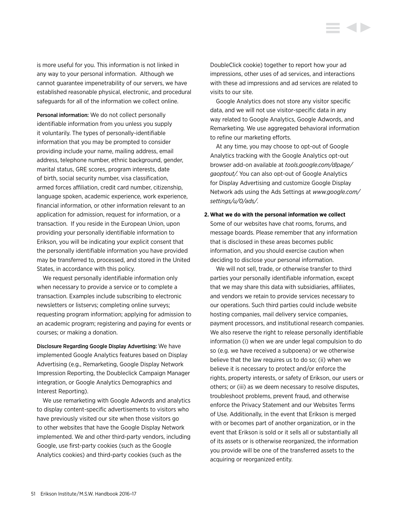is more useful for you. This information is not linked in any way to your personal information. Although we cannot guarantee impenetrability of our servers, we have established reasonable physical, electronic, and procedural safeguards for all of the information we collect online.

Personal information: We do not collect personally identifiable information from you unless you supply it voluntarily. The types of personally-identifiable information that you may be prompted to consider providing include your name, mailing address, email address, telephone number, ethnic background, gender, marital status, GRE scores, program interests, date of birth, social security number, visa classification, armed forces affiliation, credit card number, citizenship, language spoken, academic experience, work experience, financial information, or other information relevant to an application for admission, request for information, or a transaction. If you reside in the European Union, upon providing your personally identifiable information to Erikson, you will be indicating your explicit consent that the personally identifiable information you have provided may be transferred to, processed, and stored in the United States, in accordance with this policy.

We request personally identifiable information only when necessary to provide a service or to complete a transaction. Examples include subscribing to electronic newsletters or listservs; completing online surveys; requesting program information; applying for admission to an academic program; registering and paying for events or courses; or making a donation.

Disclosure Regarding Google Display Advertising: We have implemented Google Analytics features based on Display Advertising (e.g., Remarketing, Google Display Network Impression Reporting, the Doubleclick Campaign Manager integration, or Google Analytics Demographics and Interest Reporting).

We use remarketing with Google Adwords and analytics to display content-specific advertisements to visitors who have previously visited our site when those visitors go to other websites that have the Google Display Network implemented. We and other third-party vendors, including Google, use first-party cookies (such as the Google Analytics cookies) and third-party cookies (such as the

DoubleClick cookie) together to report how your ad impressions, other uses of ad services, and interactions with these ad impressions and ad services are related to visits to our site.

Google Analytics does not store any visitor specific data, and we will not use visitor-specific data in any way related to Google Analytics, Google Adwords, and Remarketing. We use aggregated behavioral information to refine our marketing efforts.

At any time, you may choose to opt-out of Google Analytics tracking with the Google Analytics opt-out browser add-on available at *[tools.google.com/dlpage/](tools.google.com/dlpage/gaoptout/) [gaoptout](tools.google.com/dlpage/gaoptout/)/*. You can also opt-out of Google Analytics for Display Advertising and customize Google Display Network ads using the Ads Settings at *[www.google.com/](http://www.google.com/settings/u/0/ads/) [settings/u/0/ads/](http://www.google.com/settings/u/0/ads/)*.

## **2. What we do with the personal information we collect** Some of our websites have chat rooms, forums, and message boards. Please remember that any information that is disclosed in these areas becomes public information, and you should exercise caution when deciding to disclose your personal information.

We will not sell, trade, or otherwise transfer to third parties your personally identifiable information, except that we may share this data with subsidiaries, affiliates, and vendors we retain to provide services necessary to our operations. Such third parties could include website hosting companies, mail delivery service companies, payment processors, and institutional research companies. We also reserve the right to release personally identifiable information (i) when we are under legal compulsion to do so (e.g. we have received a subpoena) or we otherwise believe that the law requires us to do so; (ii) when we believe it is necessary to protect and/or enforce the rights, property interests, or safety of Erikson, our users or others; or (iii) as we deem necessary to resolve disputes, troubleshoot problems, prevent fraud, and otherwise enforce the Privacy Statement and our Websites Terms of Use. Additionally, in the event that Erikson is merged with or becomes part of another organization, or in the event that Erikson is sold or it sells all or substantially all of its assets or is otherwise reorganized, the information you provide will be one of the transferred assets to the acquiring or reorganized entity.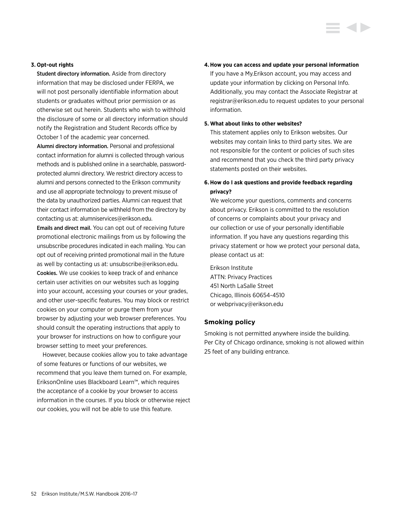Student directory information. Aside from directory information that may be disclosed under FERPA, we will not post personally identifiable information about students or graduates without prior permission or as otherwise set out herein. Students who wish to withhold the disclosure of some or all directory information should notify the Registration and Student Records office by October 1 of the academic year concerned.

Alumni directory information. Personal and professional contact information for alumni is collected through various methods and is published online in a searchable, passwordprotected alumni directory. We restrict directory access to alumni and persons connected to the Erikson community and use all appropriate technology to prevent misuse of the data by unauthorized parties. Alumni can request that their contact information be withheld from the directory by contacting us at: alumniservices@erikson.edu.

Emails and direct mail. You can opt out of receiving future promotional electronic mailings from us by following the unsubscribe procedures indicated in each mailing. You can opt out of receiving printed promotional mail in the future as well by contacting us at: unsubscribe@erikson.edu. Cookies. We use cookies to keep track of and enhance certain user activities on our websites such as logging into your account, accessing your courses or your grades, and other user-specific features. You may block or restrict cookies on your computer or purge them from your browser by adjusting your web browser preferences. You should consult the operating instructions that apply to your browser for instructions on how to configure your browser setting to meet your preferences.

However, because cookies allow you to take advantage of some features or functions of our websites, we recommend that you leave them turned on. For example, EriksonOnline uses Blackboard Learn™, which requires the acceptance of a cookie by your browser to access information in the courses. If you block or otherwise reject our cookies, you will not be able to use this feature.

#### **4.How you can access and update your personal information**

If you have a My.Erikson account, you may access and update your information by clicking on Personal Info. Additionally, you may contact the Associate Registrar at registrar@erikson.edu to request updates to your personal information.

#### **5. What about links to other websites?**

This statement applies only to Erikson websites. Our websites may contain links to third party sites. We are not responsible for the content or policies of such sites and recommend that you check the third party privacy statements posted on their websites.

## **6. How do I ask questions and provide feedback regarding privacy?**

We welcome your questions, comments and concerns about privacy. Erikson is committed to the resolution of concerns or complaints about your privacy and our collection or use of your personally identifiable information. If you have any questions regarding this privacy statement or how we protect your personal data, please contact us at:

Erikson Institute ATTN: Privacy Practices 451 North LaSalle Street Chicago, Illinois 60654-4510 or webprivacy@erikson.edu

#### **Smoking policy**

Smoking is not permitted anywhere inside the building. Per City of Chicago ordinance, smoking is not allowed within 25 feet of any building entrance.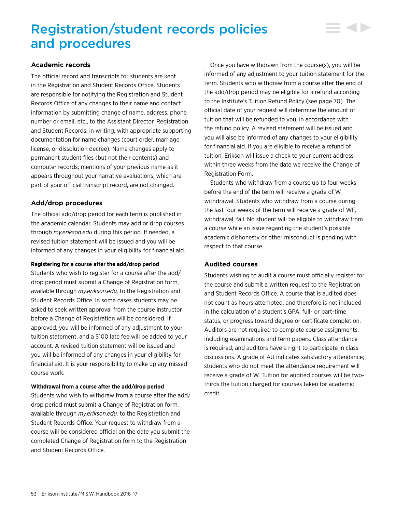## Registration/student records policies and procedures

## **Academic records**

The official record and transcripts for students are kept in the Registration and Student Records Office. Students are responsible for notifying the Registration and Student Records Office of any changes to their name and contact information by submitting change of name, address, phone number or email, etc., to the Assistant Director, Registration and Student Records, in writing, with appropriate supporting documentation for name changes (court order, marriage license, or dissolution decree). Name changes apply to permanent student files (but not their contents) and computer records; mentions of your previous name as it appears throughout your narrative evaluations, which are part of your official transcript record, are not changed.

## **Add/drop procedures**

The official add/drop period for each term is published in the academic calendar. Students may add or drop courses through *my.erikson.edu* during this period. If needed, a revised tuition statement will be issued and you will be informed of any changes in your eligibility for financial aid.

#### **Registering for a course after the add/drop period**

Students who wish to register for a course after the add/ drop period must submit a Change of Registration form, available through *my.erikson.edu,* to the Registration and Student Records Office. In some cases students may be asked to seek written approval from the course instructor before a Change of Registration will be considered. If approved, you will be informed of any adjustment to your tuition statement, and a \$100 late fee will be added to your account. A revised tuition statement will be issued and you will be informed of any changes in your eligibility for financial aid. It is your responsibility to make up any missed course work.

#### **Withdrawal from a course after the add/drop period**

Students who wish to withdraw from a course after the add/ drop period must submit a Change of Registration form, available through *my.erikson.edu,* to the Registration and Student Records Office. Your request to withdraw from a course will be considered official on the date you submit the completed Change of Registration form to the Registration and Student Records Office.

Once you have withdrawn from the course(s), you will be informed of any adjustment to your tuition statement for the term. Students who withdraw from a course after the end of the add/drop period may be eligible for a refund according to the Institute's Tuition Refund Policy (see page 70). The official date of your request will determine the amount of tuition that will be refunded to you, in accordance with the refund policy. A revised statement will be issued and you will also be informed of any changes to your eligibility for financial aid. If you are eligible to receive a refund of tuition, Erikson will issue a check to your current address within three weeks from the date we receive the Change of Registration Form.

Students who withdraw from a course up to four weeks before the end of the term will receive a grade of W, withdrawal. Students who withdraw from a course during the last four weeks of the term will receive a grade of WF, withdrawal, fail. No student will be eligible to withdraw from a course while an issue regarding the student's possible academic dishonesty or other misconduct is pending with respect to that course.

## **Audited courses**

Students wishing to audit a course must officially register for the course and submit a written request to the Registration and Student Records Office. A course that is audited does not count as hours attempted, and therefore is not included in the calculation of a student's GPA, full- or part-time status, or progress toward degree or certificate completion. Auditors are not required to complete course assignments, including examinations and term papers. Class attendance is required, and auditors have a right to participate in class discussions. A grade of AU indicates satisfactory attendance; students who do not meet the attendance requirement will receive a grade of W. Tuition for audited courses will be twothirds the tuition charged for courses taken for academic credit.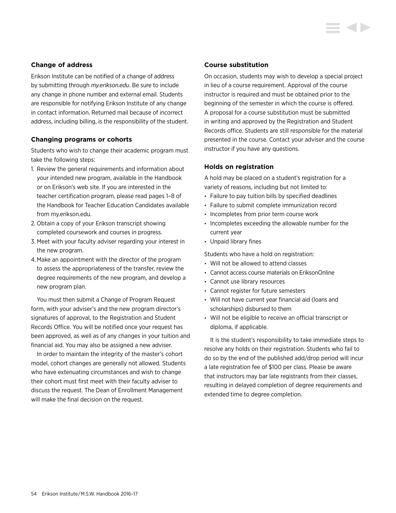## **Change of address**

Erikson Institute can be notified of a change of address by submitting through *my.erikson.edu*. Be sure to include any change in phone number and external email. Students are responsible for notifying Erikson Institute of any change in contact information. Returned mail because of incorrect address, including billing, is the responsibility of the student.

## **Changing programs or cohorts**

Students who wish to change their academic program must take the following steps:

- 1. Review the general requirements and information about your intended new program, available in the Handbook or on Erikson's web site. If you are interested in the teacher certification program, please read pages 1–8 of the Handbook for Teacher Education Candidates available from my.erikson.edu.
- 2. Obtain a copy of your Erikson transcript showing completed coursework and courses in progress.
- 3. Meet with your faculty adviser regarding your interest in the new program.
- 4.Make an appointment with the director of the program to assess the appropriateness of the transfer, review the degree requirements of the new program, and develop a new program plan.

You must then submit a Change of Program Request form, with your adviser's and the new program director's signatures of approval, to the Registration and Student Records Office. You will be notified once your request has been approved, as well as of any changes in your tuition and financial aid. You may also be assigned a new adviser.

In order to maintain the integrity of the master's cohort model, cohort changes are generally not allowed. Students who have extenuating circumstances and wish to change their cohort must first meet with their faculty adviser to discuss the request. The Dean of Enrollment Management will make the final decision on the request.

## **Course substitution**

On occasion, students may wish to develop a special project in lieu of a course requirement. Approval of the course instructor is required and must be obtained prior to the beginning of the semester in which the course is offered. A proposal for a course substitution must be submitted in writing and approved by the Registration and Student Records office. Students are still responsible for the material presented in the course. Contact your adviser and the course instructor if you have any questions.

## **Holds on registration**

A hold may be placed on a student's registration for a variety of reasons, including but not limited to:

- Failure to pay tuition bills by specified deadlines
- Failure to submit complete immunization record
- Incompletes from prior term course work
- Incompletes exceeding the allowable number for the current year
- Unpaid library fines

Students who have a hold on registration:

- Will not be allowed to attend classes
- Cannot access course materials on EriksonOnline
- Cannot use library resources
- Cannot register for future semesters
- Will not have current year financial aid (loans and scholarships) disbursed to them
- Will not be eligible to receive an official transcript or diploma, if applicable.

It is the student's responsibility to take immediate steps to resolve any holds on their registration. Students who fail to do so by the end of the published add/drop period will incur a late registration fee of \$100 per class. Please be aware that instructors may bar late registrants from their classes, resulting in delayed completion of degree requirements and extended time to degree completion.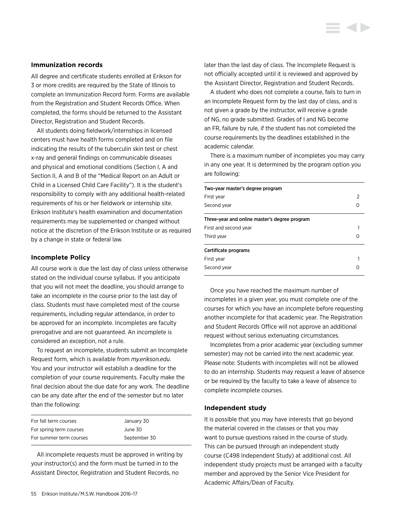#### **Immunization records**

All degree and certificate students enrolled at Erikson for 3 or more credits are required by the State of Illinois to complete an Immunization Record form. Forms are available from the Registration and Student Records Office. When completed, the forms should be returned to the Assistant Director, Registration and Student Records.

All students doing fieldwork/internships in licensed centers must have health forms completed and on file indicating the results of the tuberculin skin test or chest x-ray and general findings on communicable diseases and physical and emotional conditions (Section I, A and Section II, A and B of the "Medical Report on an Adult or Child in a Licensed Child Care Facility"). It is the student's responsibility to comply with any additional health-related requirements of his or her fieldwork or internship site. Erikson Institute's health examination and documentation requirements may be supplemented or changed without notice at the discretion of the Erikson Institute or as required by a change in state or federal law.

#### **Incomplete Policy**

All course work is due the last day of class unless otherwise stated on the individual course syllabus. If you anticipate that you will not meet the deadline, you should arrange to take an incomplete in the course prior to the last day of class. Students must have completed most of the course requirements, including regular attendance, in order to be approved for an incomplete. Incompletes are faculty prerogative and are not guaranteed. An incomplete is considered an exception, not a rule.

To request an incomplete, students submit an Incomplete Request form, which is available from *my.erikson.edu*. You and your instructor will establish a deadline for the completion of your course requirements. Faculty make the final decision about the due date for any work. The deadline can be any date after the end of the semester but no later than the following:

| For fall term courses   | January 30   |
|-------------------------|--------------|
| For spring term courses | June 30      |
| For summer term courses | September 30 |

All incomplete requests must be approved in writing by your instructor(s) and the form must be turned in to the Assistant Director, Registration and Student Records, no

later than the last day of class. The Incomplete Request is not officially accepted until it is reviewed and approved by the Assistant Director, Registration and Student Records.

A student who does not complete a course, fails to turn in an Incomplete Request form by the last day of class, and is not given a grade by the instructor, will receive a grade of NG, no grade submitted. Grades of I and NG become an FR, failure by rule, if the student has not completed the course requirements by the deadlines established in the academic calendar.

There is a maximum number of incompletes you may carry in any one year. It is determined by the program option you are following:

| Two-year master's degree program              |  |
|-----------------------------------------------|--|
| First year                                    |  |
| Second year                                   |  |
| Three-year and online master's degree program |  |
| First and second year                         |  |
| Third year                                    |  |
| Certificate programs                          |  |
| First vear                                    |  |
| Second year                                   |  |

Once you have reached the maximum number of incompletes in a given year, you must complete one of the courses for which you have an incomplete before requesting another incomplete for that academic year. The Registration and Student Records Office will not approve an additional request without serious extenuating circumstances.

Incompletes from a prior academic year (excluding summer semester) may not be carried into the next academic year. Please note: Students with incompletes will not be allowed to do an internship. Students may request a leave of absence or be required by the faculty to take a leave of absence to complete incomplete courses.

#### **Independent study**

It is possible that you may have interests that go beyond the material covered in the classes or that you may want to pursue questions raised in the course of study. This can be pursued through an independent study course (C498 Independent Study) at additional cost. All independent study projects must be arranged with a faculty member and approved by the Senior Vice President for Academic Affairs/Dean of Faculty.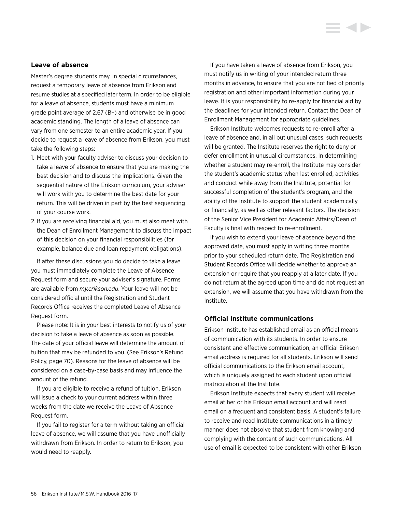#### **Leave of absence**

Master's degree students may, in special circumstances, request a temporary leave of absence from Erikson and resume studies at a specified later term. In order to be eligible for a leave of absence, students must have a minimum grade point average of 2.67 (B–) and otherwise be in good academic standing. The length of a leave of absence can vary from one semester to an entire academic year. If you decide to request a leave of absence from Erikson, you must take the following steps:

- 1. Meet with your faculty adviser to discuss your decision to take a leave of absence to ensure that you are making the best decision and to discuss the implications. Given the sequential nature of the Erikson curriculum, your adviser will work with you to determine the best date for your return. This will be driven in part by the best sequencing of your course work.
- 2. If you are receiving financial aid, you must also meet with the Dean of Enrollment Management to discuss the impact of this decision on your financial responsibilities (for example, balance due and loan repayment obligations).

If after these discussions you do decide to take a leave, you must immediately complete the Leave of Absence Request form and secure your adviser's signature. Forms are available from *my.erikson.edu*. Your leave will not be considered official until the Registration and Student Records Office receives the completed Leave of Absence Request form.

Please note: It is in your best interests to notify us of your decision to take a leave of absence as soon as possible. The date of your official leave will determine the amount of tuition that may be refunded to you. (See Erikson's Refund Policy, page 70). Reasons for the leave of absence will be considered on a case-by-case basis and may influence the amount of the refund.

If you are eligible to receive a refund of tuition, Erikson will issue a check to your current address within three weeks from the date we receive the Leave of Absence Request form.

If you fail to register for a term without taking an official leave of absence, we will assume that you have unofficially withdrawn from Erikson. In order to return to Erikson, you would need to reapply.

If you have taken a leave of absence from Erikson, you must notify us in writing of your intended return three months in advance, to ensure that you are notified of priority registration and other important information during your leave. It is your responsibility to re-apply for financial aid by the deadlines for your intended return. Contact the Dean of Enrollment Management for appropriate guidelines.

Erikson Institute welcomes requests to re-enroll after a leave of absence and, in all but unusual cases, such requests will be granted. The Institute reserves the right to deny or defer enrollment in unusual circumstances. In determining whether a student may re-enroll, the Institute may consider the student's academic status when last enrolled, activities and conduct while away from the Institute, potential for successful completion of the student's program, and the ability of the Institute to support the student academically or financially, as well as other relevant factors. The decision of the Senior Vice President for Academic Affairs/Dean of Faculty is final with respect to re-enrollment.

If you wish to extend your leave of absence beyond the approved date, you must apply in writing three months prior to your scheduled return date. The Registration and Student Records Office will decide whether to approve an extension or require that you reapply at a later date. If you do not return at the agreed upon time and do not request an extension, we will assume that you have withdrawn from the Institute.

## **Official Institute communications**

Erikson Institute has established email as an official means of communication with its students. In order to ensure consistent and effective communication, an official Erikson email address is required for all students. Erikson will send official communications to the Erikson email account, which is uniquely assigned to each student upon official matriculation at the Institute.

Erikson Institute expects that every student will receive email at her or his Erikson email account and will read email on a frequent and consistent basis. A student's failure to receive and read Institute communications in a timely manner does not absolve that student from knowing and complying with the content of such communications. All use of email is expected to be consistent with other Erikson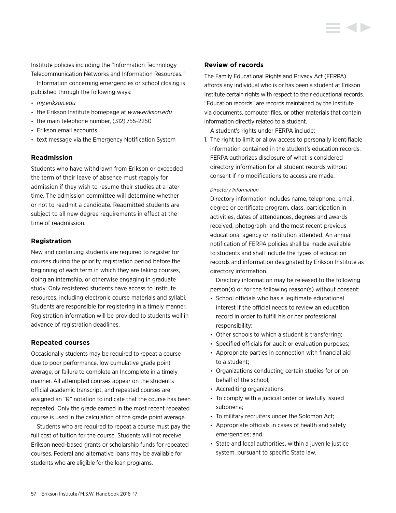Institute policies including the "Information Technology Telecommunication Networks and Information Resources."

Information concerning emergencies or school closing is published through the following ways:

- *my.erikson.edu*
- the Erikson Institute homepage at *<www.erikson.edu>*
- the main telephone number, (312) 755-2250
- Erikson email accounts
- text message via the Emergency Notification System

## **Readmission**

Students who have withdrawn from Erikson or exceeded the term of their leave of absence must reapply for admission if they wish to resume their studies at a later time. The admission committee will determine whether or not to readmit a candidate. Readmitted students are subject to all new degree requirements in effect at the time of readmission.

## **Registration**

New and continuing students are required to register for courses during the priority registration period before the beginning of each term in which they are taking courses, doing an internship, or otherwise engaging in graduate study. Only registered students have access to Institute resources, including electronic course materials and syllabi. Students are responsible for registering in a timely manner. Registration information will be provided to students well in advance of registration deadlines.

## **Repeated courses**

Occasionally students may be required to repeat a course due to poor performance, low cumulative grade point average, or failure to complete an Incomplete in a timely manner. All attempted courses appear on the student's official academic transcript, and repeated courses are assigned an "R" notation to indicate that the course has been repeated. Only the grade earned in the most recent repeated course is used in the calculation of the grade point average.

Students who are required to repeat a course must pay the full cost of tuition for the course. Students will not receive Erikson need-based grants or scholarship funds for repeated courses. Federal and alternative loans may be available for students who are eligible for the loan programs.

#### **Review of records**

The Family Educational Rights and Privacy Act (FERPA) affords any individual who is or has been a student at Erikson Institute certain rights with respect to their educational records. "Education records" are records maintained by the Institute via documents, computer files, or other materials that contain information directly related to a student.

A student's rights under FERPA include:

1. The right to limit or allow access to personally identifiable information contained in the student's education records. FERPA authorizes disclosure of what is considered directory information for all student records without consent if no modifications to access are made.

#### *Directory Information*

Directory information includes name, telephone, email, degree or certificate program, class, participation in activities, dates of attendances, degrees and awards received, photograph, and the most recent previous educational agency or institution attended. An annual notification of FERPA policies shall be made available to students and shall include the types of education records and information designated by Erikson Institute as directory information.

 Directory information may be released to the following person(s) or for the following reason(s) without consent:

- School officials who has a legitimate educational interest if the official needs to review an education record in order to fulfill his or her professional responsibility;
- Other schools to which a student is transferring;
- Specified officials for audit or evaluation purposes;
- Appropriate parties in connection with financial aid to a student;
- Organizations conducting certain studies for or on behalf of the school;
- Accrediting organizations;
- To comply with a judicial order or lawfully issued subpoena;
- To military recruiters under the Solomon Act;
- Appropriate officials in cases of health and safety emergencies; and
- State and local authorities, within a juvenile justice system, pursuant to specific State law.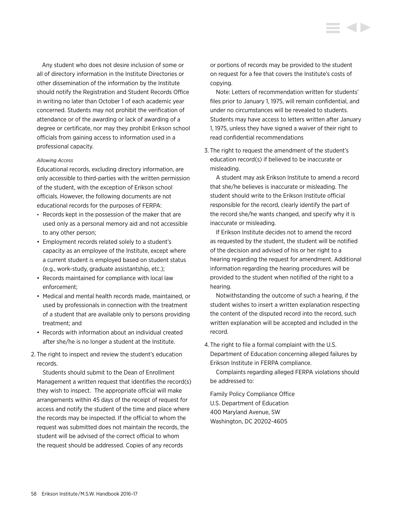Any student who does not desire inclusion of some or all of directory information in the Institute Directories or other dissemination of the information by the Institute should notify the Registration and Student Records Office in writing no later than October 1 of each academic year concerned. Students may not prohibit the verification of attendance or of the awarding or lack of awarding of a degree or certificate, nor may they prohibit Erikson school officials from gaining access to information used in a professional capacity.

#### *Allowing Access*

Educational records, excluding directory information, are only accessible to third-parties with the written permission of the student, with the exception of Erikson school officials. However, the following documents are not educational records for the purposes of FERPA:

- Records kept in the possession of the maker that are used only as a personal memory aid and not accessible to any other person;
- Employment records related solely to a student's capacity as an employee of the Institute, except where a current student is employed based on student status (e.g., work-study, graduate assistantship, etc.);
- Records maintained for compliance with local law enforcement;
- Medical and mental health records made, maintained, or used by professionals in connection with the treatment of a student that are available only to persons providing treatment; and
- Records with information about an individual created after she/he is no longer a student at the Institute.
- 2. The right to inspect and review the student's education records.

 Students should submit to the Dean of Enrollment Management a written request that identifies the record(s) they wish to inspect. The appropriate official will make arrangements within 45 days of the receipt of request for access and notify the student of the time and place where the records may be inspected. If the official to whom the request was submitted does not maintain the records, the student will be advised of the correct official to whom the request should be addressed. Copies of any records

or portions of records may be provided to the student on request for a fee that covers the Institute's costs of copying.

 Note: Letters of recommendation written for students' files prior to January 1, 1975, will remain confidential, and under no circumstances will be revealed to students. Students may have access to letters written after January 1, 1975, unless they have signed a waiver of their right to read confidential recommendations

3. The right to request the amendment of the student's education record(s) if believed to be inaccurate or misleading.

 A student may ask Erikson Institute to amend a record that she/he believes is inaccurate or misleading. The student should write to the Erikson Institute official responsible for the record, clearly identify the part of the record she/he wants changed, and specify why it is inaccurate or misleading.

 If Erikson Institute decides not to amend the record as requested by the student, the student will be notified of the decision and advised of his or her right to a hearing regarding the request for amendment. Additional information regarding the hearing procedures will be provided to the student when notified of the right to a hearing.

 Notwithstanding the outcome of such a hearing, if the student wishes to insert a written explanation respecting the content of the disputed record into the record, such written explanation will be accepted and included in the record.

4. The right to file a formal complaint with the U.S. Department of Education concerning alleged failures by Erikson Institute in FERPA compliance.

 Complaints regarding alleged FERPA violations should be addressed to:

Family Policy Compliance Office U.S. Department of Education 400 Maryland Avenue, SW Washington, DC 20202-4605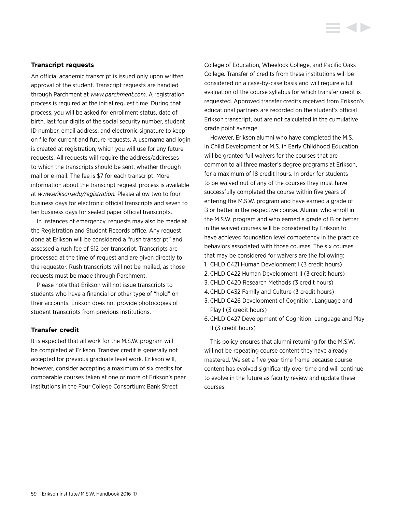#### **Transcript requests**

An official academic transcript is issued only upon written approval of the student. Transcript requests are handled through Parchment at *<www.parchment.com>*. A registration process is required at the initial request time. During that process, you will be asked for enrollment status, date of birth, last four digits of the social security number, student ID number, email address, and electronic signature to keep on file for current and future requests. A username and login is created at registration, which you will use for any future requests. All requests will require the address/addresses to which the transcripts should be sent, whether through mail or e-mail. The fee is \$7 for each transcript. More information about the transcript request process is available at *[www.erikson.edu/registration.](www.erikson.edu/registration)* Please allow two to four business days for electronic official transcripts and seven to ten business days for sealed paper official transcripts.

In instances of emergency, requests may also be made at the Registration and Student Records office. Any request done at Erikson will be considered a "rush transcript" and assessed a rush fee of \$12 per transcript. Transcripts are processed at the time of request and are given directly to the requestor. Rush transcripts will not be mailed, as those requests must be made through Parchment.

Please note that Erikson will not issue transcripts to students who have a financial or other type of "hold" on their accounts. Erikson does not provide photocopies of student transcripts from previous institutions.

#### **Transfer credit**

It is expected that all work for the M.S.W. program will be completed at Erikson. Transfer credit is generally not accepted for previous graduate level work. Erikson will, however, consider accepting a maximum of six credits for comparable courses taken at one or more of Erikson's peer institutions in the Four College Consortium: Bank Street

College of Education, Wheelock College, and Pacific Oaks College. Transfer of credits from these institutions will be considered on a case-by-case basis and will require a full evaluation of the course syllabus for which transfer credit is requested. Approved transfer credits received from Erikson's educational partners are recorded on the student's official Erikson transcript, but are not calculated in the cumulative grade point average.

However, Erikson alumni who have completed the M.S. in Child Development or M.S. in Early Childhood Education will be granted full waivers for the courses that are common to all three master's degree programs at Erikson, for a maximum of 18 credit hours. In order for students to be waived out of any of the courses they must have successfully completed the course within five years of entering the M.S.W. program and have earned a grade of B or better in the respective course. Alumni who enroll in the M.S.W. program and who earned a grade of B or better in the waived courses will be considered by Erikson to have achieved foundation level competency in the practice behaviors associated with those courses. The six courses that may be considered for waivers are the following:

- 1. CHLD C421 Human Development I (3 credit hours)
- 2. CHLD C422 Human Development II (3 credit hours)
- 3. CHLD C420 Research Methods (3 credit hours)
- 4.CHLD C432 Family and Culture (3 credit hours)
- 5. CHLD C426 Development of Cognition, Language and Play I (3 credit hours)
- 6. CHLD C427 Development of Cognition, Language and Play II (3 credit hours)

This policy ensures that alumni returning for the M.S.W. will not be repeating course content they have already mastered. We set a five-year time frame because course content has evolved significantly over time and will continue to evolve in the future as faculty review and update these courses.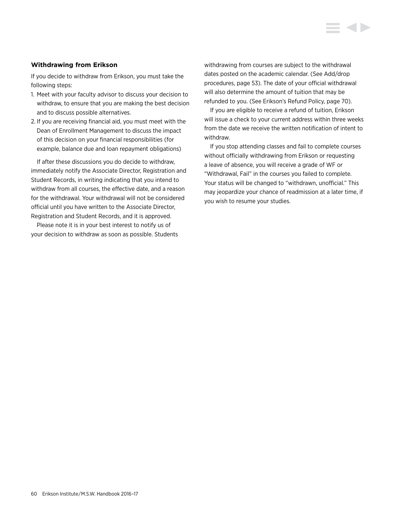## **Withdrawing from Erikson**

If you decide to withdraw from Erikson, you must take the following steps:

- 1. Meet with your faculty advisor to discuss your decision to withdraw, to ensure that you are making the best decision and to discuss possible alternatives.
- 2. If you are receiving financial aid, you must meet with the Dean of Enrollment Management to discuss the impact of this decision on your financial responsibilities (for example, balance due and loan repayment obligations)

If after these discussions you do decide to withdraw, immediately notify the Associate Director, Registration and Student Records, in writing indicating that you intend to withdraw from all courses, the effective date, and a reason for the withdrawal. Your withdrawal will not be considered official until you have written to the Associate Director, Registration and Student Records, and it is approved.

Please note it is in your best interest to notify us of your decision to withdraw as soon as possible. Students withdrawing from courses are subject to the withdrawal dates posted on the academic calendar. (See Add/drop procedures, page 53). The date of your official withdrawal will also determine the amount of tuition that may be refunded to you. (See Erikson's Refund Policy, page 70).

If you are eligible to receive a refund of tuition, Erikson will issue a check to your current address within three weeks from the date we receive the written notification of intent to withdraw.

If you stop attending classes and fail to complete courses without officially withdrawing from Erikson or requesting a leave of absence, you will receive a grade of WF or "Withdrawal, Fail" in the courses you failed to complete. Your status will be changed to "withdrawn, unofficial." This may jeopardize your chance of readmission at a later time, if you wish to resume your studies.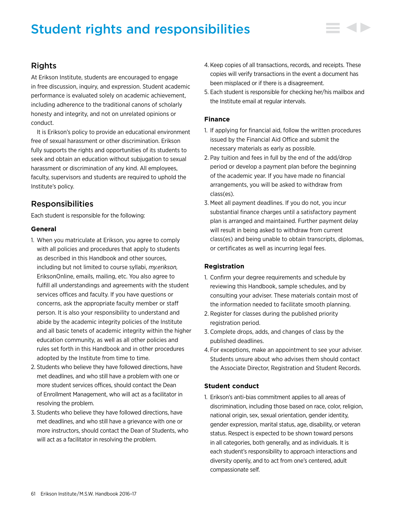# Student rights and responsibilities



## Rights

At Erikson Institute, students are encouraged to engage in free discussion, inquiry, and expression. Student academic performance is evaluated solely on academic achievement, including adherence to the traditional canons of scholarly honesty and integrity, and not on unrelated opinions or conduct.

It is Erikson's policy to provide an educational environment free of sexual harassment or other discrimination. Erikson fully supports the rights and opportunities of its students to seek and obtain an education without subjugation to sexual harassment or discrimination of any kind. All employees, faculty, supervisors and students are required to uphold the Institute's policy.

## Responsibilities

Each student is responsible for the following:

## **General**

- 1. When you matriculate at Erikson, you agree to comply with all policies and procedures that apply to students as described in this Handbook and other sources, including but not limited to course syllabi, *my.erikson,* EriksonOnline, emails, mailing, etc. You also agree to fulfill all understandings and agreements with the student services offices and faculty. If you have questions or concerns, ask the appropriate faculty member or staff person. It is also your responsibility to understand and abide by the academic integrity policies of the Institute and all basic tenets of academic integrity within the higher education community, as well as all other policies and rules set forth in this Handbook and in other procedures adopted by the Institute from time to time.
- 2. Students who believe they have followed directions, have met deadlines, and who still have a problem with one or more student services offices, should contact the Dean of Enrollment Management, who will act as a facilitator in resolving the problem.
- 3. Students who believe they have followed directions, have met deadlines, and who still have a grievance with one or more instructors, should contact the Dean of Students, who will act as a facilitator in resolving the problem.
- 4. Keep copies of all transactions, records, and receipts. These copies will verify transactions in the event a document has been misplaced or if there is a disagreement.
- 5. Each student is responsible for checking her/his mailbox and the Institute email at regular intervals.

## **Finance**

- 1. If applying for financial aid, follow the written procedures issued by the Financial Aid Office and submit the necessary materials as early as possible.
- 2. Pay tuition and fees in full by the end of the add/drop period or develop a payment plan before the beginning of the academic year. If you have made no financial arrangements, you will be asked to withdraw from class(es).
- 3. Meet all payment deadlines. If you do not, you incur substantial finance charges until a satisfactory payment plan is arranged and maintained. Further payment delay will result in being asked to withdraw from current class(es) and being unable to obtain transcripts, diplomas, or certificates as well as incurring legal fees.

## **Registration**

- 1. Confirm your degree requirements and schedule by reviewing this Handbook, sample schedules, and by consulting your adviser. These materials contain most of the information needed to facilitate smooth planning.
- 2. Register for classes during the published priority registration period.
- 3. Complete drops, adds, and changes of class by the published deadlines.
- 4. For exceptions, make an appointment to see your adviser. Students unsure about who advises them should contact the Associate Director, Registration and Student Records.

## **Student conduct**

1. Erikson's anti-bias commitment applies to all areas of discrimination, including those based on race, color, religion, national origin, sex, sexual orientation, gender identity, gender expression, marital status, age, disability, or veteran status. Respect is expected to be shown toward persons in all categories, both generally, and as individuals. It is each student's responsibility to approach interactions and diversity openly, and to act from one's centered, adult compassionate self.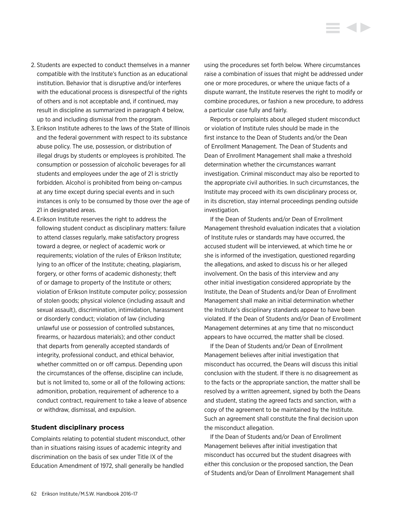- 2. Students are expected to conduct themselves in a manner compatible with the Institute's function as an educational institution. Behavior that is disruptive and/or interferes with the educational process is disrespectful of the rights of others and is not acceptable and, if continued, may result in discipline as summarized in paragraph 4 below, up to and including dismissal from the program.
- 3. Erikson Institute adheres to the laws of the State of Illinois and the federal government with respect to its substance abuse policy. The use, possession, or distribution of illegal drugs by students or employees is prohibited. The consumption or possession of alcoholic beverages for all students and employees under the age of 21 is strictly forbidden. Alcohol is prohibited from being on-campus at any time except during special events and in such instances is only to be consumed by those over the age of 21 in designated areas.
- 4. Erikson Institute reserves the right to address the following student conduct as disciplinary matters: failure to attend classes regularly, make satisfactory progress toward a degree, or neglect of academic work or requirements; violation of the rules of Erikson Institute; lying to an officer of the Institute; cheating, plagiarism, forgery, or other forms of academic dishonesty; theft of or damage to property of the Institute or others; violation of Erikson Institute computer policy; possession of stolen goods; physical violence (including assault and sexual assault), discrimination, intimidation, harassment or disorderly conduct; violation of law (including unlawful use or possession of controlled substances, firearms, or hazardous materials); and other conduct that departs from generally accepted standards of integrity, professional conduct, and ethical behavior, whether committed on or off campus. Depending upon the circumstances of the offense, discipline can include, but is not limited to, some or all of the following actions: admonition, probation, requirement of adherence to a conduct contract, requirement to take a leave of absence or withdraw, dismissal, and expulsion.

#### **Student disciplinary process**

Complaints relating to potential student misconduct, other than in situations raising issues of academic integrity and discrimination on the basis of sex under Title IX of the Education Amendment of 1972, shall generally be handled

using the procedures set forth below. Where circumstances raise a combination of issues that might be addressed under one or more procedures, or where the unique facts of a dispute warrant, the Institute reserves the right to modify or combine procedures, or fashion a new procedure, to address a particular case fully and fairly.

Reports or complaints about alleged student misconduct or violation of Institute rules should be made in the first instance to the Dean of Students and/or the Dean of Enrollment Management. The Dean of Students and Dean of Enrollment Management shall make a threshold determination whether the circumstances warrant investigation. Criminal misconduct may also be reported to the appropriate civil authorities. In such circumstances, the Institute may proceed with its own disciplinary process or, in its discretion, stay internal proceedings pending outside investigation.

If the Dean of Students and/or Dean of Enrollment Management threshold evaluation indicates that a violation of Institute rules or standards may have occurred, the accused student will be interviewed, at which time he or she is informed of the investigation, questioned regarding the allegations, and asked to discuss his or her alleged involvement. On the basis of this interview and any other initial investigation considered appropriate by the Institute, the Dean of Students and/or Dean of Enrollment Management shall make an initial determination whether the Institute's disciplinary standards appear to have been violated. If the Dean of Students and/or Dean of Enrollment Management determines at any time that no misconduct appears to have occurred, the matter shall be closed.

If the Dean of Students and/or Dean of Enrollment Management believes after initial investigation that misconduct has occurred, the Deans will discuss this initial conclusion with the student. If there is no disagreement as to the facts or the appropriate sanction, the matter shall be resolved by a written agreement, signed by both the Deans and student, stating the agreed facts and sanction, with a copy of the agreement to be maintained by the Institute. Such an agreement shall constitute the final decision upon the misconduct allegation.

If the Dean of Students and/or Dean of Enrollment Management believes after initial investigation that misconduct has occurred but the student disagrees with either this conclusion or the proposed sanction, the Dean of Students and/or Dean of Enrollment Management shall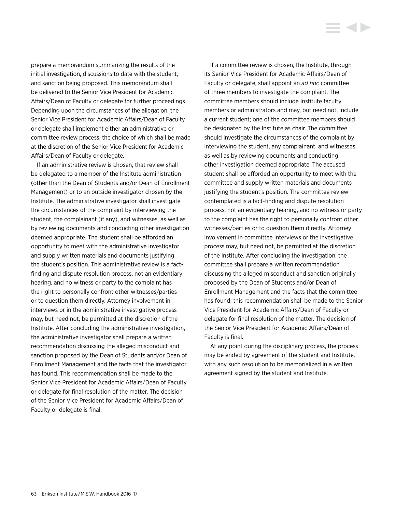prepare a memorandum summarizing the results of the initial investigation, discussions to date with the student, and sanction being proposed. This memorandum shall be delivered to the Senior Vice President for Academic Affairs/Dean of Faculty or delegate for further proceedings. Depending upon the circumstances of the allegation, the Senior Vice President for Academic Affairs/Dean of Faculty or delegate shall implement either an administrative or committee review process, the choice of which shall be made at the discretion of the Senior Vice President for Academic Affairs/Dean of Faculty or delegate.

If an administrative review is chosen, that review shall be delegated to a member of the Institute administration (other than the Dean of Students and/or Dean of Enrollment Management) or to an outside investigator chosen by the Institute. The administrative investigator shall investigate the circumstances of the complaint by interviewing the student, the complainant (if any), and witnesses, as well as by reviewing documents and conducting other investigation deemed appropriate. The student shall be afforded an opportunity to meet with the administrative investigator and supply written materials and documents justifying the student's position. This administrative review is a factfinding and dispute resolution process, not an evidentiary hearing, and no witness or party to the complaint has the right to personally confront other witnesses/parties or to question them directly. Attorney involvement in interviews or in the administrative investigative process may, but need not, be permitted at the discretion of the Institute. After concluding the administrative investigation, the administrative investigator shall prepare a written recommendation discussing the alleged misconduct and sanction proposed by the Dean of Students and/or Dean of Enrollment Management and the facts that the investigator has found. This recommendation shall be made to the Senior Vice President for Academic Affairs/Dean of Faculty or delegate for final resolution of the matter. The decision of the Senior Vice President for Academic Affairs/Dean of Faculty or delegate is final.

If a committee review is chosen, the Institute, through its Senior Vice President for Academic Affairs/Dean of Faculty or delegate, shall appoint an *ad hoc* committee of three members to investigate the complaint. The committee members should include Institute faculty members or administrators and may, but need not, include a current student; one of the committee members should be designated by the Institute as chair. The committee should investigate the circumstances of the complaint by interviewing the student, any complainant, and witnesses, as well as by reviewing documents and conducting other investigation deemed appropriate. The accused student shall be afforded an opportunity to meet with the committee and supply written materials and documents justifying the student's position. The committee review contemplated is a fact-finding and dispute resolution process, not an evidentiary hearing, and no witness or party to the complaint has the right to personally confront other witnesses/parties or to question them directly. Attorney involvement in committee interviews or the investigative process may, but need not, be permitted at the discretion of the Institute. After concluding the investigation, the committee shall prepare a written recommendation discussing the alleged misconduct and sanction originally proposed by the Dean of Students and/or Dean of Enrollment Management and the facts that the committee has found; this recommendation shall be made to the Senior Vice President for Academic Affairs/Dean of Faculty or delegate for final resolution of the matter. The decision of the Senior Vice President for Academic Affairs/Dean of Faculty is final.

At any point during the disciplinary process, the process may be ended by agreement of the student and Institute, with any such resolution to be memorialized in a written agreement signed by the student and Institute.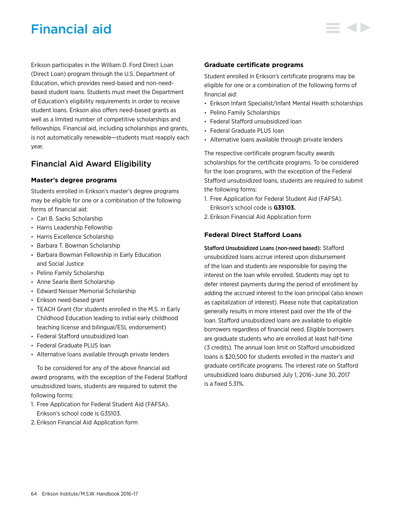# Financial aid

Erikson participates in the William D. Ford Direct Loan (Direct Loan) program through the U.S. Department of Education, which provides need-based and non-needbased student loans. Students must meet the Department of Education's eligibility requirements in order to receive student loans. Erikson also offers need-based grants as well as a limited number of competitive scholarships and fellowships. Financial aid, including scholarships and grants, is not automatically renewable—students must reapply each year.

## Financial Aid Award Eligibility

## **Master's degree programs**

Students enrolled in Erikson's master's degree programs may be eligible for one or a combination of the following forms of financial aid:

- Cari B. Sacks Scholarship
- Harris Leadership Fellowship
- Harris Excellence Scholarship
- Barbara T. Bowman Scholarship
- Barbara Bowman Fellowship in Early Education and Social Justice
- Pelino Family Scholarship
- Anne Searle Bent Scholarship
- Edward Neisser Memorial Scholarship
- Erikson need-based grant
- TEACH Grant (for students enrolled in the M.S. in Early Childhood Education leading to initial early childhood teaching license and bilingual/ESL endorsement)
- Federal Stafford unsubsidized loan
- Federal Graduate PLUS loan
- Alternative loans available through private lenders

To be considered for any of the above financial aid award programs, with the exception of the Federal Stafford unsubsidized loans, students are required to submit the following forms:

- 1. Free Application for Federal Student Aid (FAFSA). Erikson's school code is G35103.
- 2. Erikson Financial Aid Application form

## **Graduate certificate programs**

Student enrolled in Erikson's certificate programs may be eligible for one or a combination of the following forms of financial aid:

- Erikson Infant Specialist/Infant Mental Health scholarships
- Pelino Family Scholarships
- Federal Stafford unsubsidized loan
- Federal Graduate PLUS loan
- Alternative loans available through private lenders

The respective certificate program faculty awards scholarships for the certificate programs. To be considered for the loan programs, with the exception of the Federal Stafford unsubsidized loans, students are required to submit the following forms:

- 1. Free Application for Federal Student Aid (FAFSA). Erikson's school code is **G35103.**
- 2. Erikson Financial Aid Application form

## **Federal Direct Stafford Loans**

Stafford Unsubsidized Loans (non-need based): Stafford unsubsidized loans accrue interest upon disbursement of the loan and students are responsible for paying the interest on the loan while enrolled. Students may opt to defer interest payments during the period of enrollment by adding the accrued interest to the loan principal (also known as capitalization of interest). Please note that capitalization generally results in more interest paid over the life of the loan. Stafford unsubsidized loans are available to eligible borrowers regardless of financial need. Eligible borrowers are graduate students who are enrolled at least half-time (3 credits). The annual loan limit on Stafford unsubsidized loans is \$20,500 for students enrolled in the master's and graduate certificate programs. The interest rate on Stafford unsubsidized loans disbursed July 1, 2016–June 30, 2017 is a fixed 5.31%.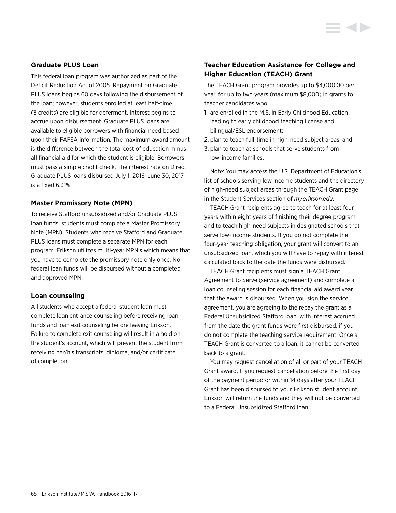## **Graduate PLUS Loan**

This federal loan program was authorized as part of the Deficit Reduction Act of 2005. Repayment on Graduate PLUS loans begins 60 days following the disbursement of the loan; however, students enrolled at least half-time (3 credits) are eligible for deferment. Interest begins to accrue upon disbursement. Graduate PLUS loans are available to eligible borrowers with financial need based upon their FAFSA information. The maximum award amount is the difference between the total cost of education minus all financial aid for which the student is eligible. Borrowers must pass a simple credit check. The interest rate on Direct Graduate PLUS loans disbursed July 1, 2016–June 30, 2017 is a fixed 6.31%.

#### **Master Promissory Note (MPN)**

To receive Stafford unsubsidized and/or Graduate PLUS loan funds, students must complete a Master Promissory Note (MPN). Students who receive Stafford and Graduate PLUS loans must complete a separate MPN for each program. Erikson utilizes multi-year MPN's which means that you have to complete the promissory note only once. No federal loan funds will be disbursed without a completed and approved MPN.

#### **Loan counseling**

All students who accept a federal student loan must complete loan entrance counseling before receiving loan funds and loan exit counseling before leaving Erikson. Failure to complete exit counseling will result in a hold on the student's account, which will prevent the student from receiving her/his transcripts, diploma, and/or certificate of completion.

## **Teacher Education Assistance for College and Higher Education (TEACH) Grant**

The TEACH Grant program provides up to \$4,000.00 per year, for up to two years (maximum \$8,000) in grants to teacher candidates who:

- 1. are enrolled in the M.S. in Early Childhood Education leading to early childhood teaching license and bilingual/ESL endorsement;
- 2. plan to teach full-time in high-need subject areas; and
- 3. plan to teach at schools that serve students from low-income families.

Note: You may access the U.S. Department of Education's list of schools serving low income students and the directory of high-need subject areas through the TEACH Grant page in the Student Services section of *my.erikson.edu*.

TEACH Grant recipients agree to teach for at least four years within eight years of finishing their degree program and to teach high-need subjects in designated schools that serve low-income students. If you do not complete the four-year teaching obligation, your grant will convert to an unsubsidized loan, which you will have to repay with interest calculated back to the date the funds were disbursed.

TEACH Grant recipients must sign a TEACH Grant Agreement to Serve (service agreement) and complete a loan counseling session for each financial aid award year that the award is disbursed. When you sign the service agreement, you are agreeing to the repay the grant as a Federal Unsubsidized Stafford loan, with interest accrued from the date the grant funds were first disbursed, if you do not complete the teaching service requirement. Once a TEACH Grant is converted to a loan, it cannot be converted back to a grant.

You may request cancellation of all or part of your TEACH Grant award. If you request cancellation before the first day of the payment period or within 14 days after your TEACH Grant has been disbursed to your Erikson student account, Erikson will return the funds and they will not be converted to a Federal Unsubsidized Stafford loan.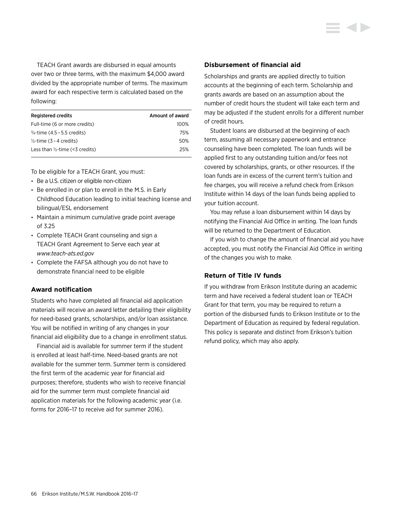TEACH Grant awards are disbursed in equal amounts over two or three terms, with the maximum \$4,000 award divided by the appropriate number of terms. The maximum award for each respective term is calculated based on the following:

| <b>Registered credits</b>                  | Amount of award |
|--------------------------------------------|-----------------|
| Full-time (6 or more credits)              | 100%            |
| $\frac{3}{4}$ -time (4.5 – 5.5 credits)    | 75%             |
| $\frac{1}{2}$ -time (3 – 4 credits)        | 50%             |
| Less than $\frac{1}{2}$ -time (<3 credits) | 25%             |

To be eligible for a TEACH Grant, you must:

- Be a U.S. citizen or eligible non-citizen
- Be enrolled in or plan to enroll in the M.S. in Early Childhood Education leading to initial teaching license and bilingual/ESL endorsement
- Maintain a minimum cumulative grade point average of 3.25
- Complete TEACH Grant counseling and sign a TEACH Grant Agreement to Serve each year at *<www.teach-ats.ed.gov>*
- Complete the FAFSA although you do not have to demonstrate financial need to be eligible

## **Award notification**

Students who have completed all financial aid application materials will receive an award letter detailing their eligibility for need-based grants, scholarships, and/or loan assistance. You will be notified in writing of any changes in your financial aid eligibility due to a change in enrollment status.

Financial aid is available for summer term if the student is enrolled at least half-time. Need-based grants are not available for the summer term. Summer term is considered the first term of the academic year for financial aid purposes; therefore, students who wish to receive financial aid for the summer term must complete financial aid application materials for the following academic year (i.e. forms for 2016–17 to receive aid for summer 2016).

## **Disbursement of financial aid**

Scholarships and grants are applied directly to tuition accounts at the beginning of each term. Scholarship and grants awards are based on an assumption about the number of credit hours the student will take each term and may be adjusted if the student enrolls for a different number of credit hours.

Student loans are disbursed at the beginning of each term, assuming all necessary paperwork and entrance counseling have been completed. The loan funds will be applied first to any outstanding tuition and/or fees not covered by scholarships, grants, or other resources. If the loan funds are in excess of the current term's tuition and fee charges, you will receive a refund check from Erikson Institute within 14 days of the loan funds being applied to your tuition account.

You may refuse a loan disbursement within 14 days by notifying the Financial Aid Office in writing. The loan funds will be returned to the Department of Education.

If you wish to change the amount of financial aid you have accepted, you must notify the Financial Aid Office in writing of the changes you wish to make.

## **Return of Title IV funds**

If you withdraw from Erikson Institute during an academic term and have received a federal student loan or TEACH Grant for that term, you may be required to return a portion of the disbursed funds to Erikson Institute or to the Department of Education as required by federal regulation. This policy is separate and distinct from Erikson's tuition refund policy, which may also apply.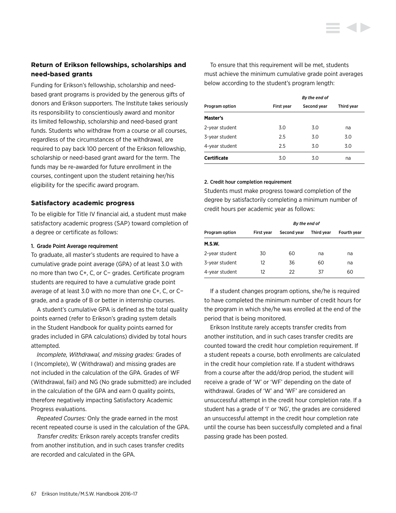## **Return of Erikson fellowships, scholarships and need-based grants**

Funding for Erikson's fellowship, scholarship and needbased grant programs is provided by the generous gifts of donors and Erikson supporters. The Institute takes seriously its responsibility to conscientiously award and monitor its limited fellowship, scholarship and need-based grant funds. Students who withdraw from a course or all courses, regardless of the circumstances of the withdrawal, are required to pay back 100 percent of the Erikson fellowship, scholarship or need-based grant award for the term. The funds may be re-awarded for future enrollment in the courses, contingent upon the student retaining her/his eligibility for the specific award program.

## **Satisfactory academic progress**

To be eligible for Title IV financial aid, a student must make satisfactory academic progress (SAP) toward completion of a degree or certificate as follows:

#### 1. Grade Point Average requirement

To graduate, all master's students are required to have a cumulative grade point average (GPA) of at least 3.0 with no more than two C+, C, or C− grades. Certificate program students are required to have a cumulative grade point average of at least 3.0 with no more than one C+, C, or C− grade, and a grade of B or better in internship courses.

A student's cumulative GPA is defined as the total quality points earned (refer to Erikson's grading system details in the Student Handbook for quality points earned for grades included in GPA calculations) divided by total hours attempted.

*Incomplete, Withdrawal, and missing grades:* Grades of I (Incomplete), W (Withdrawal) and missing grades are not included in the calculation of the GPA. Grades of WF (Withdrawal, fail) and NG (No grade submitted) are included in the calculation of the GPA and earn 0 quality points, therefore negatively impacting Satisfactory Academic Progress evaluations.

*Repeated Courses:* Only the grade earned in the most recent repeated course is used in the calculation of the GPA.

*Transfer credits:* Erikson rarely accepts transfer credits from another institution, and in such cases transfer credits are recorded and calculated in the GPA.

To ensure that this requirement will be met, students must achieve the minimum cumulative grade point averages below according to the student's program length:

| By the end of         |            |             |            |
|-----------------------|------------|-------------|------------|
| <b>Program option</b> | First year | Second year | Third year |
| Master's              |            |             |            |
| 2-year student        | 3.0        | 3.0         | na         |
| 3-year student        | 2.5        | 3.0         | 3.0        |
| 4-year student        | 2.5        | 3.0         | 3.0        |
| <b>Certificate</b>    | 3.0        | 3.0         | na         |

#### 2. Credit hour completion requirement

Students must make progress toward completion of the degree by satisfactorily completing a minimum number of credit hours per academic year as follows:

|                       | By the end of |             |            |             |
|-----------------------|---------------|-------------|------------|-------------|
| <b>Program option</b> | First year    | Second year | Third year | Fourth year |
| M.S.W.                |               |             |            |             |
| 2-year student        | 30            | 60          | na         | na          |
| 3-year student        | 12            | 36          | 60         | na          |
| 4-year student        | 12            | 22          | 37         | 60          |

If a student changes program options, she/he is required to have completed the minimum number of credit hours for the program in which she/he was enrolled at the end of the period that is being monitored.

Erikson Institute rarely accepts transfer credits from another institution, and in such cases transfer credits are counted toward the credit hour completion requirement. If a student repeats a course, both enrollments are calculated in the credit hour completion rate. If a student withdraws from a course after the add/drop period, the student will receive a grade of 'W' or 'WF' depending on the date of withdrawal. Grades of 'W' and 'WF' are considered an unsuccessful attempt in the credit hour completion rate. If a student has a grade of 'I' or 'NG', the grades are considered an unsuccessful attempt in the credit hour completion rate until the course has been successfully completed and a final passing grade has been posted.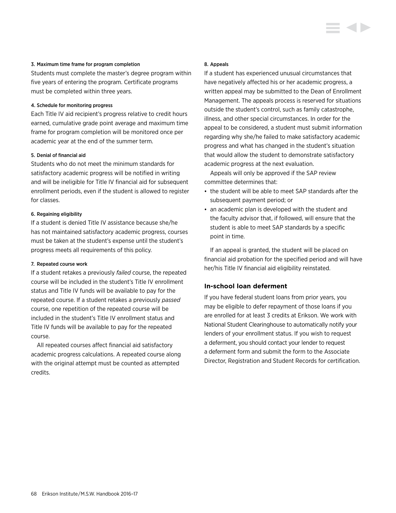#### 3. Maximum time frame for program completion

Students must complete the master's degree program within five years of entering the program. Certificate programs must be completed within three years.

#### 4. Schedule for monitoring progress

Each Title IV aid recipient's progress relative to credit hours earned, cumulative grade point average and maximum time frame for program completion will be monitored once per academic year at the end of the summer term.

#### 5. Denial of financial aid

Students who do not meet the minimum standards for satisfactory academic progress will be notified in writing and will be ineligible for Title IV financial aid for subsequent enrollment periods, even if the student is allowed to register for classes.

## 6. Regaining eligibility

If a student is denied Title IV assistance because she/he has not maintained satisfactory academic progress, courses must be taken at the student's expense until the student's progress meets all requirements of this policy.

#### 7. Repeated course work

If a student retakes a previously *failed* course, the repeated course will be included in the student's Title IV enrollment status and Title IV funds will be available to pay for the repeated course. If a student retakes a previously *passed* course, one repetition of the repeated course will be included in the student's Title IV enrollment status and Title IV funds will be available to pay for the repeated course.

All repeated courses affect financial aid satisfactory academic progress calculations. A repeated course along with the original attempt must be counted as attempted credits.

#### 8. Appeals

If a student has experienced unusual circumstances that have negatively affected his or her academic progress, a written appeal may be submitted to the Dean of Enrollment Management. The appeals process is reserved for situations outside the student's control, such as family catastrophe, illness, and other special circumstances. In order for the appeal to be considered, a student must submit information regarding why she/he failed to make satisfactory academic progress and what has changed in the student's situation that would allow the student to demonstrate satisfactory academic progress at the next evaluation.

Appeals will only be approved if the SAP review committee determines that:

- the student will be able to meet SAP standards after the subsequent payment period; or
- an academic plan is developed with the student and the faculty advisor that, if followed, will ensure that the student is able to meet SAP standards by a specific point in time.

If an appeal is granted, the student will be placed on financial aid probation for the specified period and will have her/his Title IV financial aid eligibility reinstated.

#### **In-school loan deferment**

If you have federal student loans from prior years, you may be eligible to defer repayment of those loans if you are enrolled for at least 3 credits at Erikson. We work with National Student Clearinghouse to automatically notify your lenders of your enrollment status. If you wish to request a deferment, you should contact your lender to request a deferment form and submit the form to the Associate Director, Registration and Student Records for certification.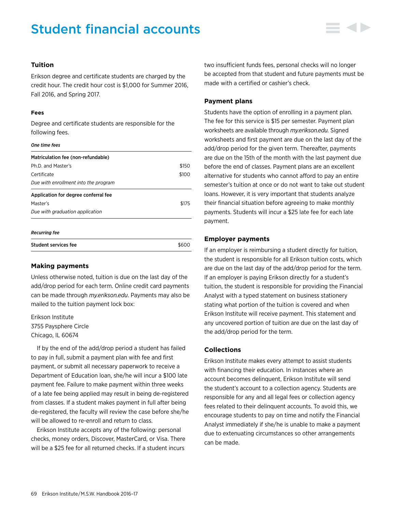# Student financial accounts

## **Tuition**

Erikson degree and certificate students are charged by the credit hour. The credit hour cost is \$1,000 for Summer 2016, Fall 2016, and Spring 2017.

#### **Fees**

Degree and certificate students are responsible for the following fees.

#### *One time fees*

| Matriculation fee (non-refundable)   |       |
|--------------------------------------|-------|
| Ph.D. and Master's                   | \$150 |
| Certificate                          | \$100 |
| Due with enrollment into the program |       |
| Application for degree conferral fee |       |
| Master's                             | \$175 |
| Due with graduation application      |       |
|                                      |       |

#### *Recurring fee*

| <b>Student services fee</b> | \$600 |
|-----------------------------|-------|
|                             |       |

## **Making payments**

Unless otherwise noted, tuition is due on the last day of the add/drop period for each term. Online credit card payments can be made through *my.erikson.edu*. Payments may also be mailed to the tuition payment lock box:

Erikson Institute 3755 Paysphere Circle Chicago, IL 60674

If by the end of the add/drop period a student has failed to pay in full, submit a payment plan with fee and first payment, or submit all necessary paperwork to receive a Department of Education loan, she/he will incur a \$100 late payment fee. Failure to make payment within three weeks of a late fee being applied may result in being de-registered from classes. If a student makes payment in full after being de-registered, the faculty will review the case before she/he will be allowed to re-enroll and return to class.

Erikson Institute accepts any of the following: personal checks, money orders, Discover, MasterCard, or Visa. There will be a \$25 fee for all returned checks. If a student incurs

two insufficient funds fees, personal checks will no longer be accepted from that student and future payments must be made with a certified or cashier's check.

## **Payment plans**

Students have the option of enrolling in a payment plan. The fee for this service is \$15 per semester. Payment plan worksheets are available through *my.erikson.edu.* Signed worksheets and first payment are due on the last day of the add/drop period for the given term. Thereafter, payments are due on the 15th of the month with the last payment due before the end of classes. Payment plans are an excellent alternative for students who cannot afford to pay an entire semester's tuition at once or do not want to take out student loans. However, it is very important that students analyze their financial situation before agreeing to make monthly payments. Students will incur a \$25 late fee for each late payment.

## **Employer payments**

If an employer is reimbursing a student directly for tuition, the student is responsible for all Erikson tuition costs, which are due on the last day of the add/drop period for the term. If an employer is paying Erikson directly for a student's tuition, the student is responsible for providing the Financial Analyst with a typed statement on business stationery stating what portion of the tuition is covered and when Erikson Institute will receive payment. This statement and any uncovered portion of tuition are due on the last day of the add/drop period for the term.

## **Collections**

Erikson Institute makes every attempt to assist students with financing their education. In instances where an account becomes delinquent, Erikson Institute will send the student's account to a collection agency. Students are responsible for any and all legal fees or collection agency fees related to their delinquent accounts. To avoid this, we encourage students to pay on time and notify the Financial Analyst immediately if she/he is unable to make a payment due to extenuating circumstances so other arrangements can be made.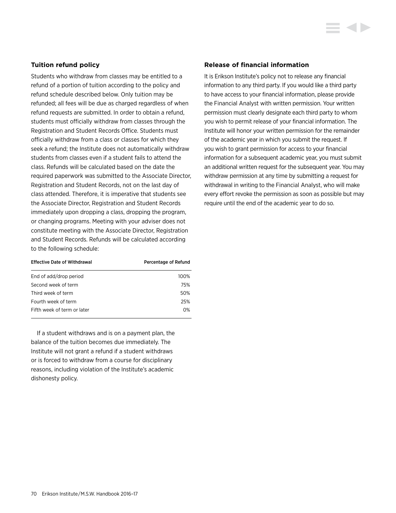## **Tuition refund policy**

Students who withdraw from classes may be entitled to a refund of a portion of tuition according to the policy and refund schedule described below. Only tuition may be refunded; all fees will be due as charged regardless of when refund requests are submitted. In order to obtain a refund, students must officially withdraw from classes through the Registration and Student Records Office. Students must officially withdraw from a class or classes for which they seek a refund; the Institute does not automatically withdraw students from classes even if a student fails to attend the class. Refunds will be calculated based on the date the required paperwork was submitted to the Associate Director, Registration and Student Records, not on the last day of class attended. Therefore, it is imperative that students see the Associate Director, Registration and Student Records immediately upon dropping a class, dropping the program, or changing programs. Meeting with your adviser does not constitute meeting with the Associate Director, Registration and Student Records. Refunds will be calculated according to the following schedule:

| <b>Effective Date of Withdrawal</b> | Percentage of Refund |
|-------------------------------------|----------------------|
| End of add/drop period              | 100%                 |
| Second week of term                 | 75%                  |
| Third week of term                  | 50%                  |
| Fourth week of term                 | 25%                  |
| Fifth week of term or later         | 0%                   |

If a student withdraws and is on a payment plan, the balance of the tuition becomes due immediately. The Institute will not grant a refund if a student withdraws or is forced to withdraw from a course for disciplinary reasons, including violation of the Institute's academic dishonesty policy.

#### **Release of financial information**

It is Erikson Institute's policy not to release any financial information to any third party. If you would like a third party to have access to your financial information, please provide the Financial Analyst with written permission. Your written permission must clearly designate each third party to whom you wish to permit release of your financial information. The Institute will honor your written permission for the remainder of the academic year in which you submit the request. If you wish to grant permission for access to your financial information for a subsequent academic year, you must submit an additional written request for the subsequent year. You may withdraw permission at any time by submitting a request for withdrawal in writing to the Financial Analyst, who will make every effort revoke the permission as soon as possible but may require until the end of the academic year to do so.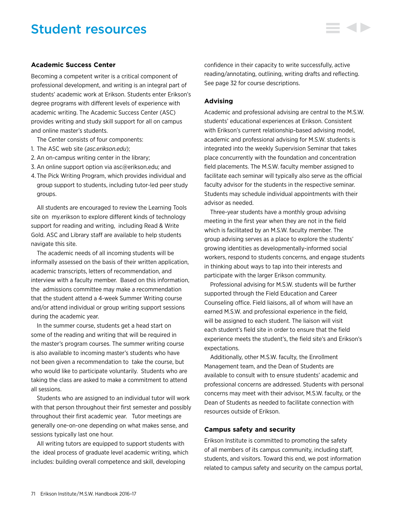## Student resources

## **Academic Success Center**

Becoming a competent writer is a critical component of professional development, and writing is an integral part of students' academic work at Erikson. Students enter Erikson's degree programs with different levels of experience with academic writing. The Academic Success Center (ASC) provides writing and study skill support for all on campus and online master's students.

The Center consists of four components:

- 1. The ASC web site (*asc.erikson.edu*);
- 2. An on-campus writing center in the library;
- 3. An online support option via asc@erikson.edu; and
- 4. The Pick Writing Program, which provides individual and group support to students, including tutor-led peer study groups.

All students are encouraged to review the Learning Tools site on my.erikson to explore different kinds of technology support for reading and writing, including Read & Write Gold. ASC and Library staff are available to help students navigate this site.

The academic needs of all incoming students will be informally assessed on the basis of their written application, academic transcripts, letters of recommendation, and interview with a faculty member. Based on this information, the admissions committee may make a recommendation that the student attend a 4-week Summer Writing course and/or attend individual or group writing support sessions during the academic year.

In the summer course, students get a head start on some of the reading and writing that will be required in the master's program courses. The summer writing course is also available to incoming master's students who have not been given a recommendation to take the course, but who would like to participate voluntarily. Students who are taking the class are asked to make a commitment to attend all sessions.

Students who are assigned to an individual tutor will work with that person throughout their first semester and possibly throughout their first academic year. Tutor meetings are generally one-on-one depending on what makes sense, and sessions typically last one hour.

All writing tutors are equipped to support students with the ideal process of graduate level academic writing, which includes: building overall competence and skill, developing

confidence in their capacity to write successfully, active reading/annotating, outlining, writing drafts and reflecting. See page 32 for course descriptions.

### **Advising**

Academic and professional advising are central to the M.S.W. students' educational experiences at Erikson. Consistent with Erikson's current relationship-based advising model, academic and professional advising for M.S.W. students is integrated into the weekly Supervision Seminar that takes place concurrently with the foundation and concentration field placements. The M.S.W. faculty member assigned to facilitate each seminar will typically also serve as the official faculty advisor for the students in the respective seminar. Students may schedule individual appointments with their advisor as needed.

Three-year students have a monthly group advising meeting in the first year when they are not in the field which is facilitated by an M.S.W. faculty member. The group advising serves as a place to explore the students' growing identities as developmentally-informed social workers, respond to students concerns, and engage students in thinking about ways to tap into their interests and participate with the larger Erikson community.

Professional advising for M.S.W. students will be further supported through the Field Education and Career Counseling office. Field liaisons, all of whom will have an earned M.S.W. and professional experience in the field, will be assigned to each student. The liaison will visit each student's field site in order to ensure that the field experience meets the student's, the field site's and Erikson's expectations.

Additionally, other M.S.W. faculty, the Enrollment Management team, and the Dean of Students are available to consult with to ensure students' academic and professional concerns are addressed. Students with personal concerns may meet with their advisor, M.S.W. faculty, or the Dean of Students as needed to facilitate connection with resources outside of Erikson.

## **Campus safety and security**

Erikson Institute is committed to promoting the safety of all members of its campus community, including staff, students, and visitors. Toward this end, we post information related to campus safety and security on the campus portal,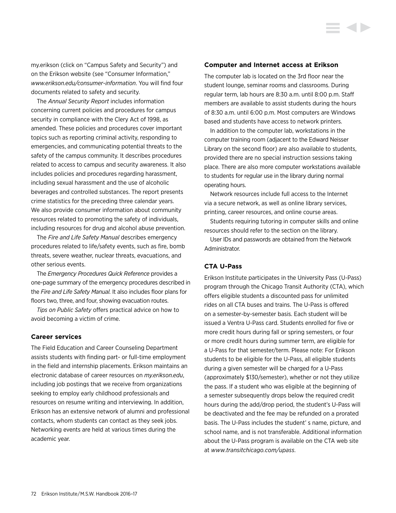my.erikson (click on "Campus Safety and Security") and on the Erikson website (see "Consumer Information," *[www.erikson.edu/consumer-information](http://www.erikson.edu/consumer-information)*. You will find four documents related to safety and security.

The *Annual Security Report* includes information concerning current policies and procedures for campus security in compliance with the Clery Act of 1998, as amended. These policies and procedures cover important topics such as reporting criminal activity, responding to emergencies, and communicating potential threats to the safety of the campus community. It describes procedures related to access to campus and security awareness. It also includes policies and procedures regarding harassment, including sexual harassment and the use of alcoholic beverages and controlled substances. The report presents crime statistics for the preceding three calendar years. We also provide consumer information about community resources related to promoting the safety of individuals, including resources for drug and alcohol abuse prevention.

The *Fire and Life Safety Manual* describes emergency procedures related to life/safety events, such as fire, bomb threats, severe weather, nuclear threats, evacuations, and other serious events.

The *Emergency Procedures Quick Reference* provides a one-page summary of the emergency procedures described in the *Fire and Life Safety Manual.* It also includes floor plans for floors two, three, and four, showing evacuation routes.

*Tips on Public Safety* offers practical advice on how to avoid becoming a victim of crime.

#### **Career services**

The Field Education and Career Counseling Department assists students with finding part- or full-time employment in the field and internship placements. Erikson maintains an electronic database of career resources on *my.erikson.edu*, including job postings that we receive from organizations seeking to employ early childhood professionals and resources on resume writing and interviewing. In addition, Erikson has an extensive network of alumni and professional contacts, whom students can contact as they seek jobs. Networking events are held at various times during the academic year.

#### **Computer and Internet access at Erikson**

The computer lab is located on the 3rd floor near the student lounge, seminar rooms and classrooms. During regular term, lab hours are 8:30 a.m. until 8:00 p.m. Staff members are available to assist students during the hours of 8:30 a.m. until 6:00 p.m. Most computers are Windows based and students have access to network printers.

In addition to the computer lab, workstations in the computer training room (adjacent to the Edward Neisser Library on the second floor) are also available to students, provided there are no special instruction sessions taking place. There are also more computer workstations available to students for regular use in the library during normal operating hours.

Network resources include full access to the Internet via a secure network, as well as online library services, printing, career resources, and online course areas.

Students requiring tutoring in computer skills and online resources should refer to the section on the library.

User IDs and passwords are obtained from the Network Administrator.

## **CTA U-Pass**

Erikson Institute participates in the University Pass (U-Pass) program through the Chicago Transit Authority (CTA), which offers eligible students a discounted pass for unlimited rides on all CTA buses and trains. The U-Pass is offered on a semester-by-semester basis. Each student will be issued a Ventra U-Pass card. Students enrolled for five or more credit hours during fall or spring semesters, or four or more credit hours during summer term, are eligible for a U-Pass for that semester/term. Please note: For Erikson students to be eligible for the U-Pass, all eligible students during a given semester will be charged for a U-Pass (approximately \$130/semester), whether or not they utilize the pass. If a student who was eligible at the beginning of a semester subsequently drops below the required credit hours during the add/drop period, the student's U-Pass will be deactivated and the fee may be refunded on a prorated basis. The U-Pass includes the student' s name, picture, and school name, and is not transferable. Additional information about the U-Pass program is available on the CTA web site at *[www.transitchicago.com/upass](http://www.transitchicago.com/upass)*.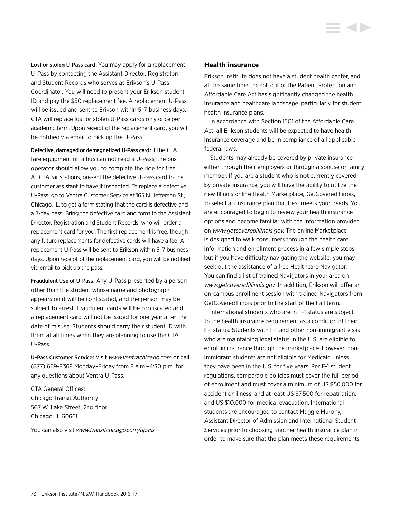Lost or stolen U-Pass card: You may apply for a replacement U-Pass by contacting the Assistant Director, Registraton and Student Records who serves as Erikson's U-Pass Coordinator. You will need to present your Erikson student ID and pay the \$50 replacement fee. A replacement U-Pass will be issued and sent to Erikson within 5–7 business days. CTA will replace lost or stolen U-Pass cards only once per academic term. Upon receipt of the replacement card, you will be notified via email to pick up the U-Pass.

Defective, damaged or demagnetized U-Pass card: If the CTA fare equipment on a bus can not read a U-Pass, the bus operator should allow you to complete the ride for free. At CTA rail stations, present the defective U-Pass card to the customer assistant to have it inspected. To replace a defective U-Pass, go to Ventra Customer Service at 165 N. Jefferson St., Chicago, IL, to get a form stating that the card is defective and a 7-day pass. Bring the defective card and form to the Assistant Director, Registration and Student Records, who will order a replacement card for you. The first replacement is free, though any future replacements for defective cards will have a fee. A replacement U-Pass will be sent to Erikson within 5–7 business days. Upon receipt of the replacement card, you will be notified via email to pick up the pass.

Fraudulent Use of U-Pass: Any U-Pass presented by a person other than the student whose name and photograph appears on it will be confiscated, and the person may be subject to arrest. Fraudulent cards will be confiscated and a replacement card will not be issued for one year after the date of misuse. Students should carry their student ID with them at all times when they are planning to use the CTA U-Pass.

U-Pass Customer Service: Visit *[www.ventrachicago.com](http://www.ventrachicago.com)* or call (877) 669-8368 Monday–Friday from 8 a.m.–4:30 p.m. for any questions about Ventra U-Pass.

CTA General Offices: Chicago Transit Authority 567 W. Lake Street, 2nd floor Chicago, IL 60661

You can also visit *[www.transitchicago.com/upass](http://www.transitchicago.com/upass)*

## **Health insurance**

Erikson Institute does not have a student health center, and at the same time the roll out of the Patient Protection and Affordable Care Act has significantly changed the health insurance and healthcare landscape, particularly for student health insurance plans.

In accordance with Section 1501 of the Affordable Care Act, all Erikson students will be expected to have health insurance coverage and be in compliance of all applicable federal laws.

Students may already be covered by private insurance either through their employers or through a spouse or family member. If you are a student who is not currently covered by private insurance, you will have the ability to utilize the new Illinois online Health Marketplace, GetCoveredIllinois, to select an insurance plan that best meets your needs. You are encouraged to begin to review your health insurance options and become familiar with the information provided on *[www.getcoveredillinois.gov.](www.getcoveredillinois.gov)* The online Marketplace is designed to walk consumers through the health care information and enrollment process in a few simple steps, but if you have difficulty navigating the website, you may seek out the assistance of a free Healthcare Navigator. You can find a list of trained Navigators in your area on *<www.getcoveredillinois.gov>.* In addition, Erikson will offer an on-campus enrollment session with trained Navigators from GetCoveredIllinois prior to the start of the Fall term.

International students who are in F-1 status are subject to the health insurance requirement as a condition of their F-1 status. Students with F-1 and other non-immigrant visas who are maintaining legal status in the U.S. are eligible to enroll in insurance through the marketplace. However, nonimmigrant students are not eligible for Medicaid unless they have been in the U.S. for five years. Per F-1 student regulations, comparable policies must cover the full period of enrollment and must cover a minimum of US \$50,000 for accident or illness, and at least US \$7,500 for repatriation, and US \$10,000 for medical evacuation. International students are encouraged to contact Maggie Murphy, Assistant Director of Admission and International Student Services prior to choosing another health insurance plan in order to make sure that the plan meets these requirements.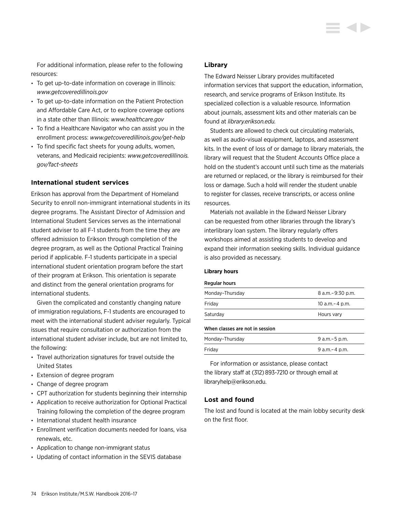For additional information, please refer to the following resources:

- To get up-to-date information on coverage in Illinois: *<www.getcoveredillinois.gov>*
- To get up-to-date information on the Patient Protection and Affordable Care Act, or to explore coverage options in a state other than Illinois: *<www.healthcare.gov>*
- To find a Healthcare Navigator who can assist you in the enrollment process: *[www.getcoveredillinois.gov/get](www.getcoveredillinois.gov/get-help)-help*
- To find specific fact sheets for young adults, women, veterans, and Medicaid recipients: *[www.getcoveredillinois.](www.getcoveredillinois.gov/fact-sheets) [gov/fact-](www.getcoveredillinois.gov/fact-sheets)sheets*

## **International student services**

Erikson has approval from the Department of Homeland Security to enroll non-immigrant international students in its degree programs. The Assistant Director of Admission and International Student Services serves as the international student adviser to all F-1 students from the time they are offered admission to Erikson through completion of the degree program, as well as the Optional Practical Training period if applicable. F-1 students participate in a special international student orientation program before the start of their program at Erikson. This orientation is separate and distinct from the general orientation programs for international students.

Given the complicated and constantly changing nature of immigration regulations, F-1 students are encouraged to meet with the international student adviser regularly. Typical issues that require consultation or authorization from the international student adviser include, but are not limited to, the following:

- Travel authorization signatures for travel outside the United States
- Extension of degree program
- Change of degree program
- CPT authorization for students beginning their internship
- Application to receive authorization for Optional Practical Training following the completion of the degree program
- International student health insurance
- Enrollment verification documents needed for loans, visa renewals, etc.
- Application to change non-immigrant status
- Updating of contact information in the SEVIS database

### **Library**

The Edward Neisser Library provides multifaceted information services that support the education, information, research, and service programs of Erikson Institute. Its specialized collection is a valuable resource. Information about journals, assessment kits and other materials can be found at *<library.erikson.edu>.*

Students are allowed to check out circulating materials, as well as audio-visual equipment, laptops, and assessment kits. In the event of loss of or damage to library materials, the library will request that the Student Accounts Office place a hold on the student's account until such time as the materials are returned or replaced, or the library is reimbursed for their loss or damage. Such a hold will render the student unable to register for classes, receive transcripts, or access online resources.

Materials not available in the Edward Neisser Library can be requested from other libraries through the library's interlibrary loan system. The library regularly offers workshops aimed at assisting students to develop and expand their information seeking skills. Individual guidance is also provided as necessary.

#### **Library hours**

#### Regular hours

| When classes are not in session |                    |
|---------------------------------|--------------------|
| Saturday                        | Hours vary         |
| Friday                          | 10 a.m. - 4 p.m.   |
| Monday-Thursday                 | 8 a.m. - 9:30 p.m. |
|                                 |                    |

| Monday-Thursday | 9 a.m. – 5 p.m. |
|-----------------|-----------------|
| Fridav          | 9 a.m. – 4 p.m. |

For information or assistance, please contact the library staff at (312) 893-7210 or through email at libraryhelp@erikson.edu.

# **Lost and found**

The lost and found is located at the main lobby security desk on the first floor.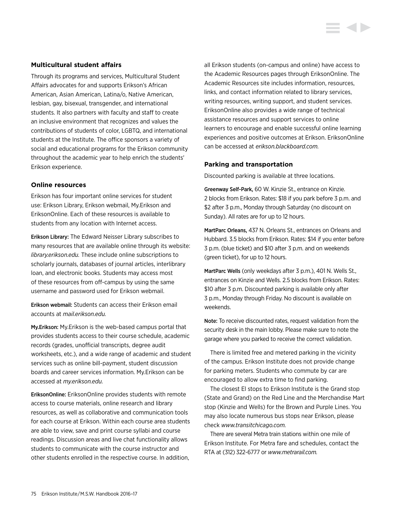## **Multicultural student affairs**

Through its programs and services, Multicultural Student Affairs advocates for and supports Erikson's African American, Asian American, Latina/o, Native American, lesbian, gay, bisexual, transgender, and international students. It also partners with faculty and staff to create an inclusive environment that recognizes and values the contributions of students of color, LGBTQ, and international students at the Institute. The office sponsors a variety of social and educational programs for the Erikson community throughout the academic year to help enrich the students' Erikson experience.

## **Online resources**

Erikson has four important online services for student use: Erikson Library, Erikson webmail, My.Erikson and EriksonOnline. Each of these resources is available to students from any location with Internet access.

Erikson Library: The Edward Neisser Library subscribes to many resources that are available online through its website: *<library.erikson.edu>.* These include online subscriptions to scholarly journals, databases of journal articles, interlibrary loan, and electronic books. Students may access most of these resources from off-campus by using the same username and password used for Erikson webmail.

Erikson webmail: Students can access their Erikson email accounts at *<mail.erikson.edu>.*

My.Erikson: My.Erikson is the web-based campus portal that provides students access to their course schedule, academic records (grades, unofficial transcripts, degree audit worksheets, etc.), and a wide range of academic and student services such as online bill-payment, student discussion boards and career services information. My.Erikson can be accessed at *my.erikson.edu.*

EriksonOnline: EriksonOnline provides students with remote access to course materials, online research and library resources, as well as collaborative and communication tools for each course at Erikson. Within each course area students are able to view, save and print course syllabi and course readings. Discussion areas and live chat functionality allows students to communicate with the course instructor and other students enrolled in the respective course. In addition,

all Erikson students (on-campus and online) have access to the Academic Resources pages through EriksonOnline. The Academic Resources site includes information, resources, links, and contact information related to library services, writing resources, writing support, and student services. EriksonOnline also provides a wide range of technical assistance resources and support services to online learners to encourage and enable successful online learning experiences and positive outcomes at Erikson. EriksonOnline can be accessed at *[erikson.blackboard.com](http://erikson.blackboard.com).*

## **Parking and transportation**

Discounted parking is available at three locations.

Greenway Self-Park, 60 W. Kinzie St., entrance on Kinzie. 2 blocks from Erikson. Rates: \$18 if you park before 3 p.m. and \$2 after 3 p.m., Monday through Saturday (no discount on Sunday). All rates are for up to 12 hours.

MartParc Orleans, 437 N. Orleans St., entrances on Orleans and Hubbard. 3.5 blocks from Erikson. Rates: \$14 if you enter before 3 p.m. (blue ticket) and \$10 after 3 p.m. and on weekends (green ticket), for up to 12 hours.

MartParc Wells (only weekdays after 3 p.m.), 401 N. Wells St., entrances on Kinzie and Wells. 2.5 blocks from Erikson. Rates: \$10 after 3 p.m. Discounted parking is available only after 3 p.m., Monday through Friday. No discount is available on weekends.

Note: To receive discounted rates, request validation from the security desk in the main lobby. Please make sure to note the garage where you parked to receive the correct validation.

There is limited free and metered parking in the vicinity of the campus. Erikson Institute does not provide change for parking meters. Students who commute by car are encouraged to allow extra time to find parking.

The closest El stops to Erikson Institute is the Grand stop (State and Grand) on the Red Line and the Merchandise Mart stop (Kinzie and Wells) for the Brown and Purple Lines. You may also locate numerous bus stops near Erikson, please check *[www.transitchicago.com.](www.transitchicago.com)*

There are several Metra train stations within one mile of Erikson Institute. For Metra fare and schedules, contact the RTA at (312) 322-6777 or *<www.metrarail.com>.*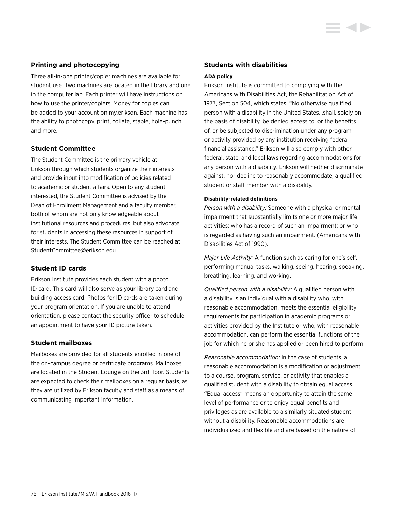# **Printing and photocopying**

Three all-in-one printer/copier machines are available for student use. Two machines are located in the library and one in the computer lab. Each printer will have instructions on how to use the printer/copiers. Money for copies can be added to your account on my.erikson. Each machine has the ability to photocopy, print, collate, staple, hole-punch, and more.

# **Student Committee**

The Student Committee is the primary vehicle at Erikson through which students organize their interests and provide input into modification of policies related to academic or student affairs. Open to any student interested, the Student Committee is advised by the Dean of Enrollment Management and a faculty member, both of whom are not only knowledgeable about institutional resources and procedures, but also advocate for students in accessing these resources in support of their interests. The Student Committee can be reached at StudentCommittee@erikson.edu.

## **Student ID cards**

Erikson Institute provides each student with a photo ID card. This card will also serve as your library card and building access card. Photos for ID cards are taken during your program orientation. If you are unable to attend orientation, please contact the security officer to schedule an appointment to have your ID picture taken.

## **Student mailboxes**

Mailboxes are provided for all students enrolled in one of the on-campus degree or certificate programs. Mailboxes are located in the Student Lounge on the 3rd floor. Students are expected to check their mailboxes on a regular basis, as they are utilized by Erikson faculty and staff as a means of communicating important information.

## **Students with disabilities**

### **ADA policy**

Erikson Institute is committed to complying with the Americans with Disabilities Act, the Rehabilitation Act of 1973, Section 504, which states: "No otherwise qualified person with a disability in the United States…shall, solely on the basis of disability, be denied access to, or the benefits of, or be subjected to discrimination under any program or activity provided by any institution receiving federal financial assistance." Erikson will also comply with other federal, state, and local laws regarding accommodations for any person with a disability. Erikson will neither discriminate against, nor decline to reasonably accommodate, a qualified student or staff member with a disability.

### **Disability-related definitions**

*Person with a disability:* Someone with a physical or mental impairment that substantially limits one or more major life activities; who has a record of such an impairment; or who is regarded as having such an impairment. (Americans with Disabilities Act of 1990).

*Major Life Activity:* A function such as caring for one's self, performing manual tasks, walking, seeing, hearing, speaking, breathing, learning, and working.

*Qualified person with a disability:* A qualified person with a disability is an individual with a disability who, with reasonable accommodation, meets the essential eligibility requirements for participation in academic programs or activities provided by the Institute or who, with reasonable accommodation, can perform the essential functions of the job for which he or she has applied or been hired to perform.

*Reasonable accommodation:* In the case of students, a reasonable accommodation is a modification or adjustment to a course, program, service, or activity that enables a qualified student with a disability to obtain equal access. "Equal access" means an opportunity to attain the same level of performance or to enjoy equal benefits and privileges as are available to a similarly situated student without a disability. Reasonable accommodations are individualized and flexible and are based on the nature of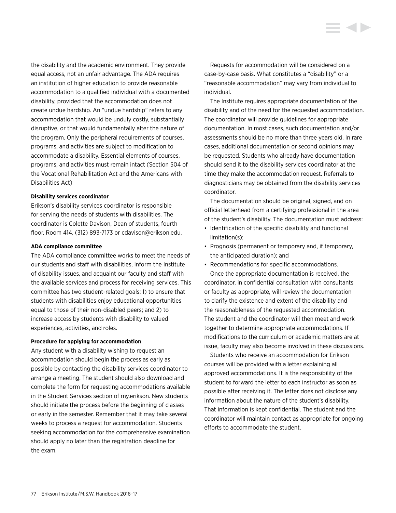the disability and the academic environment. They provide equal access, not an unfair advantage. The ADA requires an institution of higher education to provide reasonable accommodation to a qualified individual with a documented disability, provided that the accommodation does not create undue hardship. An "undue hardship" refers to any accommodation that would be unduly costly, substantially disruptive, or that would fundamentally alter the nature of the program. Only the peripheral requirements of courses, programs, and activities are subject to modification to accommodate a disability. Essential elements of courses, programs, and activities must remain intact (Section 504 of the Vocational Rehabilitation Act and the Americans with Disabilities Act)

### **Disability services coordinator**

Erikson's disability services coordinator is responsible for serving the needs of students with disabilities. The coordinator is Colette Davison, Dean of students, fourth floor, Room 414, (312) 893-7173 or cdavison@erikson.edu.

#### **ADA compliance committee**

The ADA compliance committee works to meet the needs of our students and staff with disabilities, inform the Institute of disability issues, and acquaint our faculty and staff with the available services and process for receiving services. This committee has two student-related goals: 1) to ensure that students with disabilities enjoy educational opportunities equal to those of their non-disabled peers; and 2) to increase access by students with disability to valued experiences, activities, and roles.

## **Procedure for applying for accommodation**

Any student with a disability wishing to request an accommodation should begin the process as early as possible by contacting the disability services coordinator to arrange a meeting. The student should also download and complete the form for requesting accommodations available in the Student Services section of my.erikson. New students should initiate the process before the beginning of classes or early in the semester. Remember that it may take several weeks to process a request for accommodation. Students seeking accommodation for the comprehensive examination should apply no later than the registration deadline for the exam.

Requests for accommodation will be considered on a case-by-case basis. What constitutes a "disability" or a "reasonable accommodation" may vary from individual to individual.

The Institute requires appropriate documentation of the disability and of the need for the requested accommodation. The coordinator will provide guidelines for appropriate documentation. In most cases, such documentation and/or assessments should be no more than three years old. In rare cases, additional documentation or second opinions may be requested. Students who already have documentation should send it to the disability services coordinator at the time they make the accommodation request. Referrals to diagnosticians may be obtained from the disability services coordinator.

The documentation should be original, signed, and on official letterhead from a certifying professional in the area of the student's disability. The documentation must address:

- Identification of the specific disability and functional limitation(s);
- Prognosis (permanent or temporary and, if temporary, the anticipated duration); and
- Recommendations for specific accommodations.

Once the appropriate documentation is received, the coordinator, in confidential consultation with consultants or faculty as appropriate, will review the documentation to clarify the existence and extent of the disability and the reasonableness of the requested accommodation. The student and the coordinator will then meet and work together to determine appropriate accommodations. If modifications to the curriculum or academic matters are at issue, faculty may also become involved in these discussions.

Students who receive an accommodation for Erikson courses will be provided with a letter explaining all approved accommodations. It is the responsibility of the student to forward the letter to each instructor as soon as possible after receiving it. The letter does not disclose any information about the nature of the student's disability. That information is kept confidential. The student and the coordinator will maintain contact as appropriate for ongoing efforts to accommodate the student.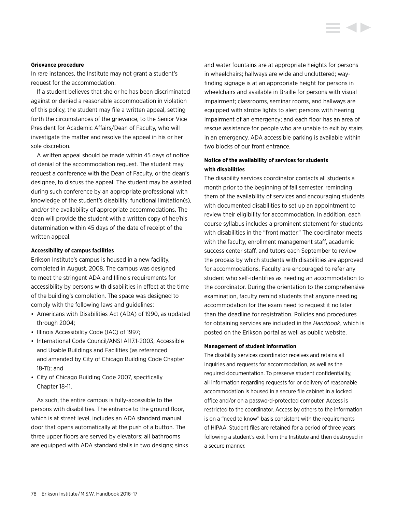### **Grievance procedure**

In rare instances, the Institute may not grant a student's request for the accommodation.

If a student believes that she or he has been discriminated against or denied a reasonable accommodation in violation of this policy, the student may file a written appeal, setting forth the circumstances of the grievance, to the Senior Vice President for Academic Affairs/Dean of Faculty, who will investigate the matter and resolve the appeal in his or her sole discretion.

A written appeal should be made within 45 days of notice of denial of the accommodation request. The student may request a conference with the Dean of Faculty, or the dean's designee, to discuss the appeal. The student may be assisted during such conference by an appropriate professional with knowledge of the student's disability, functional limitation(s), and/or the availability of appropriate accommodations. The dean will provide the student with a written copy of her/his determination within 45 days of the date of receipt of the written appeal.

#### **Accessibility of campus facilities**

Erikson Institute's campus is housed in a new facility, completed in August, 2008. The campus was designed to meet the stringent ADA and Illinois requirements for accessibility by persons with disabilities in effect at the time of the building's completion. The space was designed to comply with the following laws and guidelines:

- Americans with Disabilities Act (ADA) of 1990, as updated through 2004;
- Illinois Accessibility Code (IAC) of 1997;
- International Code Council/ANSI A117.1-2003, Accessible and Usable Buildings and Facilities (as referenced and amended by City of Chicago Building Code Chapter 18-11); and
- City of Chicago Building Code 2007, specifically Chapter 18-11.

As such, the entire campus is fully-accessible to the persons with disabilities. The entrance to the ground floor, which is at street level, includes an ADA standard manual door that opens automatically at the push of a button. The three upper floors are served by elevators; all bathrooms are equipped with ADA standard stalls in two designs; sinks and water fountains are at appropriate heights for persons in wheelchairs; hallways are wide and uncluttered; wayfinding signage is at an appropriate height for persons in wheelchairs and available in Braille for persons with visual impairment; classrooms, seminar rooms, and hallways are equipped with strobe lights to alert persons with hearing impairment of an emergency; and each floor has an area of rescue assistance for people who are unable to exit by stairs in an emergency. ADA accessible parking is available within two blocks of our front entrance.

# **Notice of the availability of services for students with disabilities**

The disability services coordinator contacts all students a month prior to the beginning of fall semester, reminding them of the availability of services and encouraging students with documented disabilities to set up an appointment to review their eligibility for accommodation. In addition, each course syllabus includes a prominent statement for students with disabilities in the "front matter." The coordinator meets with the faculty, enrollment management staff, academic success center staff, and tutors each September to review the process by which students with disabilities are approved for accommodations. Faculty are encouraged to refer any student who self-identifies as needing an accommodation to the coordinator. During the orientation to the comprehensive examination, faculty remind students that anyone needing accommodation for the exam need to request it no later than the deadline for registration. Policies and procedures for obtaining services are included in the *Handbook*, which is posted on the Erikson portal as well as public website.

#### **Management of student information**

The disability services coordinator receives and retains all inquiries and requests for accommodation, as well as the required documentation. To preserve student confidentiality, all information regarding requests for or delivery of reasonable accommodation is housed in a secure file cabinet in a locked office and/or on a password-protected computer. Access is restricted to the coordinator. Access by others to the information is on a "need to know" basis consistent with the requirements of HIPAA. Student files are retained for a period of three years following a student's exit from the Institute and then destroyed in a secure manner.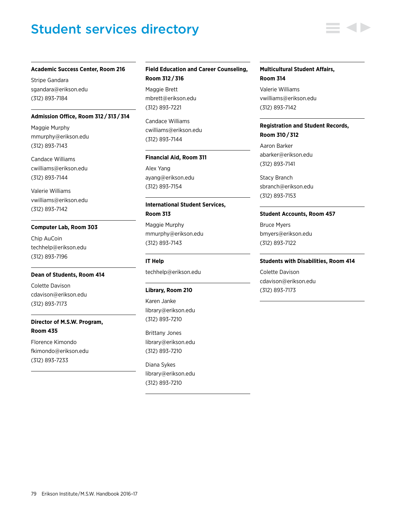# Student services directory

### **Academic Success Center, Room 216**

Stripe Gandara sgandara@erikson.edu (312) 893-7184

### **Admission Office, Room 312 / 313 / 314**

Maggie Murphy mmurphy@erikson.edu (312) 893-7143

Candace Williams cwilliams@erikson.edu (312) 893-7144

Valerie Williams vwilliams@erikson.edu (312) 893-7142

## **Computer Lab, Room 303**

Chip AuCoin techhelp@erikson.edu (312) 893-7196

#### **Dean of Students, Room 414**

Colette Davison cdavison@erikson.edu (312) 893-7173

# **Director of M.S.W. Program, Room 435**

Florence Kimondo fkimondo@erikson.edu (312) 893-7233

# **Field Education and Career Counseling, Room 312 / 316**

Maggie Brett mbrett@erikson.edu (312) 893-7221

Candace Williams cwilliams@erikson.edu (312) 893-7144

#### **Financial Aid, Room 311**

Alex Yang ayang@erikson.edu (312) 893-7154

# **International Student Services, Room 313**

Maggie Murphy mmurphy@erikson.edu (312) 893-7143

**IT Help** techhelp@erikson.edu

## **Library, Room 210**

Karen Janke library@erikson.edu (312) 893-7210

Brittany Jones library@erikson.edu (312) 893-7210

Diana Sykes library@erikson.edu (312) 893-7210

## **Multicultural Student Affairs, Room 314**

Valerie Williams vwilliams@erikson.edu (312) 893-7142

# **Registration and Student Records, Room 310 / 312**

Aaron Barker abarker@erikson.edu (312) 893-7141

Stacy Branch sbranch@erikson.edu (312) 893-7153

## **Student Accounts, Room 457**

Bruce Myers bmyers@erikson.edu (312) 893-7122

#### **Students with Disabilities, Room 414**

Colette Davison cdavison@erikson.edu (312) 893-7173

79 Erikson Institute/M.S.W. Handbook 2016-17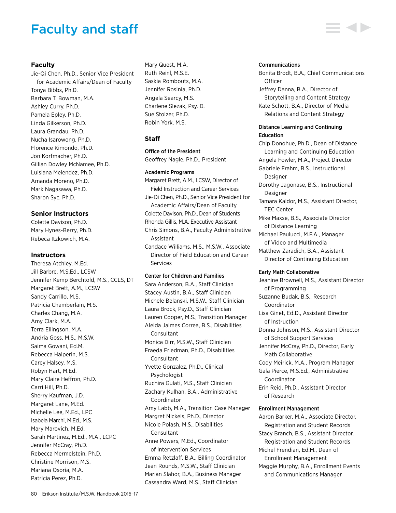# Faculty and staff

## **Faculty**

Jie-Qi Chen, Ph.D., Senior Vice President for Academic Affairs/Dean of Faculty Tonya Bibbs, Ph.D. Barbara T. Bowman, M.A. Ashley Curry, Ph.D. Pamela Epley, Ph.D. Linda Gilkerson, Ph.D. Laura Grandau, Ph.D. Nucha Isarowong, Ph.D. Florence Kimondo, Ph.D. Jon Korfmacher, Ph.D. Gillian Dowley McNamee, Ph.D. Luisiana Melendez, Ph.D. Amanda Moreno, Ph.D. Mark Nagasawa, Ph.D. Sharon Syc, Ph.D.

# **Senior Instructors**

Colette Davison, Ph.D. Mary Hynes-Berry, Ph.D. Rebeca Itzkowich, M.A.

# **Instructors**

Theresa Atchley, M.Ed. Jill Barbre, M.S.Ed., LCSW Jennifer Kemp Berchtold, M.S., CCLS, DT Margaret Brett, A.M., LCSW Sandy Carrillo, M.S. Patricia Chamberlain, M.S. Charles Chang, M.A. Amy Clark, M.A. Terra Ellingson, M.A. Andria Goss, M.S., M.S.W. Saima Gowani, Ed.M. Rebecca Halperin, M.S. Carey Halsey, M.S. Robyn Hart, M.Ed. Mary Claire Heffron, Ph.D. Carri Hill, Ph.D. Sherry Kaufman, J.D. Margaret Lane, M.Ed. Michelle Lee, M.Ed., LPC Isabela Marchi, M.Ed., M.S. Mary Marovich, M.Ed. Sarah Martinez, M.Ed., M.A., LCPC Jennifer McCray, Ph.D. Rebecca Mermelstein, Ph.D. Christine Morrison, M.S. Mariana Osoria, M.A. Patricia Perez, Ph.D.

Mary Quest, M.A. Ruth Reinl, M.S.E. Saskia Rombouts, M.A. Jennifer Rosinia, Ph.D. Angela Searcy, M.S. Charlene Slezak, Psy. D. Sue Stolzer, Ph.D. Robin York, M.S.

# **Staff**

## Office of the President

Geoffrey Nagle, Ph.D., President

## Academic Programs

Margaret Brett, A.M., LCSW, Director of Field Instruction and Career Services Jie-Qi Chen, Ph.D., Senior Vice President for Academic Affairs/Dean of Faculty Colette Davison, Ph.D., Dean of Students Rhonda Gillis, M.A. Executive Assistant Chris Simons, B.A., Faculty Administrative Assistant Candace Williams, M.S., M.S.W., Associate Director of Field Education and Career Services

## Center for Children and Families

Sara Anderson, B.A., Staff Clinician Stacey Austin, B.A., Staff Clinician Michele Belanski, M.S.W., Staff Clinician Laura Brock, Psy.D., Staff Clinician Lauren Cooper, M.S., Transition Manager Aleida Jaimes Correa, B.S., Disabilities **Consultant** Monica Dirr, M.S.W., Staff Clinician Fraeda Friedman, Ph.D., Disabilities **Consultant** Yvette Gonzalez, Ph.D., Clinical Psychologist Ruchira Gulati, M.S., Staff Clinician Zachary Kulhan, B.A., Administrative Coordinator Amy Labb, M.A., Transition Case Manager Margret Nickels, Ph.D., Director Nicole Polash, M.S., Disabilities **Consultant** Anne Powers, M.Ed., Coordinator of Intervention Services Emma Retzlaff, B.A., Billing Coordinator Jean Rounds, M.S.W., Staff Clinician Marian Slahor, B.A., Business Manager Cassandra Ward, M.S., Staff Clinician

## Communications

Bonita Brodt, B.A., Chief Communications **Officer** Jeffrey Danna, B.A., Director of Storytelling and Content Strategy Kate Schott, B.A., Director of Media Relations and Content Strategy

# Distance Learning and Continuing Education

Chip Donohue, Ph.D., Dean of Distance Learning and Continuing Education Angela Fowler, M.A., Project Director Gabriele Frahm, B.S., Instructional Designer Dorothy Jagonase, B.S., Instructional Designer Tamara Kaldor, M.S., Assistant Director, TEC Center Mike Maxse, B.S., Associate Director

of Distance Learning Michael Paulucci, M.F.A., Manager of Video and Multimedia Matthew Zaradich, B.A., Assistant

Director of Continuing Education

## Early Math Collaborative

Jeanine Brownell, M.S., Assistant Director of Programming Suzanne Budak, B.S., Research Coordinator Lisa Ginet, Ed.D., Assistant Director of Instruction Donna Johnson, M.S., Assistant Director of School Support Services Jennifer McCray, Ph.D., Director, Early Math Collaborative Cody Meirick, M.A., Program Manager Gala Pierce, M.S.Ed., Administrative Coordinator Erin Reid, Ph.D., Assistant Director of Research Enrollment Management Aaron Barker, M.A., Associate Director, Registration and Student Records

- Stacy Branch, B.S., Assistant Director, Registration and Student Records Michel Frendian, Ed.M., Dean of Enrollment Management
- Maggie Murphy, B.A., Enrollment Events and Communications Manager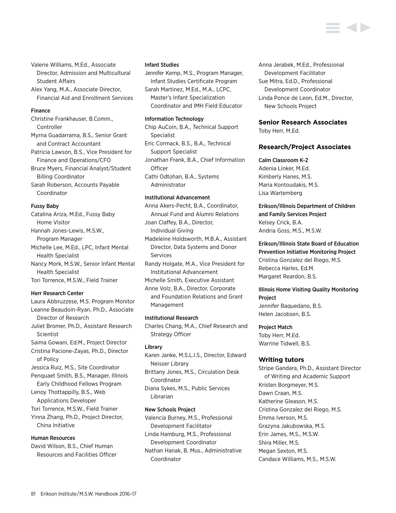Valerie Williams, M.Ed., Associate Director, Admission and Multicultural Student Affairs

Alex Yang, M.A., Associate Director, Financial Aid and Enrollment Services

#### Finance

Christine Frankhauser, B.Comm., Controller Myrna Guadarrama, B.S., Senior Grant and Contract Accountant Patricia Lawson, B.S., Vice President for Finance and Operations/CFO Bruce Myers, Financial Analyst/Student Billing Coordinator Sarah Roberson, Accounts Payable Coordinator

Fussy Baby

Catalina Ariza, M.Ed., Fussy Baby Home Visitor Hannah Jones-Lewis, M.S.W., Program Manager Michelle Lee, M.Ed., LPC, Infant Mental Health Specialist Nancy Mork, M.S.W., Senior Infant Mental Health Specialist Tori Torrence, M.S.W., Field Trainer

### Herr Research Center

Laura Abbruzzese, M.S. Program Monitor Leanne Beaudoin-Ryan, Ph.D., Associate Director of Research Juliet Bromer, Ph.D., Assistant Research Scientist Saima Gowani, Ed.M., Project Director Cristina Pacione-Zayas, Ph.D., Director of Policy Jessica Ruiz, M.S., Site Coordinator Penquaet Smith, B.S., Manager, Illinois Early Childhood Fellows Program Lenoy Thottappilly, B.S., Web Applications Developer Tori Torrence, M.S.W., Field Trainer Yinna Zhang, Ph.D., Project Director, China Initiative

# Human Resources

David Wilson, B.S., Chief Human Resources and Facilities Officer

#### Infant Studies

Jennifer Kemp, M.S., Program Manager, Infant Studies Certificate Program Sarah Martinez, M.Ed., M.A., LCPC, Master's Infant Specialization Coordinator and IMH Field Educator

#### Information Technology

Chip AuCoin, B.A., Technical Support Specialist Eric Cormack, B.S., B.A., Technical Support Specialist Jonathan Frank, B.A., Chief Information **Officer** Cathi Odtohan, B.A., Systems Administrator

# Institutional Advancement

Anna Akers-Pecht, B.A., Coordinator, Annual Fund and Alumni Relations Joan Claffey, B.A., Director, Individual Giving

Madeleine Holdsworth, M.B.A., Assistant Director, Data Systems and Donor Services

Randy Holgate, M.A., Vice President for Institutional Advancement

Michelle Smith, Executive Assistant

Anne Volz, B.A., Director, Corporate and Foundation Relations and Grant Management

#### Institutional Research

Charles Chang, M.A., Chief Research and Strategy Officer

#### Library

Karen Janke, M.S.L.I.S., Director, Edward Neisser Library

Brittany Jones, M.S., Circulation Desk Coordinator

Diana Sykes, M.S., Public Services Librarian

## New Schools Project

Valencia Burney, M.S., Professional Development Facilitator Linda Hamburg, M.S., Professional

Development Coordinator

Nathan Hanak, B. Mus., Administrative Coordinator

Anna Jerabek, M.Ed., Professional Development Facilitator Sue Mitra, Ed.D., Professional Development Coordinator Linda Ponce de Leon, Ed.M., Director, New Schools Project

## **Senior Research Associates**

Toby Herr, M.Ed.

## **Research/Project Associates**

### Calm Classroom K-2

Adenia Linker, M.Ed. Kimberly Hanes, M.S. Maria Kontoudakis, M.S. Lisa Wartemberg

Erikson/Illinois Department of Children and Family Services Project Kelsey Crick, B.A. Andria Goss, M.S., M.S.W.

Erikson/Illinois State Board of Education Prevention Initiative Monitoring Project Cristina Gonzalez del Riego, M.S. Rebecca Harles, Ed.M. Margaret Reardon, B.S.

# Illinois Home Visiting Quality Monitoring Project

Jennifer Baquedano, B.S. Helen Jacobsen, B.S.

#### Project Match

Toby Herr, M.Ed. Warrine Tidwell, B.S.

## **Writing tutors**

Stripe Gandara, Ph.D., Assistant Director of Writing and Academic Support Kristen Borgmeyer, M.S. Dawn Craan, M.S. Katherine Gleason, M.S. Cristina Gonzalez del Riego, M.S. Emma Iverson, M.S. Grazyna Jakubowska, M.S. Erin James, M.S., M.S.W. Shira Miller, M.S. Megan Sexton, M.S. Candace Williams, M.S., M.S.W.